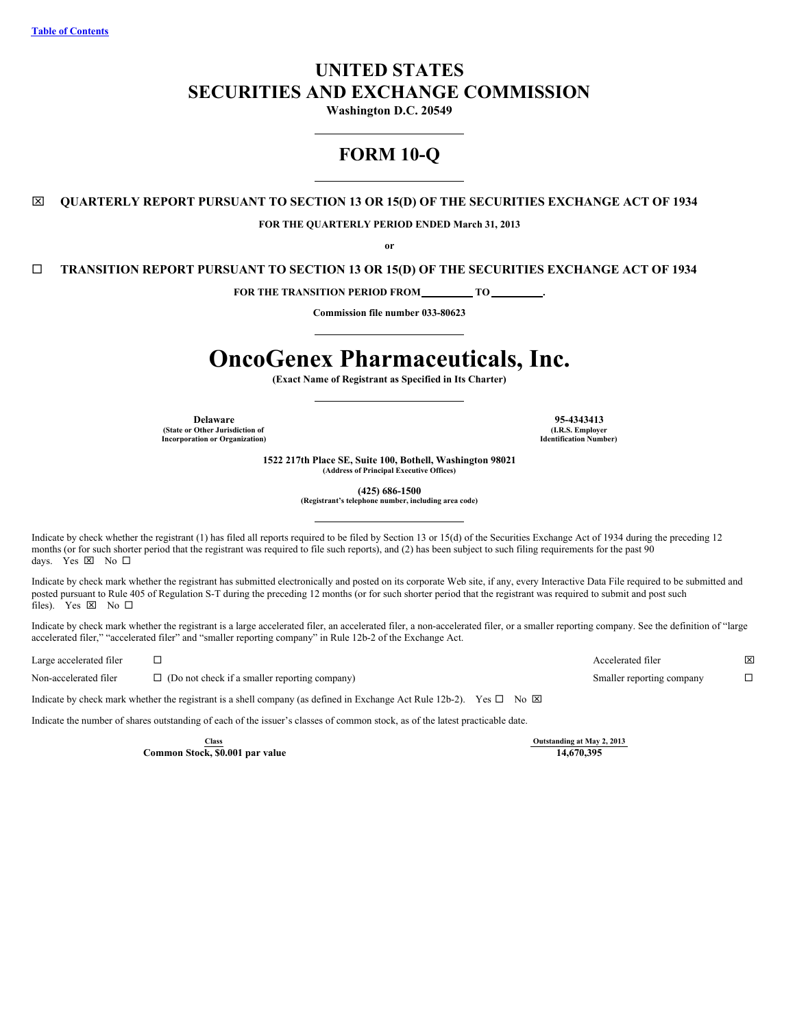# **UNITED STATES SECURITIES AND EXCHANGE COMMISSION**

**Washington D.C. 20549**

# **FORM 10-Q**

x **QUARTERLY REPORT PURSUANT TO SECTION 13 OR 15(D) OF THE SECURITIES EXCHANGE ACT OF 1934**

**FOR THE QUARTERLY PERIOD ENDED March 31, 2013**

**or**

¨ **TRANSITION REPORT PURSUANT TO SECTION 13 OR 15(D) OF THE SECURITIES EXCHANGE ACT OF 1934**

**FOR THE TRANSITION PERIOD FROM TO .**

**Commission file number 033-80623**

# **OncoGenex Pharmaceuticals, Inc.**

**(Exact Name of Registrant as Specified in Its Charter)**

**(State or Other Jurisdiction of Incorporation or Organization)**

**Delaware 95-4343413 (I.R.S. Employer Identification Number)**

> **1522 217th Place SE, Suite 100, Bothell, Washington 98021 (Address of Principal Executive Offices)**

> > **(425) 686-1500**

**(Registrant's telephone number, including area code)**

Indicate by check whether the registrant (1) has filed all reports required to be filed by Section 13 or 15(d) of the Securities Exchange Act of 1934 during the preceding 12 months (or for such shorter period that the registrant was required to file such reports), and (2) has been subject to such filing requirements for the past 90 days. Yes  $\boxtimes$  No  $\square$ 

Indicate by check mark whether the registrant has submitted electronically and posted on its corporate Web site, if any, every Interactive Data File required to be submitted and posted pursuant to Rule 405 of Regulation S-T during the preceding 12 months (or for such shorter period that the registrant was required to submit and post such files). Yes  $\boxtimes$  No  $\square$ 

Indicate by check mark whether the registrant is a large accelerated filer, an accelerated filer, a non-accelerated filer, or a smaller reporting company. See the definition of "large accelerated filer," "accelerated filer" and "smaller reporting company" in Rule 12b-2 of the Exchange Act.

Large accelerated filer ¨ Accelerated filer x

Non-accelerated filer  $\square$  (Do not check if a smaller reporting company) Smaller reporting company  $\square$ 

Indicate by check mark whether the registrant is a shell company (as defined in Exchange Act Rule 12b-2). Yes  $\Box$  No  $\boxtimes$ 

Indicate the number of shares outstanding of each of the issuer's classes of common stock, as of the latest practicable date.

**Common Stock, \$0.001 par value 14,670,395**

**Class Outstanding at May 2, 2013**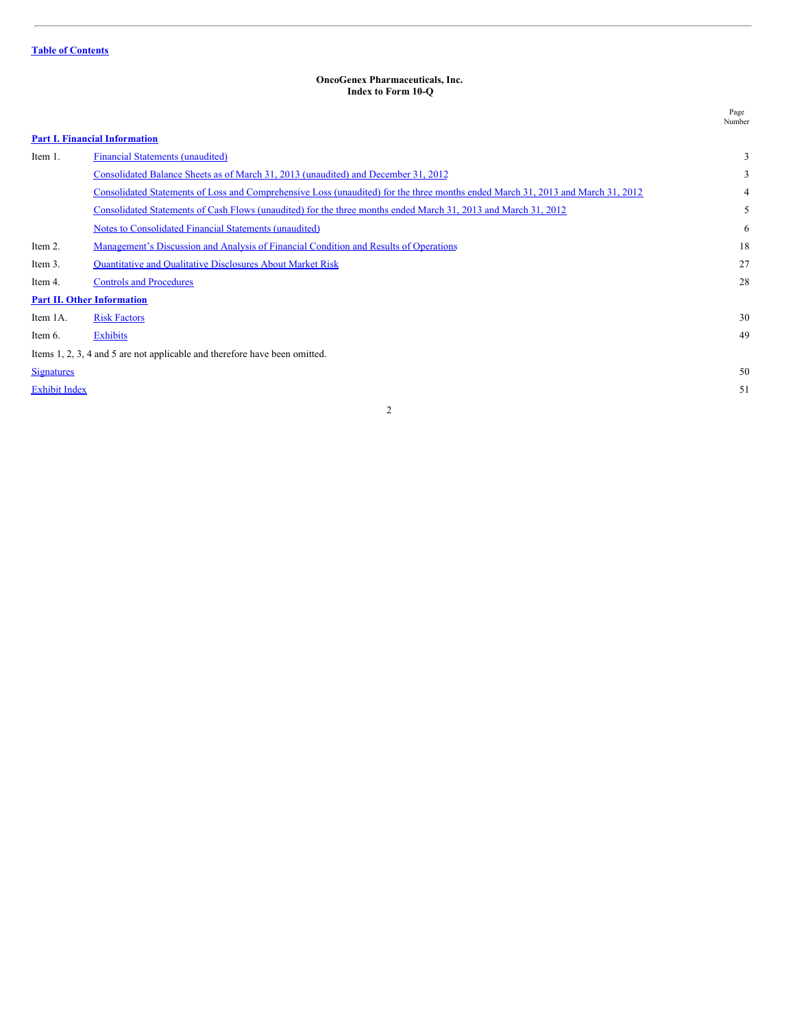#### <span id="page-1-0"></span>**OncoGenex Pharmaceuticals, Inc. Index to Form 10-Q**

|                      |                                                                                                                                 | Page<br>Number |
|----------------------|---------------------------------------------------------------------------------------------------------------------------------|----------------|
|                      | <b>Part I. Financial Information</b>                                                                                            |                |
| Item 1.              | <b>Financial Statements (unaudited)</b>                                                                                         | 3              |
|                      | Consolidated Balance Sheets as of March 31, 2013 (unaudited) and December 31, 2012                                              | 3              |
|                      | Consolidated Statements of Loss and Comprehensive Loss (unaudited) for the three months ended March 31, 2013 and March 31, 2012 | 4              |
|                      | Consolidated Statements of Cash Flows (unaudited) for the three months ended March 31, 2013 and March 31, 2012                  | 5              |
|                      | Notes to Consolidated Financial Statements (unaudited)                                                                          | 6              |
| Item 2.              | Management's Discussion and Analysis of Financial Condition and Results of Operations                                           | 18             |
| Item 3.              | <b>Quantitative and Qualitative Disclosures About Market Risk</b>                                                               | 27             |
| Item 4.              | <b>Controls and Procedures</b>                                                                                                  | 28             |
|                      | <b>Part II. Other Information</b>                                                                                               |                |
| Item 1A.             | <b>Risk Factors</b>                                                                                                             | 30             |
| Item 6.              | <b>Exhibits</b>                                                                                                                 | 49             |
|                      | Items 1, 2, 3, 4 and 5 are not applicable and therefore have been omitted.                                                      |                |
| <b>Signatures</b>    |                                                                                                                                 | 50             |
| <b>Exhibit Index</b> |                                                                                                                                 | 51             |
|                      |                                                                                                                                 |                |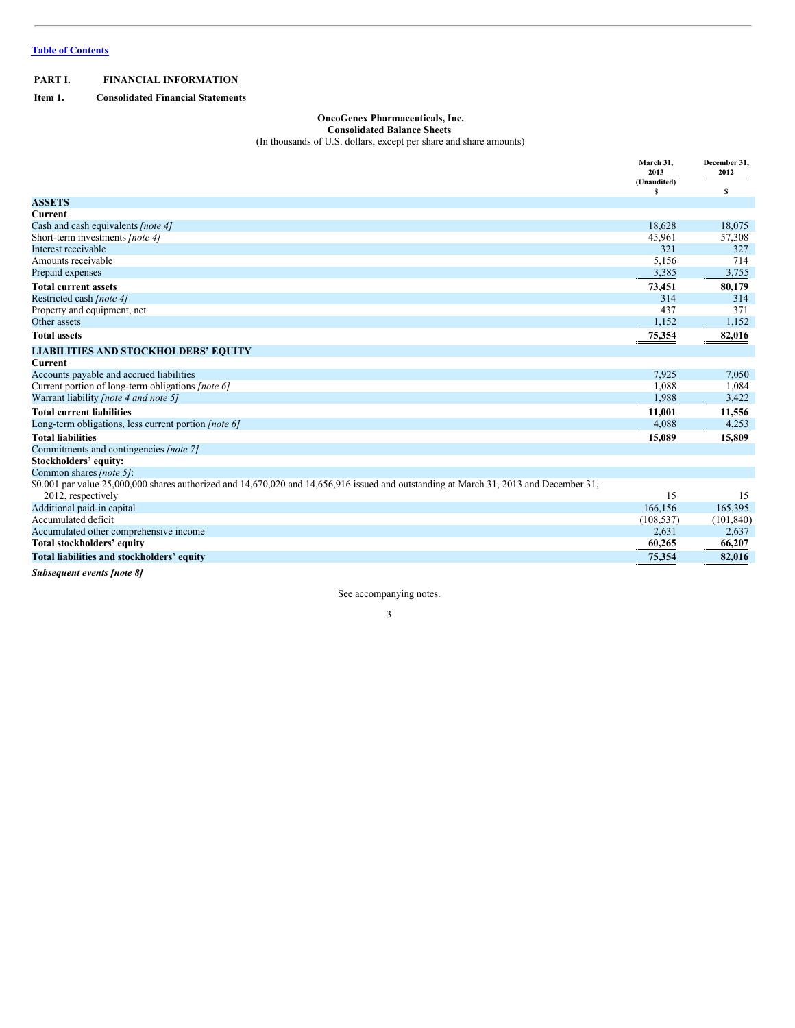# <span id="page-2-0"></span>**PART I. FINANCIAL INFORMATION**

<span id="page-2-1"></span>**Item 1. Consolidated Financial Statements**

# <span id="page-2-2"></span>**OncoGenex Pharmaceuticals, Inc.**

#### **Consolidated Balance Sheets**

(In thousands of U.S. dollars, except per share and share amounts)

|                                                                                                                                        | March 31,<br>2013 | December 31,<br>2012 |
|----------------------------------------------------------------------------------------------------------------------------------------|-------------------|----------------------|
|                                                                                                                                        | (Unaudited)       |                      |
|                                                                                                                                        | s                 | s                    |
| <b>ASSETS</b>                                                                                                                          |                   |                      |
| Current                                                                                                                                |                   |                      |
| Cash and cash equivalents [note 4]                                                                                                     | 18,628            | 18,075               |
| Short-term investments [note 4]                                                                                                        | 45,961            | 57,308               |
| Interest receivable                                                                                                                    | 321               | 327                  |
| Amounts receivable                                                                                                                     | 5,156             | 714                  |
| Prepaid expenses                                                                                                                       | 3,385             | 3,755                |
| <b>Total current assets</b>                                                                                                            | 73,451            | 80,179               |
| Restricted cash [note 4]                                                                                                               | 314               | 314                  |
| Property and equipment, net                                                                                                            | 437               | 371                  |
| Other assets                                                                                                                           | 1,152             | 1,152                |
| <b>Total assets</b>                                                                                                                    | 75,354            | 82,016               |
| <b>LIABILITIES AND STOCKHOLDERS' EQUITY</b>                                                                                            |                   |                      |
| Current                                                                                                                                |                   |                      |
| Accounts payable and accrued liabilities                                                                                               | 7,925             | 7,050                |
| Current portion of long-term obligations [note 6]                                                                                      | 1,088             | 1,084                |
| Warrant liability <i>[note 4 and note 5]</i>                                                                                           | 1,988             | 3,422                |
| <b>Total current liabilities</b>                                                                                                       | 11,001            | 11,556               |
| Long-term obligations, less current portion <i>[note 6]</i>                                                                            | 4,088             | 4,253                |
| <b>Total liabilities</b>                                                                                                               | 15,089            | 15,809               |
| Commitments and contingencies [note 7]                                                                                                 |                   |                      |
| Stockholders' equity:                                                                                                                  |                   |                      |
| Common shares [note 5]:                                                                                                                |                   |                      |
| \$0.001 par value 25,000,000 shares authorized and 14,670,020 and 14,656,916 issued and outstanding at March 31, 2013 and December 31, |                   |                      |
| 2012, respectively                                                                                                                     | 15                | 15                   |
| Additional paid-in capital                                                                                                             | 166,156           | 165,395              |
| Accumulated deficit                                                                                                                    | (108, 537)        | (101, 840)           |
| Accumulated other comprehensive income                                                                                                 | 2,631             | 2,637                |
| Total stockholders' equity                                                                                                             | 60,265            | 66,207               |
| Total liabilities and stockholders' equity                                                                                             | 75,354            | 82,016               |

*Subsequent events [note 8]*

See accompanying notes.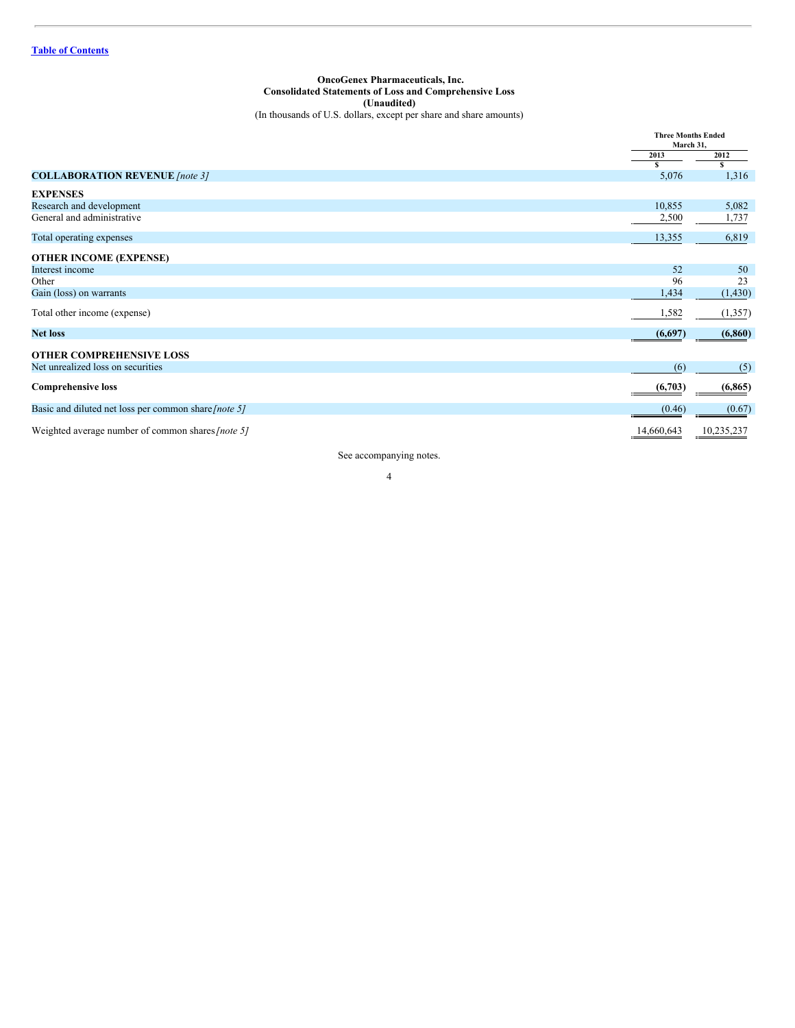<span id="page-3-0"></span>**OncoGenex Pharmaceuticals, Inc. Consolidated Statements of Loss and Comprehensive Loss (Unaudited)** (In thousands of U.S. dollars, except per share and share amounts)

|                                                      | <b>Three Months Ended</b><br>March 31. |            |
|------------------------------------------------------|----------------------------------------|------------|
|                                                      | 2013                                   | 2012       |
|                                                      | S                                      | s          |
| <b>COLLABORATION REVENUE</b> [note 3]                | 5,076                                  | 1,316      |
| <b>EXPENSES</b>                                      |                                        |            |
| Research and development                             | 10,855                                 | 5,082      |
| General and administrative                           | 2,500                                  | 1,737      |
| Total operating expenses                             | 13,355                                 | 6,819      |
| <b>OTHER INCOME (EXPENSE)</b>                        |                                        |            |
| Interest income                                      | 52                                     | 50         |
| Other                                                | 96                                     | 23         |
| Gain (loss) on warrants                              | 1,434                                  | (1,430)    |
| Total other income (expense)                         | 1,582                                  | (1,357)    |
| <b>Net loss</b>                                      | (6,697)                                | (6, 860)   |
| <b>OTHER COMPREHENSIVE LOSS</b>                      |                                        |            |
| Net unrealized loss on securities                    | (6)                                    | (5)        |
| <b>Comprehensive loss</b>                            | (6,703)                                | (6, 865)   |
| Basic and diluted net loss per common share [note 5] | (0.46)                                 | (0.67)     |
| Weighted average number of common shares [note 5]    | 14,660,643                             | 10,235,237 |

See accompanying notes.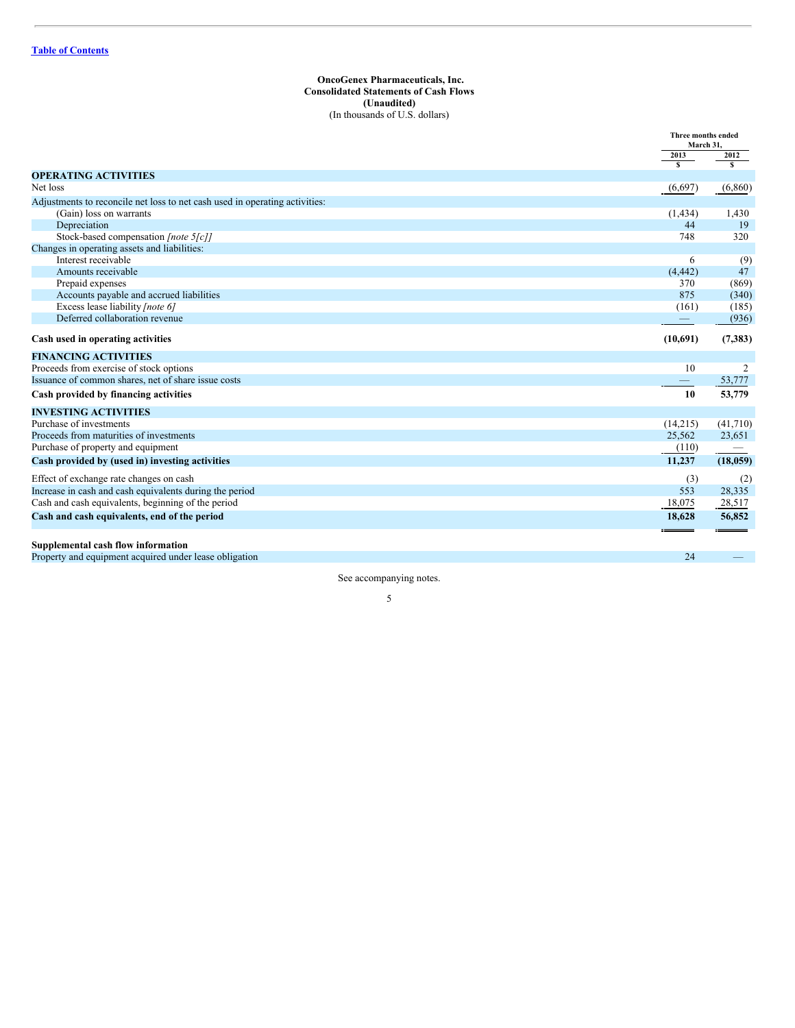#### <span id="page-4-0"></span>**OncoGenex Pharmaceuticals, Inc. Consolidated Statements of Cash Flows (Unaudited)** (In thousands of U.S. dollars)

|                                                                                              | <b>Three months ended</b><br>March 31, |                                 |
|----------------------------------------------------------------------------------------------|----------------------------------------|---------------------------------|
|                                                                                              | 2013<br>$\mathbf{s}$                   | 2012<br>$\overline{\mathbf{s}}$ |
| <b>OPERATING ACTIVITIES</b>                                                                  |                                        |                                 |
| Net loss                                                                                     | (6,697)                                | (6,860)                         |
| Adjustments to reconcile net loss to net cash used in operating activities:                  |                                        |                                 |
| (Gain) loss on warrants                                                                      | (1, 434)                               | 1,430                           |
| Depreciation                                                                                 | 44                                     | 19                              |
| Stock-based compensation [note 5[c]]                                                         | 748                                    | 320                             |
| Changes in operating assets and liabilities:                                                 |                                        |                                 |
| Interest receivable                                                                          | 6                                      | (9)                             |
| Amounts receivable                                                                           | (4, 442)                               | 47                              |
| Prepaid expenses                                                                             | 370                                    | (869)                           |
| Accounts payable and accrued liabilities                                                     | 875                                    | (340)                           |
| Excess lease liability [note 6]                                                              | (161)                                  | (185)                           |
| Deferred collaboration revenue                                                               |                                        | (936)                           |
| Cash used in operating activities                                                            | (10,691)                               | (7, 383)                        |
| <b>FINANCING ACTIVITIES</b>                                                                  |                                        |                                 |
| Proceeds from exercise of stock options                                                      | 10                                     | 2                               |
| Issuance of common shares, net of share issue costs                                          |                                        | 53,777                          |
| Cash provided by financing activities                                                        | 10                                     | 53,779                          |
| <b>INVESTING ACTIVITIES</b>                                                                  |                                        |                                 |
| Purchase of investments                                                                      | (14,215)                               | (41,710)                        |
| Proceeds from maturities of investments                                                      | 25,562                                 | 23,651                          |
| Purchase of property and equipment                                                           | (110)                                  | $\hspace{0.1mm}-\hspace{0.1mm}$ |
| Cash provided by (used in) investing activities                                              | 11,237                                 | (18,059)                        |
| Effect of exchange rate changes on cash                                                      | (3)                                    | (2)                             |
| Increase in cash and cash equivalents during the period                                      | 553                                    | 28,335                          |
| Cash and cash equivalents, beginning of the period                                           | 18,075                                 | 28,517                          |
| Cash and cash equivalents, end of the period                                                 | 18,628                                 | 56,852                          |
|                                                                                              |                                        |                                 |
| Supplemental cash flow information<br>Property and equipment acquired under lease obligation | 24                                     |                                 |
|                                                                                              |                                        |                                 |

See accompanying notes.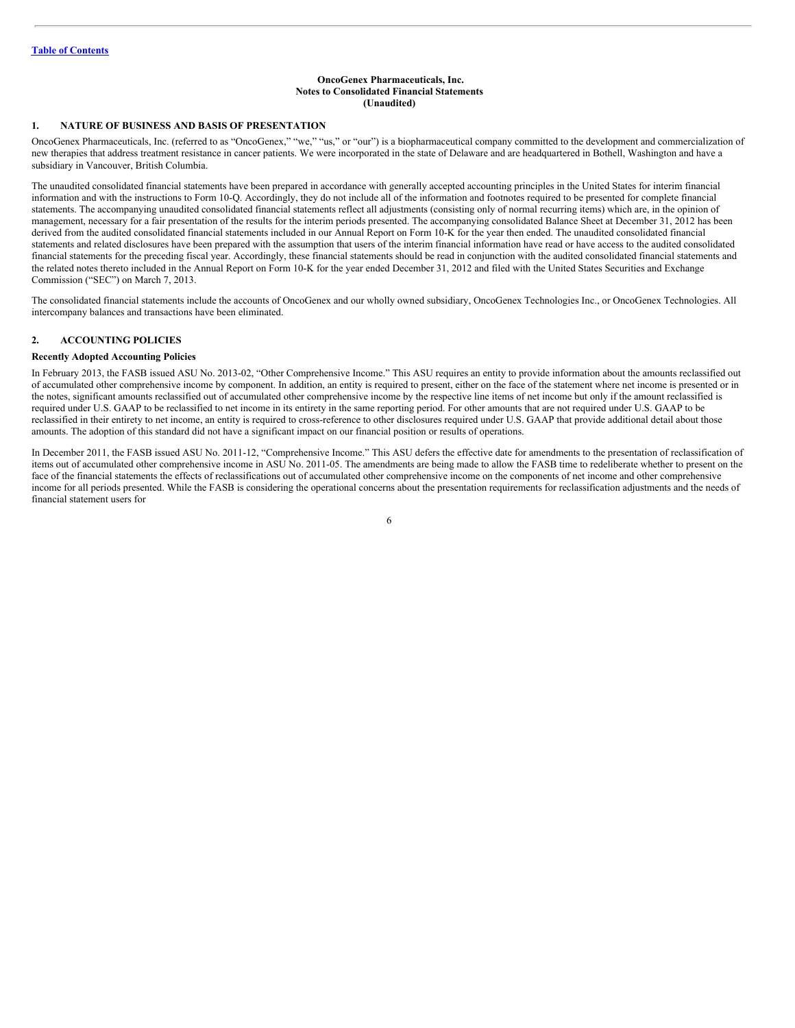## <span id="page-5-0"></span>**OncoGenex Pharmaceuticals, Inc. Notes to Consolidated Financial Statements (Unaudited)**

# **1. NATURE OF BUSINESS AND BASIS OF PRESENTATION**

OncoGenex Pharmaceuticals, Inc. (referred to as "OncoGenex," "we," "us," or "our") is a biopharmaceutical company committed to the development and commercialization of new therapies that address treatment resistance in cancer patients. We were incorporated in the state of Delaware and are headquartered in Bothell, Washington and have a subsidiary in Vancouver, British Columbia.

The unaudited consolidated financial statements have been prepared in accordance with generally accepted accounting principles in the United States for interim financial information and with the instructions to Form 10-Q. Accordingly, they do not include all of the information and footnotes required to be presented for complete financial statements. The accompanying unaudited consolidated financial statements reflect all adjustments (consisting only of normal recurring items) which are, in the opinion of management, necessary for a fair presentation of the results for the interim periods presented. The accompanying consolidated Balance Sheet at December 31, 2012 has been derived from the audited consolidated financial statements included in our Annual Report on Form 10-K for the year then ended. The unaudited consolidated financial statements and related disclosures have been prepared with the assumption that users of the interim financial information have read or have access to the audited consolidated financial statements for the preceding fiscal year. Accordingly, these financial statements should be read in conjunction with the audited consolidated financial statements and the related notes thereto included in the Annual Report on Form 10-K for the year ended December 31, 2012 and filed with the United States Securities and Exchange Commission ("SEC") on March 7, 2013.

The consolidated financial statements include the accounts of OncoGenex and our wholly owned subsidiary, OncoGenex Technologies Inc., or OncoGenex Technologies. All intercompany balances and transactions have been eliminated.

# **2. ACCOUNTING POLICIES**

# **Recently Adopted Accounting Policies**

In February 2013, the FASB issued ASU No. 2013-02, "Other Comprehensive Income." This ASU requires an entity to provide information about the amounts reclassified out of accumulated other comprehensive income by component. In addition, an entity is required to present, either on the face of the statement where net income is presented or in the notes, significant amounts reclassified out of accumulated other comprehensive income by the respective line items of net income but only if the amount reclassified is required under U.S. GAAP to be reclassified to net income in its entirety in the same reporting period. For other amounts that are not required under U.S. GAAP to be reclassified in their entirety to net income, an entity is required to cross-reference to other disclosures required under U.S. GAAP that provide additional detail about those amounts. The adoption of this standard did not have a significant impact on our financial position or results of operations.

In December 2011, the FASB issued ASU No. 2011-12, "Comprehensive Income." This ASU defers the effective date for amendments to the presentation of reclassification of items out of accumulated other comprehensive income in ASU No. 2011-05. The amendments are being made to allow the FASB time to redeliberate whether to present on the face of the financial statements the effects of reclassifications out of accumulated other comprehensive income on the components of net income and other comprehensive income for all periods presented. While the FASB is considering the operational concerns about the presentation requirements for reclassification adjustments and the needs of financial statement users for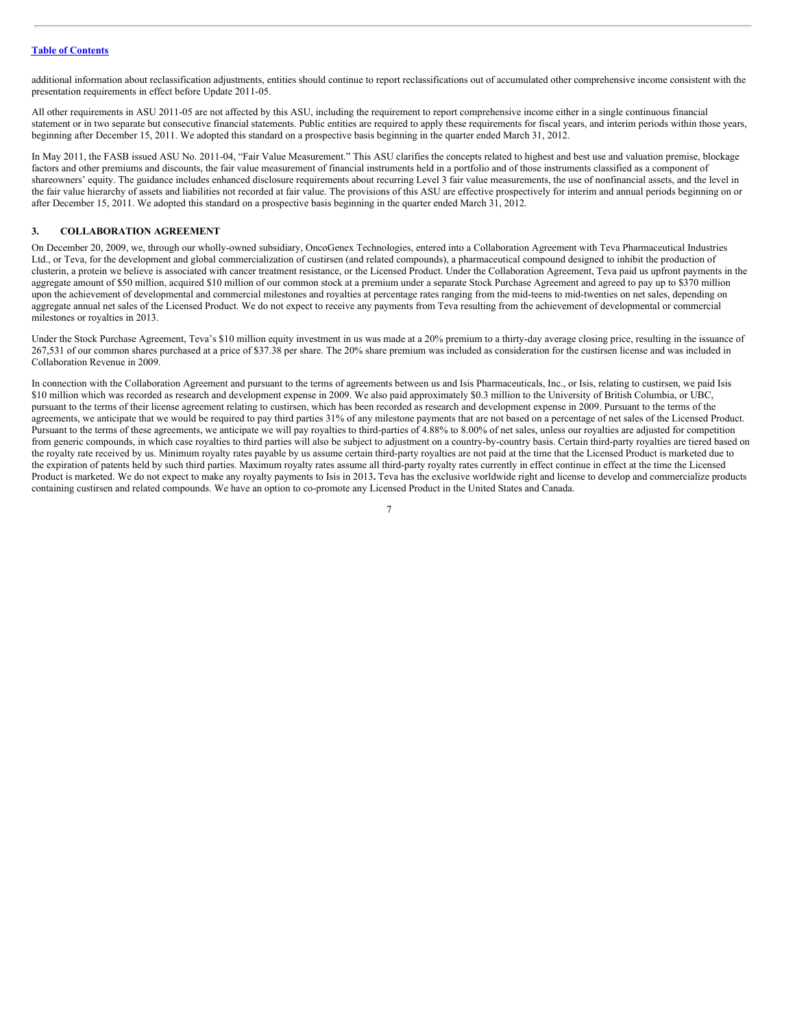additional information about reclassification adjustments, entities should continue to report reclassifications out of accumulated other comprehensive income consistent with the presentation requirements in effect before Update 2011-05.

All other requirements in ASU 2011-05 are not affected by this ASU, including the requirement to report comprehensive income either in a single continuous financial statement or in two separate but consecutive financial statements. Public entities are required to apply these requirements for fiscal years, and interim periods within those years, beginning after December 15, 2011. We adopted this standard on a prospective basis beginning in the quarter ended March 31, 2012.

In May 2011, the FASB issued ASU No. 2011-04, "Fair Value Measurement." This ASU clarifies the concepts related to highest and best use and valuation premise, blockage factors and other premiums and discounts, the fair value measurement of financial instruments held in a portfolio and of those instruments classified as a component of shareowners' equity. The guidance includes enhanced disclosure requirements about recurring Level 3 fair value measurements, the use of nonfinancial assets, and the level in the fair value hierarchy of assets and liabilities not recorded at fair value. The provisions of this ASU are effective prospectively for interim and annual periods beginning on or after December 15, 2011. We adopted this standard on a prospective basis beginning in the quarter ended March 31, 2012.

# **3. COLLABORATION AGREEMENT**

On December 20, 2009, we, through our wholly-owned subsidiary, OncoGenex Technologies, entered into a Collaboration Agreement with Teva Pharmaceutical Industries Ltd., or Teva, for the development and global commercialization of custirsen (and related compounds), a pharmaceutical compound designed to inhibit the production of clusterin, a protein we believe is associated with cancer treatment resistance, or the Licensed Product. Under the Collaboration Agreement, Teva paid us upfront payments in the aggregate amount of \$50 million, acquired \$10 million of our common stock at a premium under a separate Stock Purchase Agreement and agreed to pay up to \$370 million upon the achievement of developmental and commercial milestones and royalties at percentage rates ranging from the mid-teens to mid-twenties on net sales, depending on aggregate annual net sales of the Licensed Product. We do not expect to receive any payments from Teva resulting from the achievement of developmental or commercial milestones or royalties in 2013.

Under the Stock Purchase Agreement, Teva's \$10 million equity investment in us was made at a 20% premium to a thirty-day average closing price, resulting in the issuance of 267,531 of our common shares purchased at a price of \$37.38 per share. The 20% share premium was included as consideration for the custirsen license and was included in Collaboration Revenue in 2009.

In connection with the Collaboration Agreement and pursuant to the terms of agreements between us and Isis Pharmaceuticals, Inc., or Isis, relating to custirsen, we paid Isis \$10 million which was recorded as research and development expense in 2009. We also paid approximately \$0.3 million to the University of British Columbia, or UBC, pursuant to the terms of their license agreement relating to custirsen, which has been recorded as research and development expense in 2009. Pursuant to the terms of the agreements, we anticipate that we would be required to pay third parties 31% of any milestone payments that are not based on a percentage of net sales of the Licensed Product. Pursuant to the terms of these agreements, we anticipate we will pay royalties to third-parties of 4.88% to 8.00% of net sales, unless our royalties are adjusted for competition from generic compounds, in which case royalties to third parties will also be subject to adjustment on a country-by-country basis. Certain third-party royalties are tiered based on the royalty rate received by us. Minimum royalty rates payable by us assume certain third-party royalties are not paid at the time that the Licensed Product is marketed due to the expiration of patents held by such third parties. Maximum royalty rates assume all third-party royalty rates currently in effect continue in effect at the time the Licensed Product is marketed. We do not expect to make any royalty payments to Isis in 2013**.** Teva has the exclusive worldwide right and license to develop and commercialize products containing custirsen and related compounds. We have an option to co-promote any Licensed Product in the United States and Canada.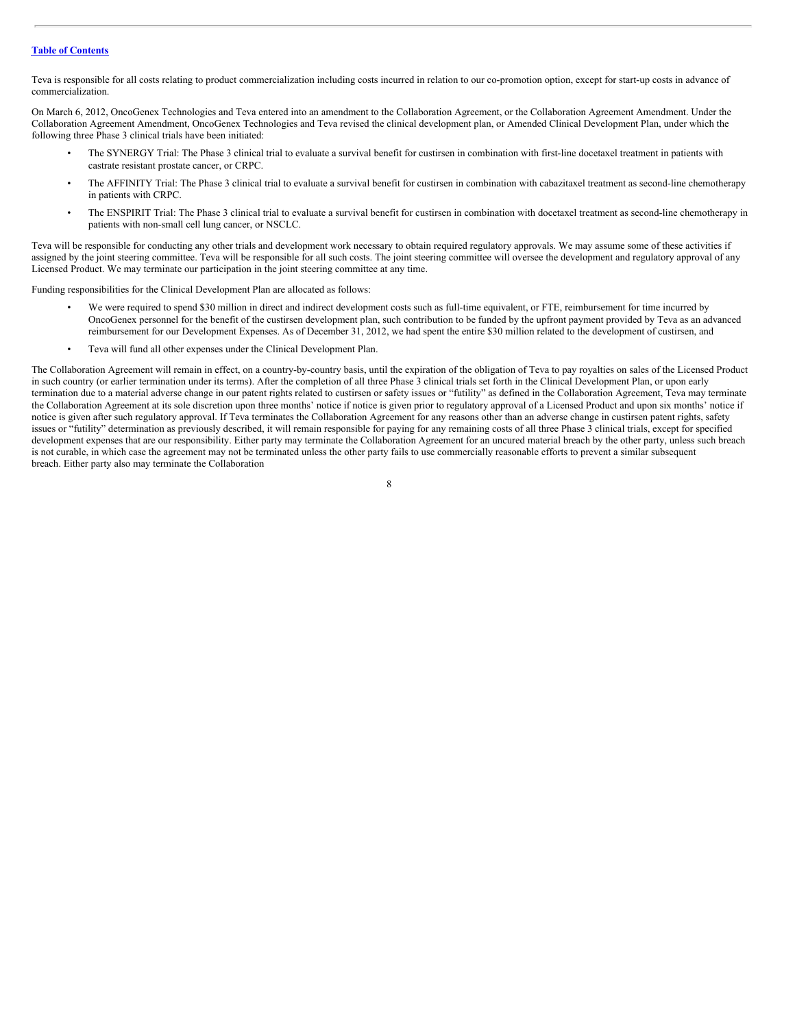Teva is responsible for all costs relating to product commercialization including costs incurred in relation to our co-promotion option, except for start-up costs in advance of commercialization.

On March 6, 2012, OncoGenex Technologies and Teva entered into an amendment to the Collaboration Agreement, or the Collaboration Agreement Amendment. Under the Collaboration Agreement Amendment, OncoGenex Technologies and Teva revised the clinical development plan, or Amended Clinical Development Plan, under which the following three Phase 3 clinical trials have been initiated:

- The SYNERGY Trial: The Phase 3 clinical trial to evaluate a survival benefit for custirsen in combination with first-line docetaxel treatment in patients with castrate resistant prostate cancer, or CRPC.
- The AFFINITY Trial: The Phase 3 clinical trial to evaluate a survival benefit for custirsen in combination with cabazitaxel treatment as second-line chemotherapy in patients with CRPC.
- The ENSPIRIT Trial: The Phase 3 clinical trial to evaluate a survival benefit for custirsen in combination with docetaxel treatment as second-line chemotherapy in patients with non-small cell lung cancer, or NSCLC.

Teva will be responsible for conducting any other trials and development work necessary to obtain required regulatory approvals. We may assume some of these activities if assigned by the joint steering committee. Teva will be responsible for all such costs. The joint steering committee will oversee the development and regulatory approval of any Licensed Product. We may terminate our participation in the joint steering committee at any time.

Funding responsibilities for the Clinical Development Plan are allocated as follows:

- We were required to spend \$30 million in direct and indirect development costs such as full-time equivalent, or FTE, reimbursement for time incurred by OncoGenex personnel for the benefit of the custirsen development plan, such contribution to be funded by the upfront payment provided by Teva as an advanced reimbursement for our Development Expenses. As of December 31, 2012, we had spent the entire \$30 million related to the development of custirsen, and
- Teva will fund all other expenses under the Clinical Development Plan.

The Collaboration Agreement will remain in effect, on a country-by-country basis, until the expiration of the obligation of Teva to pay royalties on sales of the Licensed Product in such country (or earlier termination under its terms). After the completion of all three Phase 3 clinical trials set forth in the Clinical Development Plan, or upon early termination due to a material adverse change in our patent rights related to custirsen or safety issues or "futility" as defined in the Collaboration Agreement, Teva may terminate the Collaboration Agreement at its sole discretion upon three months' notice if notice is given prior to regulatory approval of a Licensed Product and upon six months' notice if notice is given after such regulatory approval. If Teva terminates the Collaboration Agreement for any reasons other than an adverse change in custirsen patent rights, safety issues or "futility" determination as previously described, it will remain responsible for paying for any remaining costs of all three Phase 3 clinical trials, except for specified development expenses that are our responsibility. Either party may terminate the Collaboration Agreement for an uncured material breach by the other party, unless such breach is not curable, in which case the agreement may not be terminated unless the other party fails to use commercially reasonable efforts to prevent a similar subsequent breach. Either party also may terminate the Collaboration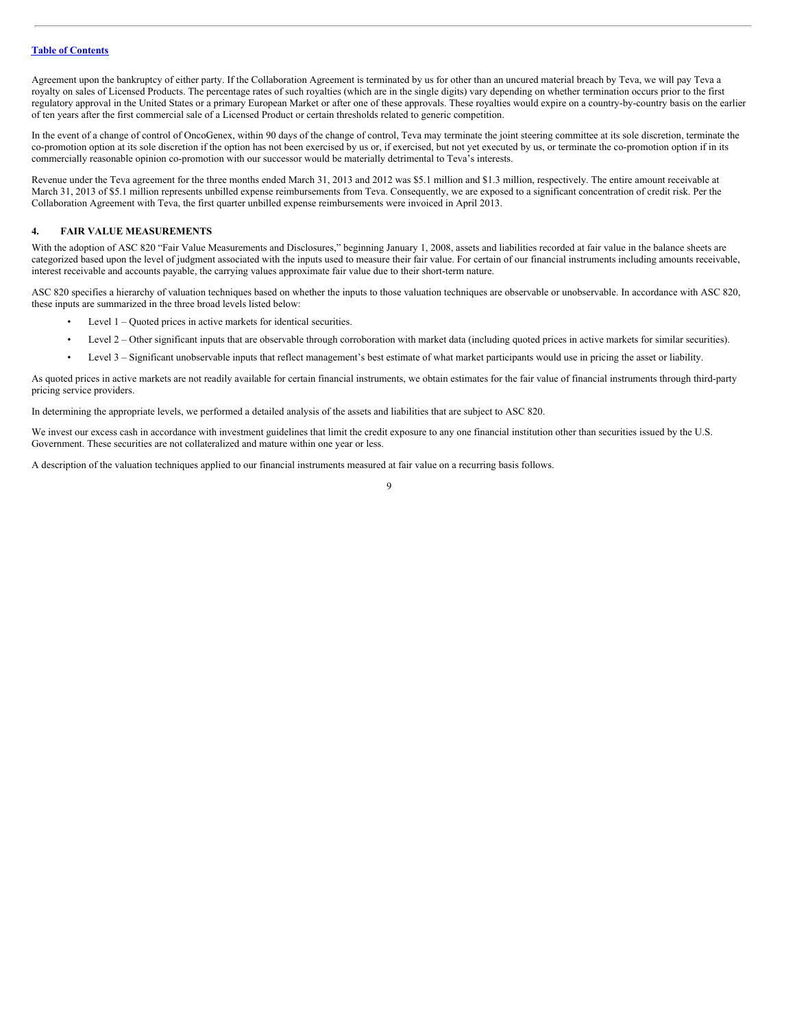Agreement upon the bankruptcy of either party. If the Collaboration Agreement is terminated by us for other than an uncured material breach by Teva, we will pay Teva a royalty on sales of Licensed Products. The percentage rates of such royalties (which are in the single digits) vary depending on whether termination occurs prior to the first regulatory approval in the United States or a primary European Market or after one of these approvals. These royalties would expire on a country-by-country basis on the earlier of ten years after the first commercial sale of a Licensed Product or certain thresholds related to generic competition.

In the event of a change of control of OncoGenex, within 90 days of the change of control, Teva may terminate the joint steering committee at its sole discretion, terminate the co-promotion option at its sole discretion if the option has not been exercised by us or, if exercised, but not yet executed by us, or terminate the co-promotion option if in its commercially reasonable opinion co-promotion with our successor would be materially detrimental to Teva's interests.

Revenue under the Teva agreement for the three months ended March 31, 2013 and 2012 was \$5.1 million and \$1.3 million, respectively. The entire amount receivable at March 31, 2013 of \$5.1 million represents unbilled expense reimbursements from Teva. Consequently, we are exposed to a significant concentration of credit risk. Per the Collaboration Agreement with Teva, the first quarter unbilled expense reimbursements were invoiced in April 2013.

# **4. FAIR VALUE MEASUREMENTS**

With the adoption of ASC 820 "Fair Value Measurements and Disclosures," beginning January 1, 2008, assets and liabilities recorded at fair value in the balance sheets are categorized based upon the level of judgment associated with the inputs used to measure their fair value. For certain of our financial instruments including amounts receivable, interest receivable and accounts payable, the carrying values approximate fair value due to their short-term nature.

ASC 820 specifies a hierarchy of valuation techniques based on whether the inputs to those valuation techniques are observable or unobservable. In accordance with ASC 820, these inputs are summarized in the three broad levels listed below:

- Level 1 Quoted prices in active markets for identical securities.
- Level 2 Other significant inputs that are observable through corroboration with market data (including quoted prices in active markets for similar securities).
- Level 3 Significant unobservable inputs that reflect management's best estimate of what market participants would use in pricing the asset or liability.

As quoted prices in active markets are not readily available for certain financial instruments, we obtain estimates for the fair value of financial instruments through third-party pricing service providers.

In determining the appropriate levels, we performed a detailed analysis of the assets and liabilities that are subject to ASC 820.

We invest our excess cash in accordance with investment guidelines that limit the credit exposure to any one financial institution other than securities issued by the U.S. Government. These securities are not collateralized and mature within one year or less.

A description of the valuation techniques applied to our financial instruments measured at fair value on a recurring basis follows.

 $\overline{Q}$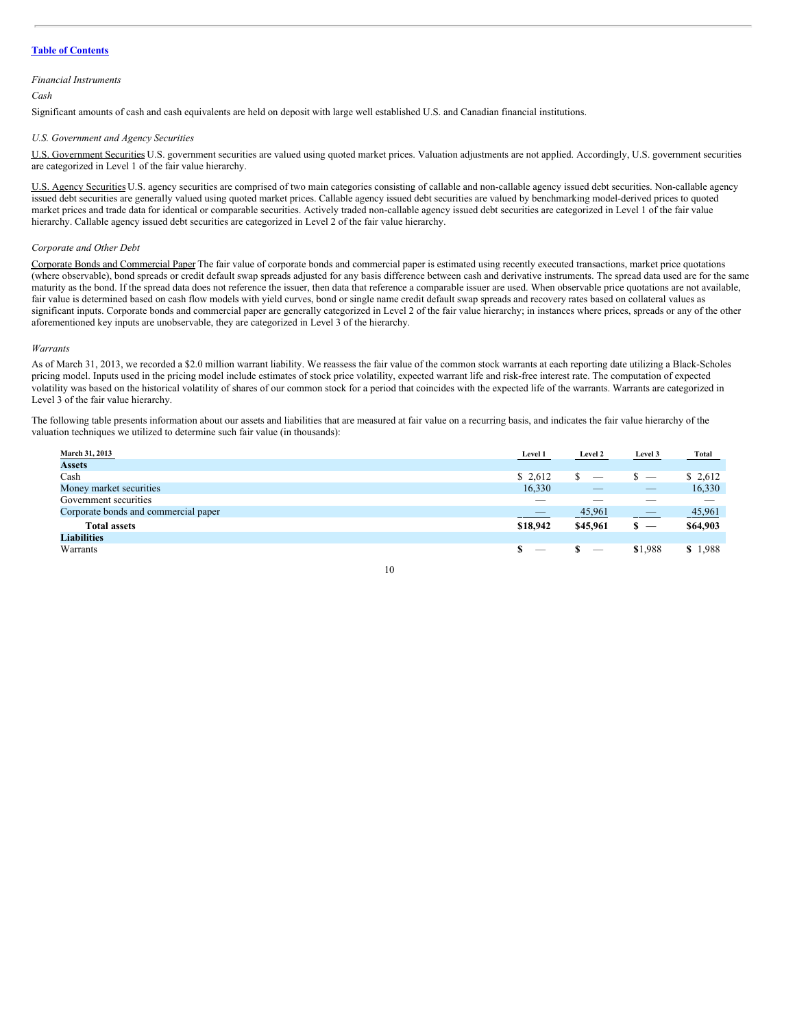#### *Financial Instruments*

# *Cash*

Significant amounts of cash and cash equivalents are held on deposit with large well established U.S. and Canadian financial institutions.

# *U.S. Government and Agency Securities*

U.S. Government Securities U.S. government securities are valued using quoted market prices. Valuation adjustments are not applied. Accordingly, U.S. government securities are categorized in Level 1 of the fair value hierarchy.

U.S. Agency Securities U.S. agency securities are comprised of two main categories consisting of callable and non-callable agency issued debt securities. Non-callable agency issued debt securities are generally valued using quoted market prices. Callable agency issued debt securities are valued by benchmarking model-derived prices to quoted market prices and trade data for identical or comparable securities. Actively traded non-callable agency issued debt securities are categorized in Level 1 of the fair value hierarchy. Callable agency issued debt securities are categorized in Level 2 of the fair value hierarchy.

# *Corporate and Other Debt*

Corporate Bonds and Commercial Paper The fair value of corporate bonds and commercial paper is estimated using recently executed transactions, market price quotations (where observable), bond spreads or credit default swap spreads adjusted for any basis difference between cash and derivative instruments. The spread data used are for the same maturity as the bond. If the spread data does not reference the issuer, then data that reference a comparable issuer are used. When observable price quotations are not available, fair value is determined based on cash flow models with yield curves, bond or single name credit default swap spreads and recovery rates based on collateral values as significant inputs. Corporate bonds and commercial paper are generally categorized in Level 2 of the fair value hierarchy; in instances where prices, spreads or any of the other aforementioned key inputs are unobservable, they are categorized in Level 3 of the hierarchy.

#### *Warrants*

As of March 31, 2013, we recorded a \$2.0 million warrant liability. We reassess the fair value of the common stock warrants at each reporting date utilizing a Black-Scholes pricing model. Inputs used in the pricing model include estimates of stock price volatility, expected warrant life and risk-free interest rate. The computation of expected volatility was based on the historical volatility of shares of our common stock for a period that coincides with the expected life of the warrants. Warrants are categorized in Level 3 of the fair value hierarchy.

The following table presents information about our assets and liabilities that are measured at fair value on a recurring basis, and indicates the fair value hierarchy of the valuation techniques we utilized to determine such fair value (in thousands):

| March 31, 2013                       | Level 1                  | Level 2                  | Level 3                         | <b>Total</b> |
|--------------------------------------|--------------------------|--------------------------|---------------------------------|--------------|
| <b>Assets</b>                        |                          |                          |                                 |              |
| Cash                                 | \$2,612                  |                          | $\overline{\phantom{a}}$        | \$2,612      |
| Money market securities              | 16,330                   |                          | $\overline{\phantom{a}}$        | 16,330       |
| Government securities                | $\overline{\phantom{a}}$ |                          |                                 |              |
| Corporate bonds and commercial paper |                          | 45,961                   | $\qquad \qquad - \qquad \qquad$ | 45,961       |
| <b>Total assets</b>                  | \$18,942                 | \$45,961                 | $s -$                           | \$64,903     |
| <b>Liabilities</b>                   |                          |                          |                                 |              |
| Warrants                             | $\sim$                   | $\overline{\phantom{m}}$ | \$1,988                         | \$1,988      |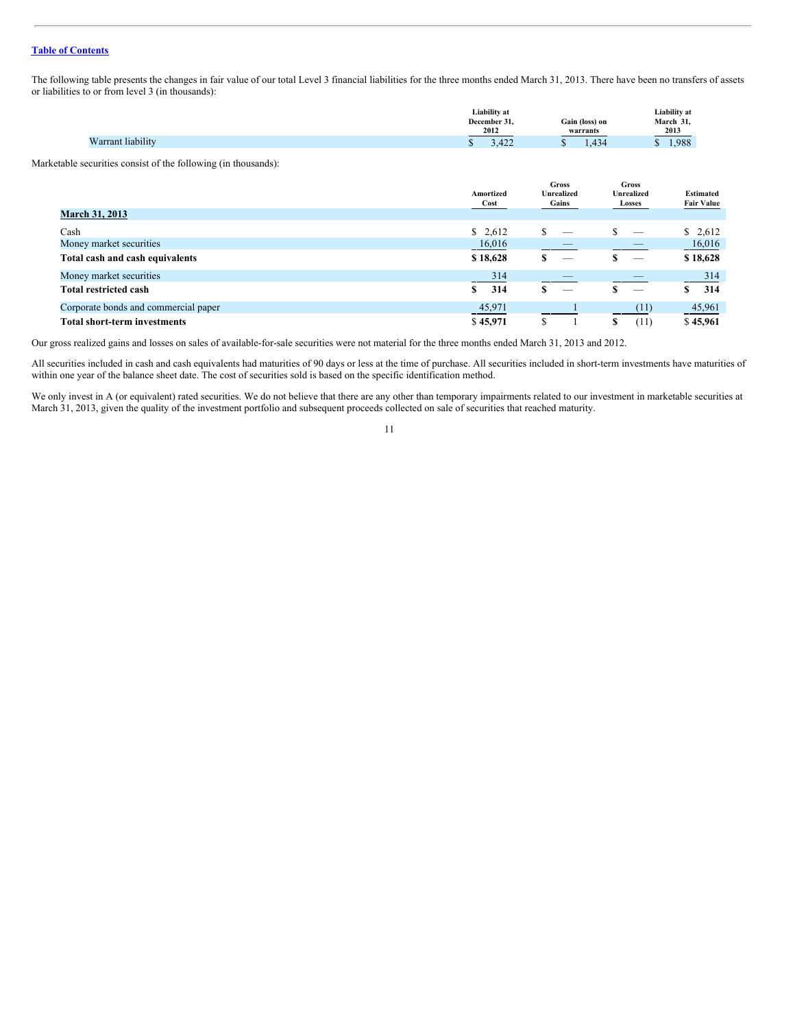The following table presents the changes in fair value of our total Level 3 financial liabilities for the three months ended March 31, 2013. There have been no transfers of assets or liabilities to or from level 3 (in thousands):

|                   | Liability at           |                            | Liability at     |
|-------------------|------------------------|----------------------------|------------------|
|                   | December<br>2012       | Gain (loss) on<br>warrants | March 31<br>2013 |
| √arrant liabilitv | $\Delta$<br>$-122$<br> | 121<br>- ⊤~                | 1.988            |

Marketable securities consist of the following (in thousands):

|                                      | Amortized<br>Cost | Gross<br><b>Unrealized</b><br>Gains | Gross<br><b>Unrealized</b><br>Losses | <b>Estimated</b><br><b>Fair Value</b> |
|--------------------------------------|-------------------|-------------------------------------|--------------------------------------|---------------------------------------|
| <b>March 31, 2013</b>                |                   |                                     |                                      |                                       |
| Cash                                 | \$2,612           | ¢<br>_                              | _                                    | \$2,612                               |
| Money market securities              | 16,016            |                                     |                                      | 16,016                                |
| Total cash and cash equivalents      | \$18,628          | S<br>$\overline{\phantom{m}}$       |                                      | \$18,628                              |
| Money market securities              | 314               |                                     |                                      | 314                                   |
| <b>Total restricted cash</b>         | 314<br>\$         | $\overbrace{\hspace{25mm}}^{}$      |                                      | 314<br>S                              |
| Corporate bonds and commercial paper | 45,971            |                                     | (11)                                 | 45,961                                |
| <b>Total short-term investments</b>  | \$45,971          |                                     | (11)<br>\$                           | \$45,961                              |

Our gross realized gains and losses on sales of available-for-sale securities were not material for the three months ended March 31, 2013 and 2012.

All securities included in cash and cash equivalents had maturities of 90 days or less at the time of purchase. All securities included in short-term investments have maturities of within one year of the balance sheet date. The cost of securities sold is based on the specific identification method.

We only invest in A (or equivalent) rated securities. We do not believe that there are any other than temporary impairments related to our investment in marketable securities at March 31, 2013, given the quality of the investment portfolio and subsequent proceeds collected on sale of securities that reached maturity.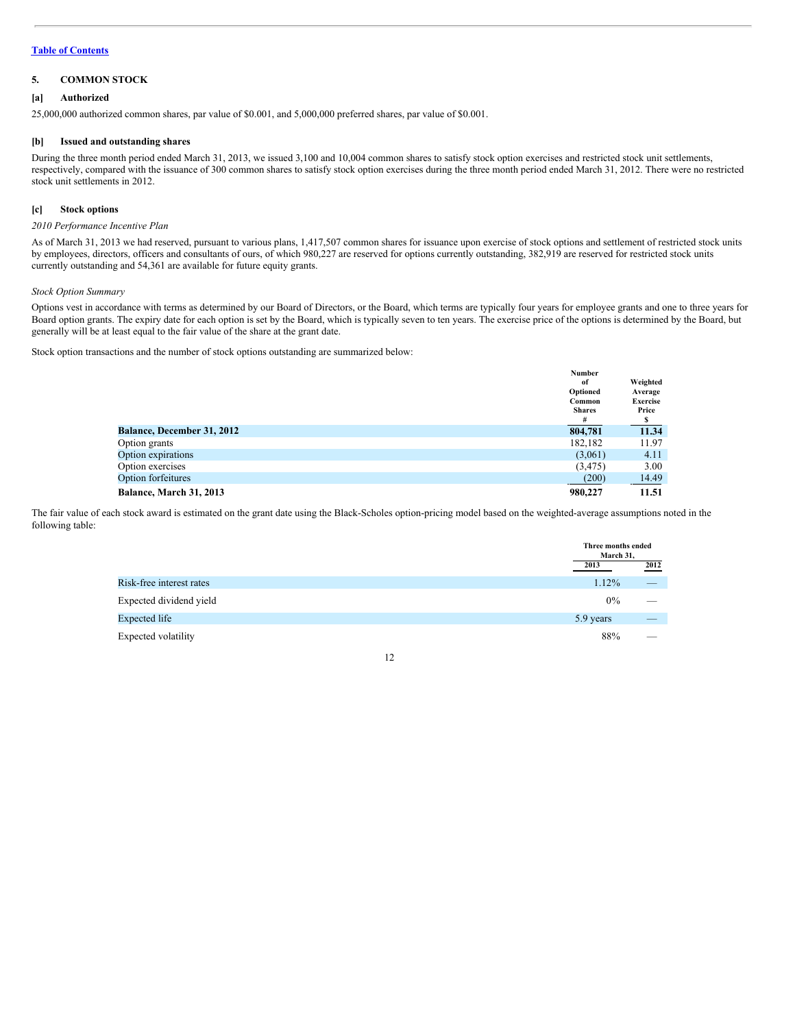# **5. COMMON STOCK**

# **[a] Authorized**

25,000,000 authorized common shares, par value of \$0.001, and 5,000,000 preferred shares, par value of \$0.001.

#### **[b] Issued and outstanding shares**

During the three month period ended March 31, 2013, we issued 3,100 and 10,004 common shares to satisfy stock option exercises and restricted stock unit settlements, respectively, compared with the issuance of 300 common shares to satisfy stock option exercises during the three month period ended March 31, 2012. There were no restricted stock unit settlements in 2012.

# **[c] Stock options**

### *2010 Performance Incentive Plan*

As of March 31, 2013 we had reserved, pursuant to various plans, 1,417,507 common shares for issuance upon exercise of stock options and settlement of restricted stock units by employees, directors, officers and consultants of ours, of which 980,227 are reserved for options currently outstanding, 382,919 are reserved for restricted stock units currently outstanding and 54,361 are available for future equity grants.

# *Stock Option Summary*

Options vest in accordance with terms as determined by our Board of Directors, or the Board, which terms are typically four years for employee grants and one to three years for Board option grants. The expiry date for each option is set by the Board, which is typically seven to ten years. The exercise price of the options is determined by the Board, but generally will be at least equal to the fair value of the share at the grant date.

Stock option transactions and the number of stock options outstanding are summarized below:

|                                   | <b>Number</b> |                 |
|-----------------------------------|---------------|-----------------|
|                                   | of            | Weighted        |
|                                   | Optioned      | Average         |
|                                   | Common        | <b>Exercise</b> |
|                                   | <b>Shares</b> | Price           |
|                                   | #             |                 |
| <b>Balance, December 31, 2012</b> | 804,781       | 11.34           |
| Option grants                     | 182.182       | 11.97           |
| Option expirations                | (3,061)       | 4.11            |
| Option exercises                  | (3, 475)      | 3.00            |
| <b>Option forfeitures</b>         | (200)         | 14.49           |
| <b>Balance, March 31, 2013</b>    | 980,227       | 11.51           |

The fair value of each stock award is estimated on the grant date using the Black-Scholes option-pricing model based on the weighted-average assumptions noted in the following table:

|                          | Three months ended<br>March 31, |                          |
|--------------------------|---------------------------------|--------------------------|
|                          | 2013                            | 2012                     |
| Risk-free interest rates | $1.12\%$                        | $\overline{\phantom{a}}$ |
| Expected dividend yield  | $0\%$                           |                          |
| Expected life            | 5.9 years                       | $\qquad \qquad - \qquad$ |
| Expected volatility      | 88%                             |                          |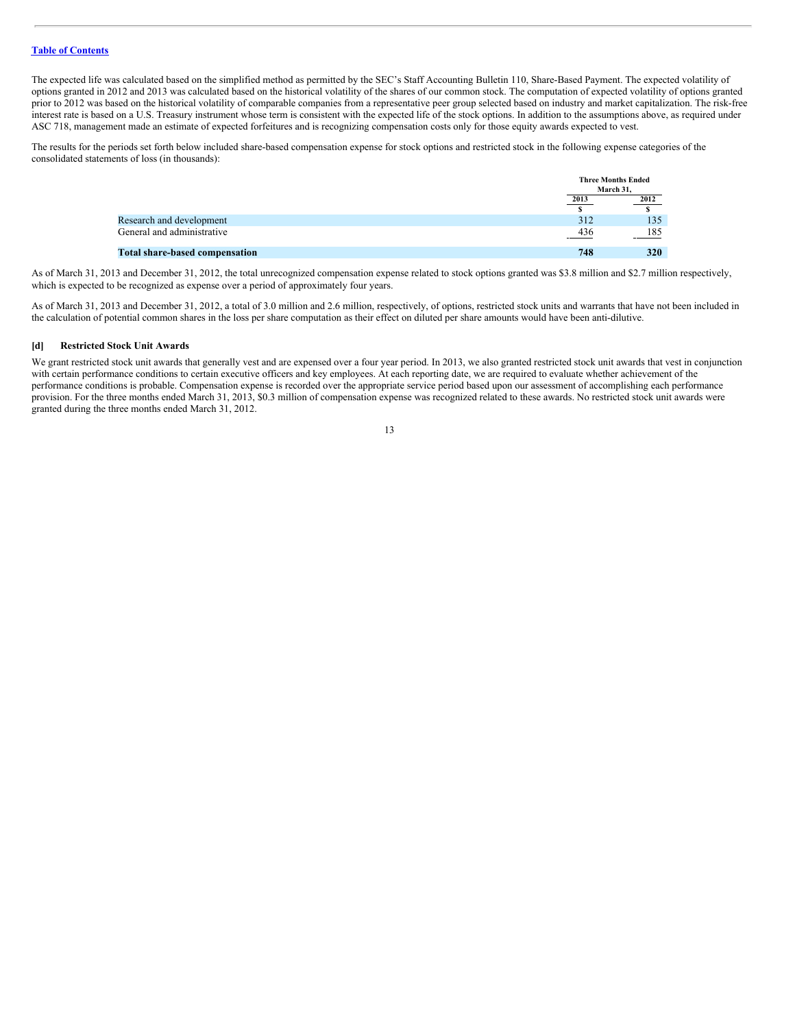The expected life was calculated based on the simplified method as permitted by the SEC's Staff Accounting Bulletin 110, Share-Based Payment. The expected volatility of options granted in 2012 and 2013 was calculated based on the historical volatility of the shares of our common stock. The computation of expected volatility of options granted prior to 2012 was based on the historical volatility of comparable companies from a representative peer group selected based on industry and market capitalization. The risk-free interest rate is based on a U.S. Treasury instrument whose term is consistent with the expected life of the stock options. In addition to the assumptions above, as required under ASC 718, management made an estimate of expected forfeitures and is recognizing compensation costs only for those equity awards expected to vest.

The results for the periods set forth below included share-based compensation expense for stock options and restricted stock in the following expense categories of the consolidated statements of loss (in thousands):

|                                       |      | <b>Three Months Ended</b> |  |
|---------------------------------------|------|---------------------------|--|
|                                       |      | March 31.                 |  |
|                                       | 2013 | $\frac{2012}{s}$          |  |
|                                       |      |                           |  |
| Research and development              | 312  | 135                       |  |
| General and administrative            | 436  | 185                       |  |
| <b>Total share-based compensation</b> | 748  | 320                       |  |

As of March 31, 2013 and December 31, 2012, the total unrecognized compensation expense related to stock options granted was \$3.8 million and \$2.7 million respectively, which is expected to be recognized as expense over a period of approximately four years.

As of March 31, 2013 and December 31, 2012, a total of 3.0 million and 2.6 million, respectively, of options, restricted stock units and warrants that have not been included in the calculation of potential common shares in the loss per share computation as their effect on diluted per share amounts would have been anti-dilutive.

#### **[d] Restricted Stock Unit Awards**

We grant restricted stock unit awards that generally vest and are expensed over a four year period. In 2013, we also granted restricted stock unit awards that vest in conjunction with certain performance conditions to certain executive officers and key employees. At each reporting date, we are required to evaluate whether achievement of the performance conditions is probable. Compensation expense is recorded over the appropriate service period based upon our assessment of accomplishing each performance provision. For the three months ended March 31, 2013, \$0.3 million of compensation expense was recognized related to these awards. No restricted stock unit awards were granted during the three months ended March 31, 2012.

<sup>13</sup>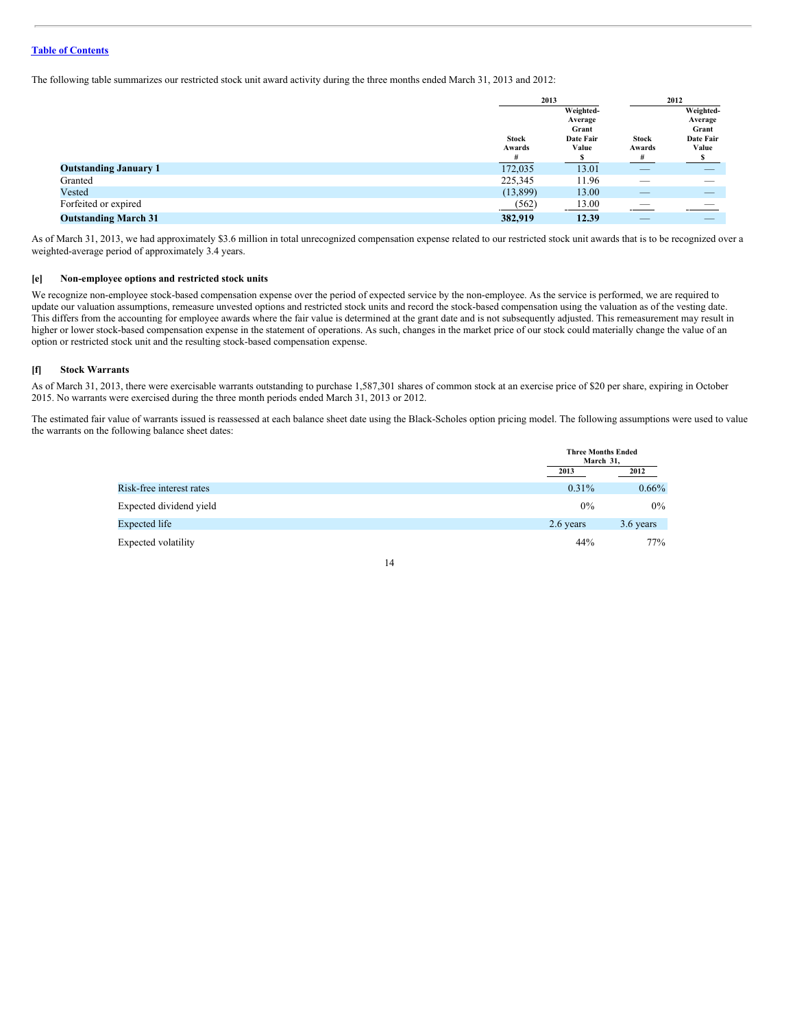The following table summarizes our restricted stock unit award activity during the three months ended March 31, 2013 and 2012:

|                              | 2013                        |                                                     | 2012                        |                                                     |
|------------------------------|-----------------------------|-----------------------------------------------------|-----------------------------|-----------------------------------------------------|
|                              | <b>Stock</b><br>Awards<br># | Weighted-<br>Average<br>Grant<br>Date Fair<br>Value | <b>Stock</b><br>Awards<br># | Weighted-<br>Average<br>Grant<br>Date Fair<br>Value |
| <b>Outstanding January 1</b> | 172,035                     | 13.01                                               | _                           |                                                     |
| Granted                      | 225,345                     | 11.96                                               | __                          | ___                                                 |
| Vested                       | (13,899)                    | 13.00                                               | _                           |                                                     |
| Forfeited or expired         | (562)                       | 13.00                                               |                             |                                                     |
| <b>Outstanding March 31</b>  | 382,919                     | 12.39                                               | _                           |                                                     |

As of March 31, 2013, we had approximately \$3.6 million in total unrecognized compensation expense related to our restricted stock unit awards that is to be recognized over a weighted-average period of approximately 3.4 years.

# **[e] Non-employee options and restricted stock units**

We recognize non-employee stock-based compensation expense over the period of expected service by the non-employee. As the service is performed, we are required to update our valuation assumptions, remeasure unvested options and restricted stock units and record the stock-based compensation using the valuation as of the vesting date. This differs from the accounting for employee awards where the fair value is determined at the grant date and is not subsequently adjusted. This remeasurement may result in higher or lower stock-based compensation expense in the statement of operations. As such, changes in the market price of our stock could materially change the value of an option or restricted stock unit and the resulting stock-based compensation expense.

#### **[f] Stock Warrants**

As of March 31, 2013, there were exercisable warrants outstanding to purchase 1,587,301 shares of common stock at an exercise price of \$20 per share, expiring in October 2015. No warrants were exercised during the three month periods ended March 31, 2013 or 2012.

The estimated fair value of warrants issued is reassessed at each balance sheet date using the Black-Scholes option pricing model. The following assumptions were used to value the warrants on the following balance sheet dates:

|                          |           | <b>Three Months Ended</b><br>March 31. |  |
|--------------------------|-----------|----------------------------------------|--|
|                          | 2013      | 2012                                   |  |
| Risk-free interest rates | $0.31\%$  | $0.66\%$                               |  |
| Expected dividend yield  | 0%        | $0\%$                                  |  |
| Expected life            | 2.6 years | 3.6 years                              |  |
| Expected volatility      | 44%       | 77%                                    |  |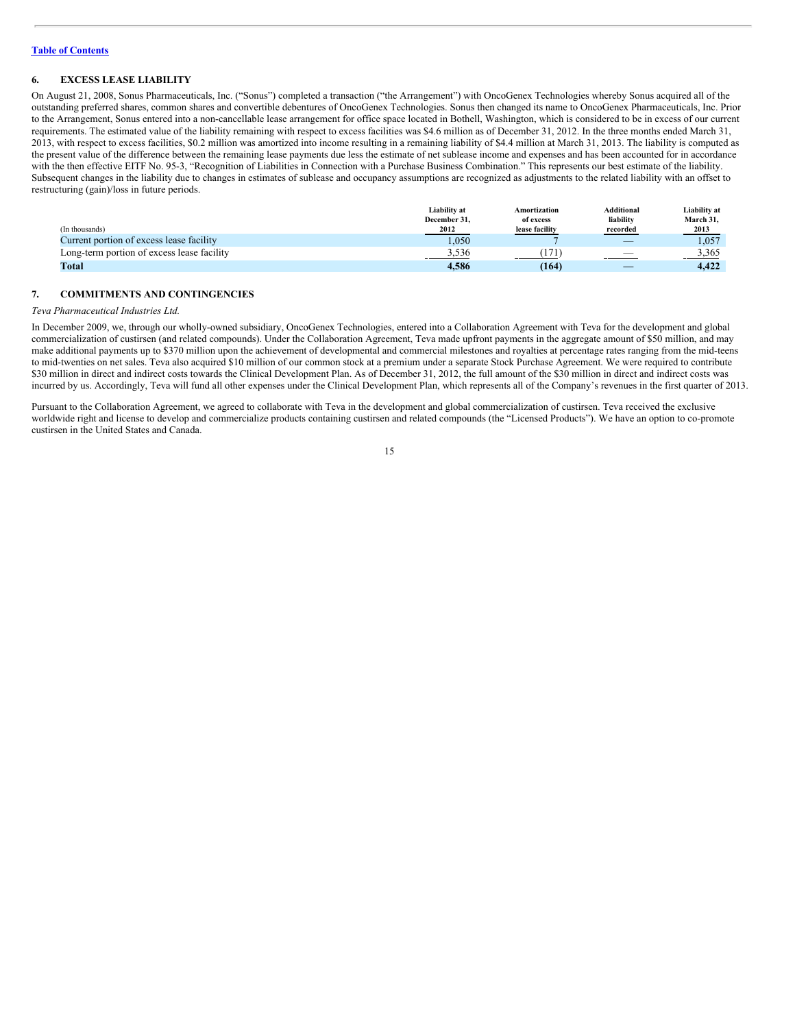# **6. EXCESS LEASE LIABILITY**

On August 21, 2008, Sonus Pharmaceuticals, Inc. ("Sonus") completed a transaction ("the Arrangement") with OncoGenex Technologies whereby Sonus acquired all of the outstanding preferred shares, common shares and convertible debentures of OncoGenex Technologies. Sonus then changed its name to OncoGenex Pharmaceuticals, Inc. Prior to the Arrangement, Sonus entered into a non-cancellable lease arrangement for office space located in Bothell, Washington, which is considered to be in excess of our current requirements. The estimated value of the liability remaining with respect to excess facilities was \$4.6 million as of December 31, 2012. In the three months ended March 31, 2013, with respect to excess facilities, \$0.2 million was amortized into income resulting in a remaining liability of \$4.4 million at March 31, 2013. The liability is computed as the present value of the difference between the remaining lease payments due less the estimate of net sublease income and expenses and has been accounted for in accordance with the then effective EITF No. 95-3, "Recognition of Liabilities in Connection with a Purchase Business Combination." This represents our best estimate of the liability. Subsequent changes in the liability due to changes in estimates of sublease and occupancy assumptions are recognized as adjustments to the related liability with an offset to restructuring (gain)/loss in future periods.

|                                            | Liability at<br>December 31. | Amortization<br>of excess | <b>Additional</b><br>liability | Liability at<br>March 31, |
|--------------------------------------------|------------------------------|---------------------------|--------------------------------|---------------------------|
| (In thousands)                             | 2012                         | lease facility            | recorded                       | 2013                      |
| Current portion of excess lease facility   | .050                         |                           | $\overline{\phantom{a}}$       | 1.057                     |
| Long-term portion of excess lease facility | 3.536                        |                           | $\overline{\phantom{a}}$       | 3.365                     |
| Total                                      | 4.586                        | (164)                     |                                | 4.422                     |

#### **7. COMMITMENTS AND CONTINGENCIES**

#### *Teva Pharmaceutical Industries Ltd.*

In December 2009, we, through our wholly-owned subsidiary, OncoGenex Technologies, entered into a Collaboration Agreement with Teva for the development and global commercialization of custirsen (and related compounds). Under the Collaboration Agreement, Teva made upfront payments in the aggregate amount of \$50 million, and may make additional payments up to \$370 million upon the achievement of developmental and commercial milestones and royalties at percentage rates ranging from the mid-teens to mid-twenties on net sales. Teva also acquired \$10 million of our common stock at a premium under a separate Stock Purchase Agreement. We were required to contribute \$30 million in direct and indirect costs towards the Clinical Development Plan. As of December 31, 2012, the full amount of the \$30 million in direct and indirect costs was incurred by us. Accordingly, Teva will fund all other expenses under the Clinical Development Plan, which represents all of the Company's revenues in the first quarter of 2013.

Pursuant to the Collaboration Agreement, we agreed to collaborate with Teva in the development and global commercialization of custirsen. Teva received the exclusive worldwide right and license to develop and commercialize products containing custirsen and related compounds (the "Licensed Products"). We have an option to co-promote custirsen in the United States and Canada.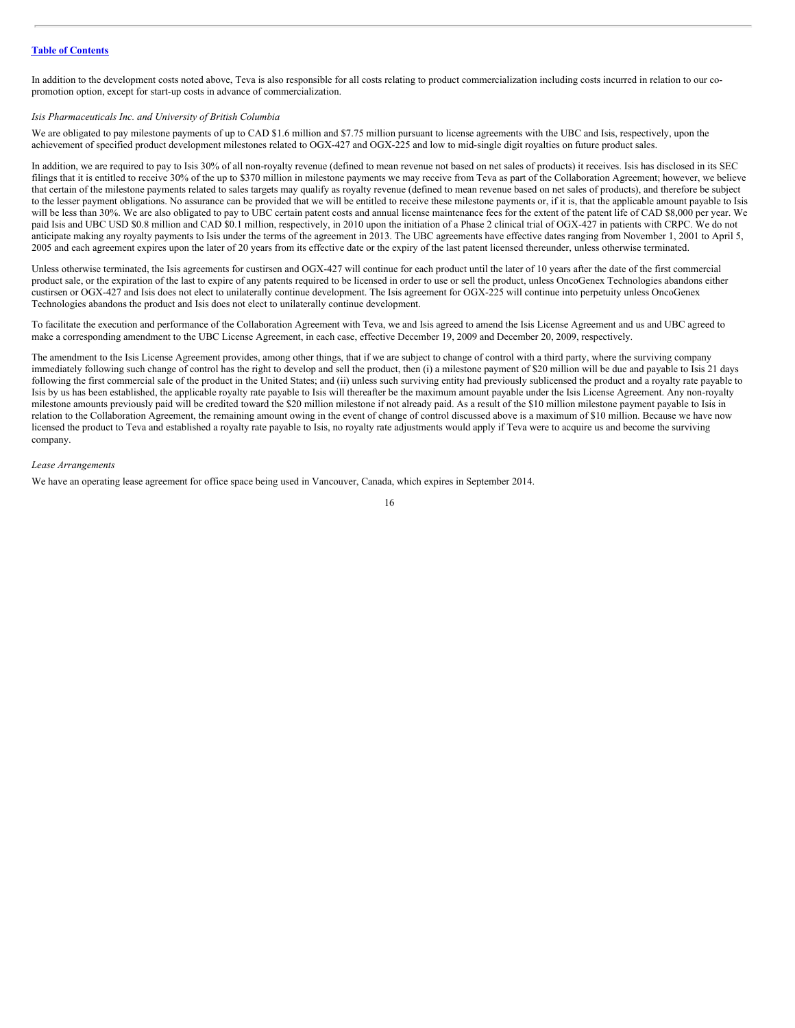In addition to the development costs noted above, Teva is also responsible for all costs relating to product commercialization including costs incurred in relation to our copromotion option, except for start-up costs in advance of commercialization.

#### *Isis Pharmaceuticals Inc. and University of British Columbia*

We are obligated to pay milestone payments of up to CAD \$1.6 million and \$7.75 million pursuant to license agreements with the UBC and Isis, respectively, upon the achievement of specified product development milestones related to OGX-427 and OGX-225 and low to mid-single digit royalties on future product sales.

In addition, we are required to pay to Isis 30% of all non-royalty revenue (defined to mean revenue not based on net sales of products) it receives. Isis has disclosed in its SEC filings that it is entitled to receive 30% of the up to \$370 million in milestone payments we may receive from Teva as part of the Collaboration Agreement; however, we believe that certain of the milestone payments related to sales targets may qualify as royalty revenue (defined to mean revenue based on net sales of products), and therefore be subject to the lesser payment obligations. No assurance can be provided that we will be entitled to receive these milestone payments or, if it is, that the applicable amount payable to Isis will be less than 30%. We are also obligated to pay to UBC certain patent costs and annual license maintenance fees for the extent of the patent life of CAD \$8,000 per year. We paid Isis and UBC USD \$0.8 million and CAD \$0.1 million, respectively, in 2010 upon the initiation of a Phase 2 clinical trial of OGX-427 in patients with CRPC. We do not anticipate making any royalty payments to Isis under the terms of the agreement in 2013. The UBC agreements have effective dates ranging from November 1, 2001 to April 5, 2005 and each agreement expires upon the later of 20 years from its effective date or the expiry of the last patent licensed thereunder, unless otherwise terminated.

Unless otherwise terminated, the Isis agreements for custirsen and OGX-427 will continue for each product until the later of 10 years after the date of the first commercial product sale, or the expiration of the last to expire of any patents required to be licensed in order to use or sell the product, unless OncoGenex Technologies abandons either custirsen or OGX-427 and Isis does not elect to unilaterally continue development. The Isis agreement for OGX-225 will continue into perpetuity unless OncoGenex Technologies abandons the product and Isis does not elect to unilaterally continue development.

To facilitate the execution and performance of the Collaboration Agreement with Teva, we and Isis agreed to amend the Isis License Agreement and us and UBC agreed to make a corresponding amendment to the UBC License Agreement, in each case, effective December 19, 2009 and December 20, 2009, respectively.

The amendment to the Isis License Agreement provides, among other things, that if we are subject to change of control with a third party, where the surviving company immediately following such change of control has the right to develop and sell the product, then (i) a milestone payment of \$20 million will be due and payable to Isis 21 days following the first commercial sale of the product in the United States; and (ii) unless such surviving entity had previously sublicensed the product and a royalty rate payable to Isis by us has been established, the applicable royalty rate payable to Isis will thereafter be the maximum amount payable under the Isis License Agreement. Any non-royalty milestone amounts previously paid will be credited toward the \$20 million milestone if not already paid. As a result of the \$10 million milestone payment payable to Isis in relation to the Collaboration Agreement, the remaining amount owing in the event of change of control discussed above is a maximum of \$10 million. Because we have now licensed the product to Teva and established a royalty rate payable to Isis, no royalty rate adjustments would apply if Teva were to acquire us and become the surviving company.

#### *Lease Arrangements*

We have an operating lease agreement for office space being used in Vancouver, Canada, which expires in September 2014.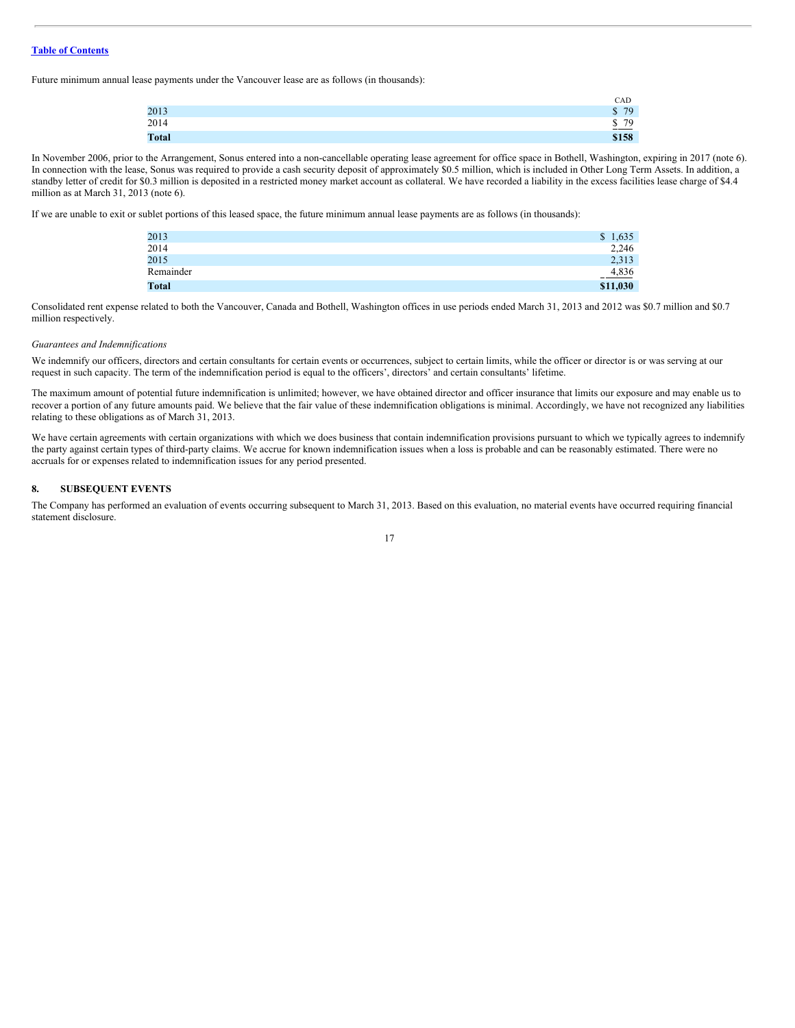Future minimum annual lease payments under the Vancouver lease are as follows (in thousands):

|              | CAD                 |
|--------------|---------------------|
| 2013         | 79<br>Ψ             |
| 2014         | $\underline{\$ 79}$ |
| <b>Total</b> | \$158               |

In November 2006, prior to the Arrangement, Sonus entered into a non-cancellable operating lease agreement for office space in Bothell, Washington, expiring in 2017 (note 6). In connection with the lease, Sonus was required to provide a cash security deposit of approximately \$0.5 million, which is included in Other Long Term Assets. In addition, a standby letter of credit for \$0.3 million is deposited in a restricted money market account as collateral. We have recorded a liability in the excess facilities lease charge of \$4.4 million as at March 31, 2013 (note 6).

If we are unable to exit or sublet portions of this leased space, the future minimum annual lease payments are as follows (in thousands):

| 2013         | \$1,635  |
|--------------|----------|
| 2014         | 2,246    |
| 2015         | 2,313    |
| Remainder    | 4,836    |
| <b>Total</b> | \$11,030 |

Consolidated rent expense related to both the Vancouver, Canada and Bothell, Washington offices in use periods ended March 31, 2013 and 2012 was \$0.7 million and \$0.7 million respectively.

#### *Guarantees and Indemnifications*

We indemnify our officers, directors and certain consultants for certain events or occurrences, subject to certain limits, while the officer or director is or was serving at our request in such capacity. The term of the indemnification period is equal to the officers', directors' and certain consultants' lifetime.

The maximum amount of potential future indemnification is unlimited; however, we have obtained director and officer insurance that limits our exposure and may enable us to recover a portion of any future amounts paid. We believe that the fair value of these indemnification obligations is minimal. Accordingly, we have not recognized any liabilities relating to these obligations as of March 31, 2013.

We have certain agreements with certain organizations with which we does business that contain indemnification provisions pursuant to which we typically agrees to indemnify the party against certain types of third-party claims. We accrue for known indemnification issues when a loss is probable and can be reasonably estimated. There were no accruals for or expenses related to indemnification issues for any period presented.

# **8. SUBSEQUENT EVENTS**

The Company has performed an evaluation of events occurring subsequent to March 31, 2013. Based on this evaluation, no material events have occurred requiring financial statement disclosure.

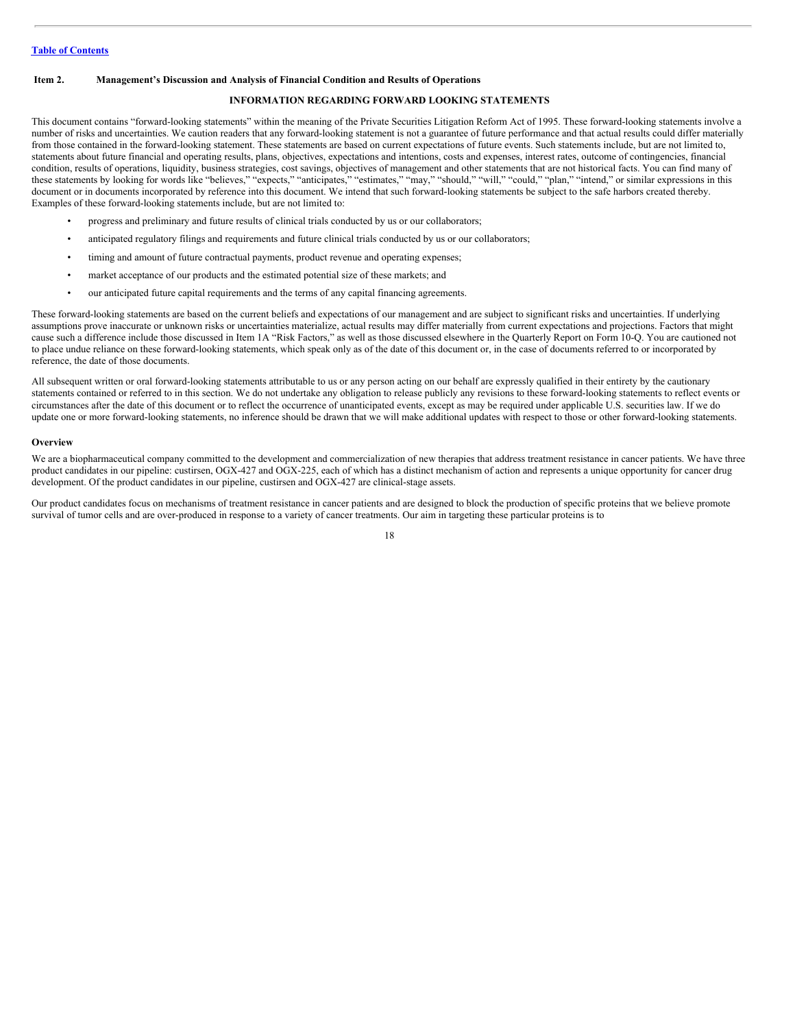# <span id="page-17-0"></span>**Item 2. Management's Discussion and Analysis of Financial Condition and Results of Operations**

# **INFORMATION REGARDING FORWARD LOOKING STATEMENTS**

This document contains "forward-looking statements" within the meaning of the Private Securities Litigation Reform Act of 1995. These forward-looking statements involve a number of risks and uncertainties. We caution readers that any forward-looking statement is not a guarantee of future performance and that actual results could differ materially from those contained in the forward-looking statement. These statements are based on current expectations of future events. Such statements include, but are not limited to, statements about future financial and operating results, plans, objectives, expectations and intentions, costs and expenses, interest rates, outcome of contingencies, financial condition, results of operations, liquidity, business strategies, cost savings, objectives of management and other statements that are not historical facts. You can find many of these statements by looking for words like "believes," "expects," "anticipates," "estimates," "may," "should," "will," "could," "plan," "intend," or similar expressions in this document or in documents incorporated by reference into this document. We intend that such forward-looking statements be subject to the safe harbors created thereby. Examples of these forward-looking statements include, but are not limited to:

- progress and preliminary and future results of clinical trials conducted by us or our collaborators;
- anticipated regulatory filings and requirements and future clinical trials conducted by us or our collaborators;
- timing and amount of future contractual payments, product revenue and operating expenses;
- market acceptance of our products and the estimated potential size of these markets; and
- our anticipated future capital requirements and the terms of any capital financing agreements.

These forward-looking statements are based on the current beliefs and expectations of our management and are subject to significant risks and uncertainties. If underlying assumptions prove inaccurate or unknown risks or uncertainties materialize, actual results may differ materially from current expectations and projections. Factors that might cause such a difference include those discussed in Item 1A "Risk Factors," as well as those discussed elsewhere in the Quarterly Report on Form 10-Q. You are cautioned not to place undue reliance on these forward-looking statements, which speak only as of the date of this document or, in the case of documents referred to or incorporated by reference, the date of those documents.

All subsequent written or oral forward-looking statements attributable to us or any person acting on our behalf are expressly qualified in their entirety by the cautionary statements contained or referred to in this section. We do not undertake any obligation to release publicly any revisions to these forward-looking statements to reflect events or circumstances after the date of this document or to reflect the occurrence of unanticipated events, except as may be required under applicable U.S. securities law. If we do update one or more forward-looking statements, no inference should be drawn that we will make additional updates with respect to those or other forward-looking statements.

#### **Overview**

We are a biopharmaceutical company committed to the development and commercialization of new therapies that address treatment resistance in cancer patients. We have three product candidates in our pipeline: custirsen, OGX-427 and OGX-225, each of which has a distinct mechanism of action and represents a unique opportunity for cancer drug development. Of the product candidates in our pipeline, custirsen and OGX-427 are clinical-stage assets.

Our product candidates focus on mechanisms of treatment resistance in cancer patients and are designed to block the production of specific proteins that we believe promote survival of tumor cells and are over-produced in response to a variety of cancer treatments. Our aim in targeting these particular proteins is to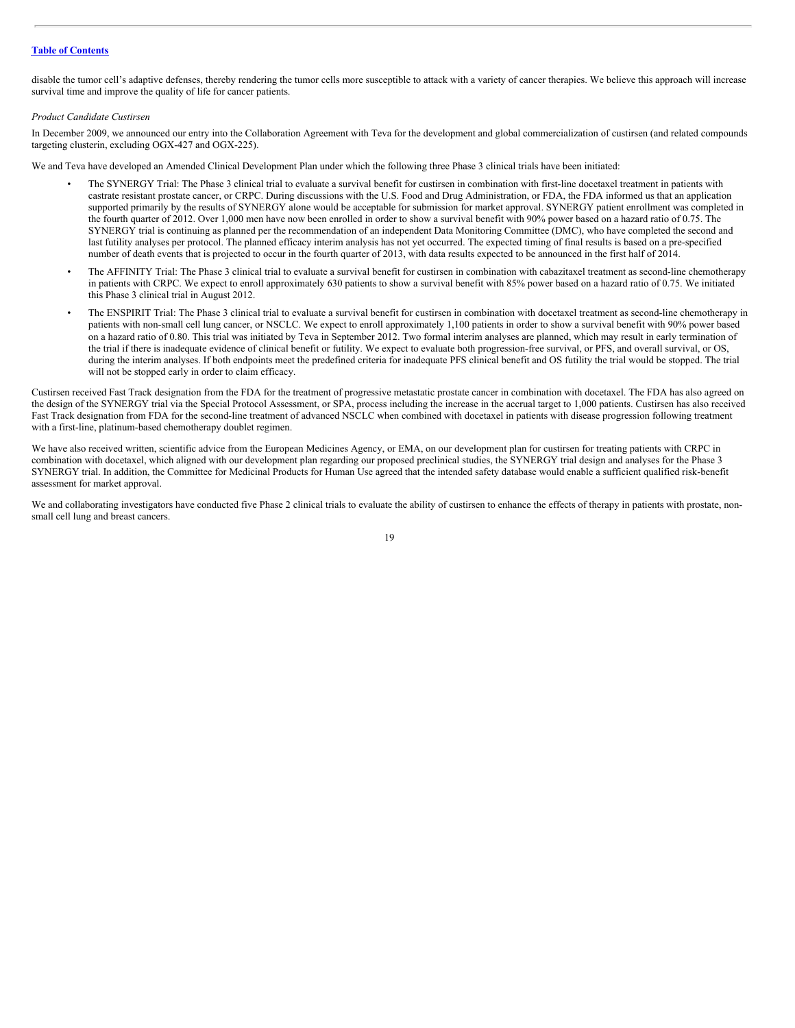disable the tumor cell's adaptive defenses, thereby rendering the tumor cells more susceptible to attack with a variety of cancer therapies. We believe this approach will increase survival time and improve the quality of life for cancer patients.

#### *Product Candidate Custirsen*

In December 2009, we announced our entry into the Collaboration Agreement with Teva for the development and global commercialization of custirsen (and related compounds targeting clusterin, excluding OGX-427 and OGX-225).

We and Teva have developed an Amended Clinical Development Plan under which the following three Phase 3 clinical trials have been initiated:

- The SYNERGY Trial: The Phase 3 clinical trial to evaluate a survival benefit for custirsen in combination with first-line docetaxel treatment in patients with castrate resistant prostate cancer, or CRPC. During discussions with the U.S. Food and Drug Administration, or FDA, the FDA informed us that an application supported primarily by the results of SYNERGY alone would be acceptable for submission for market approval. SYNERGY patient enrollment was completed in the fourth quarter of 2012. Over 1,000 men have now been enrolled in order to show a survival benefit with 90% power based on a hazard ratio of 0.75. The SYNERGY trial is continuing as planned per the recommendation of an independent Data Monitoring Committee (DMC), who have completed the second and last futility analyses per protocol. The planned efficacy interim analysis has not yet occurred. The expected timing of final results is based on a pre-specified number of death events that is projected to occur in the fourth quarter of 2013, with data results expected to be announced in the first half of 2014.
- The AFFINITY Trial: The Phase 3 clinical trial to evaluate a survival benefit for custirsen in combination with cabazitaxel treatment as second-line chemotherapy in patients with CRPC. We expect to enroll approximately 630 patients to show a survival benefit with 85% power based on a hazard ratio of 0.75. We initiated this Phase 3 clinical trial in August 2012.
- The ENSPIRIT Trial: The Phase 3 clinical trial to evaluate a survival benefit for custirsen in combination with docetaxel treatment as second-line chemotherapy in patients with non-small cell lung cancer, or NSCLC. We expect to enroll approximately 1,100 patients in order to show a survival benefit with 90% power based on a hazard ratio of 0.80. This trial was initiated by Teva in September 2012. Two formal interim analyses are planned, which may result in early termination of the trial if there is inadequate evidence of clinical benefit or futility. We expect to evaluate both progression-free survival, or PFS, and overall survival, or OS, during the interim analyses. If both endpoints meet the predefined criteria for inadequate PFS clinical benefit and OS futility the trial would be stopped. The trial will not be stopped early in order to claim efficacy.

Custirsen received Fast Track designation from the FDA for the treatment of progressive metastatic prostate cancer in combination with docetaxel. The FDA has also agreed on the design of the SYNERGY trial via the Special Protocol Assessment, or SPA, process including the increase in the accrual target to 1,000 patients. Custirsen has also received Fast Track designation from FDA for the second-line treatment of advanced NSCLC when combined with docetaxel in patients with disease progression following treatment with a first-line, platinum-based chemotherapy doublet regimen.

We have also received written, scientific advice from the European Medicines Agency, or EMA, on our development plan for custirsen for treating patients with CRPC in combination with docetaxel, which aligned with our development plan regarding our proposed preclinical studies, the SYNERGY trial design and analyses for the Phase 3 SYNERGY trial. In addition, the Committee for Medicinal Products for Human Use agreed that the intended safety database would enable a sufficient qualified risk-benefit assessment for market approval.

We and collaborating investigators have conducted five Phase 2 clinical trials to evaluate the ability of custirsen to enhance the effects of therapy in patients with prostate, nonsmall cell lung and breast cancers.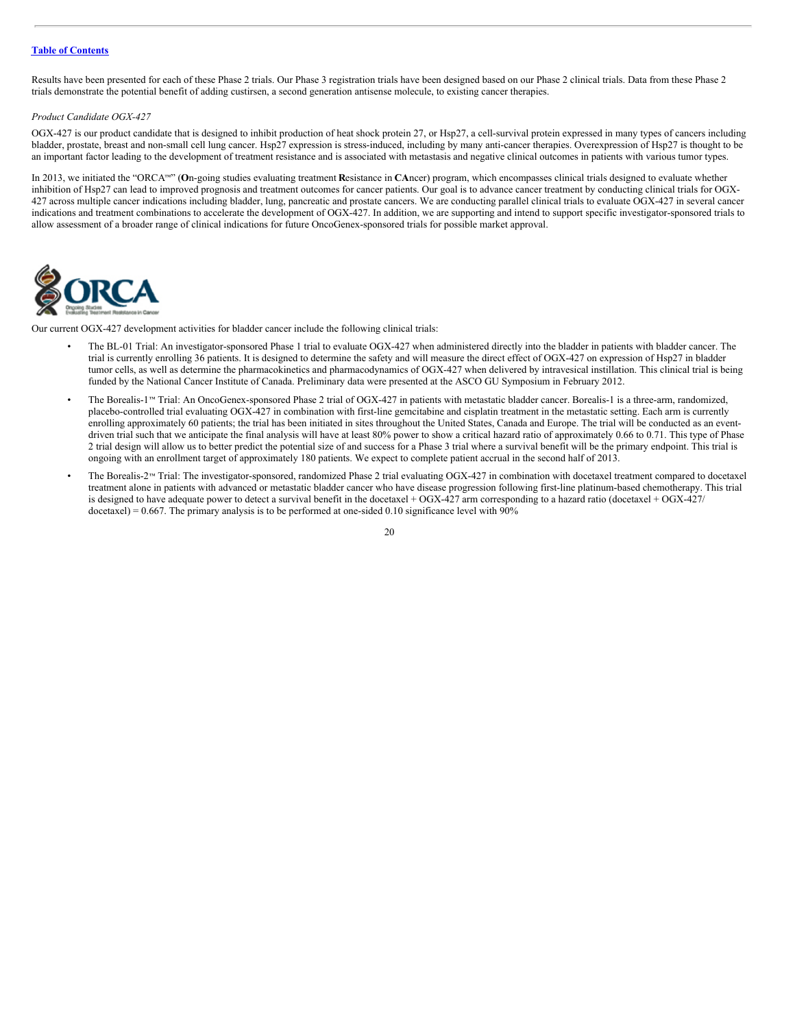Results have been presented for each of these Phase 2 trials. Our Phase 3 registration trials have been designed based on our Phase 2 clinical trials. Data from these Phase 2 trials demonstrate the potential benefit of adding custirsen, a second generation antisense molecule, to existing cancer therapies.

#### *Product Candidate OGX-427*

OGX-427 is our product candidate that is designed to inhibit production of heat shock protein 27, or Hsp27, a cell-survival protein expressed in many types of cancers including bladder, prostate, breast and non-small cell lung cancer. Hsp27 expression is stress-induced, including by many anti-cancer therapies. Overexpression of Hsp27 is thought to be an important factor leading to the development of treatment resistance and is associated with metastasis and negative clinical outcomes in patients with various tumor types.

In 2013, we initiated the "ORCA™" (On-going studies evaluating treatment Resistance in CAncer) program, which encompasses clinical trials designed to evaluate whether inhibition of Hsp27 can lead to improved prognosis and treatment outcomes for cancer patients. Our goal is to advance cancer treatment by conducting clinical trials for OGX-427 across multiple cancer indications including bladder, lung, pancreatic and prostate cancers. We are conducting parallel clinical trials to evaluate OGX-427 in several cancer indications and treatment combinations to accelerate the development of OGX-427. In addition, we are supporting and intend to support specific investigator-sponsored trials to allow assessment of a broader range of clinical indications for future OncoGenex-sponsored trials for possible market approval.



Our current OGX-427 development activities for bladder cancer include the following clinical trials:

- The BL-01 Trial: An investigator-sponsored Phase 1 trial to evaluate OGX-427 when administered directly into the bladder in patients with bladder cancer. The trial is currently enrolling 36 patients. It is designed to determine the safety and will measure the direct effect of OGX-427 on expression of Hsp27 in bladder tumor cells, as well as determine the pharmacokinetics and pharmacodynamics of OGX-427 when delivered by intravesical instillation. This clinical trial is being funded by the National Cancer Institute of Canada. Preliminary data were presented at the ASCO GU Symposium in February 2012.
- · The Borealis-1<sup>™</sup> Trial: An OncoGenex-sponsored Phase 2 trial of OGX-427 in patients with metastatic bladder cancer. Borealis-1 is a three-arm, randomized, placebo-controlled trial evaluating OGX-427 in combination with first-line gemcitabine and cisplatin treatment in the metastatic setting. Each arm is currently enrolling approximately 60 patients; the trial has been initiated in sites throughout the United States, Canada and Europe. The trial will be conducted as an eventdriven trial such that we anticipate the final analysis will have at least 80% power to show a critical hazard ratio of approximately 0.66 to 0.71. This type of Phase 2 trial design will allow us to better predict the potential size of and success for a Phase 3 trial where a survival benefit will be the primary endpoint. This trial is ongoing with an enrollment target of approximately 180 patients. We expect to complete patient accrual in the second half of 2013.
- The Borealis-2<sup>nd</sup> Trial: The investigator-sponsored, randomized Phase 2 trial evaluating OGX-427 in combination with docetaxel treatment compared to docetaxel treatment alone in patients with advanced or metastatic bladder cancer who have disease progression following first-line platinum-based chemotherapy. This trial is designed to have adequate power to detect a survival benefit in the docetaxel + OGX-427 arm corresponding to a hazard ratio (docetaxel + OGX-427/ docetaxel) =  $0.667$ . The primary analysis is to be performed at one-sided 0.10 significance level with 90%

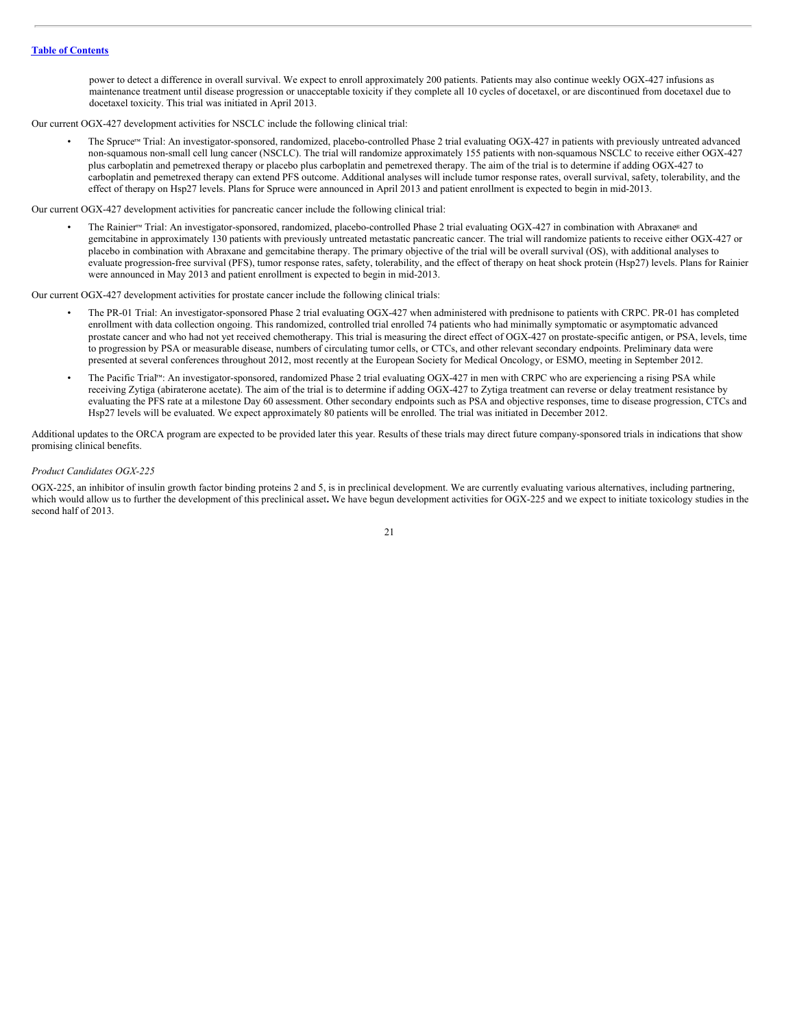power to detect a difference in overall survival. We expect to enroll approximately 200 patients. Patients may also continue weekly OGX-427 infusions as maintenance treatment until disease progression or unacceptable toxicity if they complete all 10 cycles of docetaxel, or are discontinued from docetaxel due to docetaxel toxicity. This trial was initiated in April 2013.

Our current OGX-427 development activities for NSCLC include the following clinical trial:

· The Spruce™ Trial: An investigator-sponsored, randomized, placebo-controlled Phase 2 trial evaluating OGX-427 in patients with previously untreated advanced non-squamous non-small cell lung cancer (NSCLC). The trial will randomize approximately 155 patients with non-squamous NSCLC to receive either OGX-427 plus carboplatin and pemetrexed therapy or placebo plus carboplatin and pemetrexed therapy. The aim of the trial is to determine if adding OGX-427 to carboplatin and pemetrexed therapy can extend PFS outcome. Additional analyses will include tumor response rates, overall survival, safety, tolerability, and the effect of therapy on Hsp27 levels. Plans for Spruce were announced in April 2013 and patient enrollment is expected to begin in mid-2013.

Our current OGX-427 development activities for pancreatic cancer include the following clinical trial:

• The Rainier<sup>™</sup> Trial: An investigator-sponsored, randomized, placebo-controlled Phase 2 trial evaluating OGX-427 in combination with Abraxane® and gemcitabine in approximately 130 patients with previously untreated metastatic pancreatic cancer. The trial will randomize patients to receive either OGX-427 or placebo in combination with Abraxane and gemcitabine therapy. The primary objective of the trial will be overall survival (OS), with additional analyses to evaluate progression-free survival (PFS), tumor response rates, safety, tolerability, and the effect of therapy on heat shock protein (Hsp27) levels. Plans for Rainier were announced in May 2013 and patient enrollment is expected to begin in mid-2013.

Our current OGX-427 development activities for prostate cancer include the following clinical trials:

- The PR-01 Trial: An investigator-sponsored Phase 2 trial evaluating OGX-427 when administered with prednisone to patients with CRPC. PR-01 has completed enrollment with data collection ongoing. This randomized, controlled trial enrolled 74 patients who had minimally symptomatic or asymptomatic advanced prostate cancer and who had not yet received chemotherapy. This trial is measuring the direct effect of OGX-427 on prostate-specific antigen, or PSA, levels, time to progression by PSA or measurable disease, numbers of circulating tumor cells, or CTCs, and other relevant secondary endpoints. Preliminary data were presented at several conferences throughout 2012, most recently at the European Society for Medical Oncology, or ESMO, meeting in September 2012.
- The Pacific Trial<sup>rM</sup>: An investigator-sponsored, randomized Phase 2 trial evaluating OGX-427 in men with CRPC who are experiencing a rising PSA while receiving Zytiga (abiraterone acetate). The aim of the trial is to determine if adding OGX-427 to Zytiga treatment can reverse or delay treatment resistance by evaluating the PFS rate at a milestone Day 60 assessment. Other secondary endpoints such as PSA and objective responses, time to disease progression, CTCs and Hsp27 levels will be evaluated. We expect approximately 80 patients will be enrolled. The trial was initiated in December 2012.

Additional updates to the ORCA program are expected to be provided later this year. Results of these trials may direct future company-sponsored trials in indications that show promising clinical benefits.

#### *Product Candidates OGX-225*

OGX-225, an inhibitor of insulin growth factor binding proteins 2 and 5, is in preclinical development. We are currently evaluating various alternatives, including partnering, which would allow us to further the development of this preclinical asset. We have begun development activities for OGX-225 and we expect to initiate toxicology studies in the second half of 2013.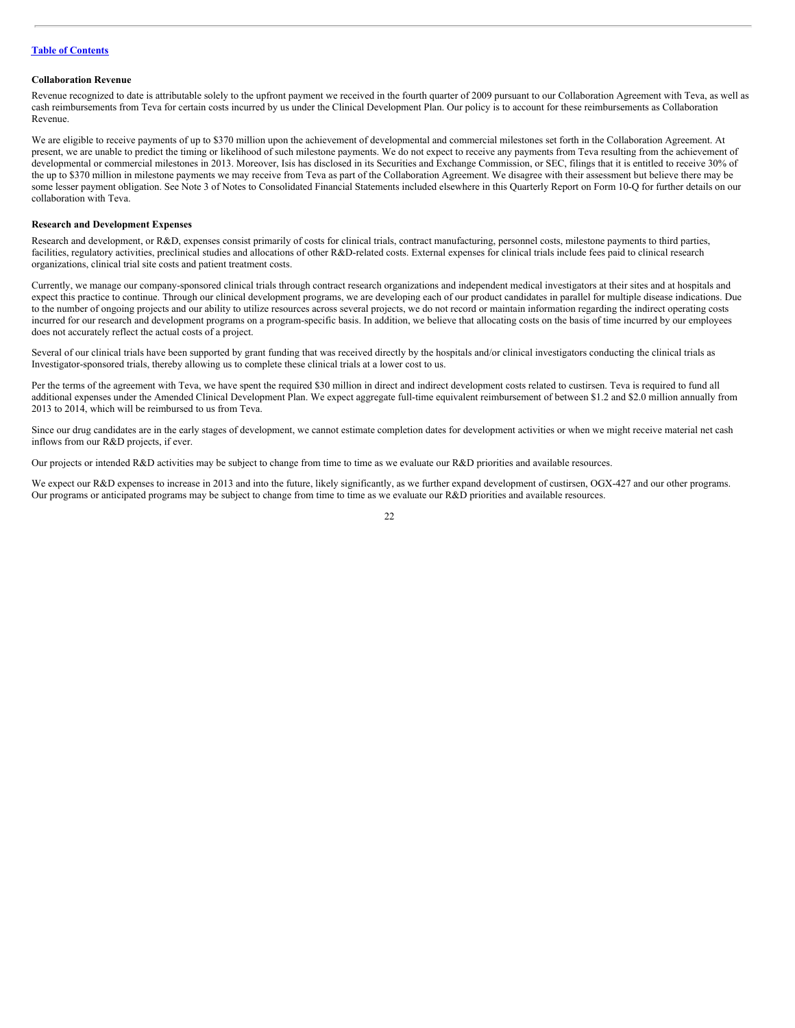#### **Collaboration Revenue**

Revenue recognized to date is attributable solely to the upfront payment we received in the fourth quarter of 2009 pursuant to our Collaboration Agreement with Teva, as well as cash reimbursements from Teva for certain costs incurred by us under the Clinical Development Plan. Our policy is to account for these reimbursements as Collaboration Revenue.

We are eligible to receive payments of up to \$370 million upon the achievement of developmental and commercial milestones set forth in the Collaboration Agreement. At present, we are unable to predict the timing or likelihood of such milestone payments. We do not expect to receive any payments from Teva resulting from the achievement of developmental or commercial milestones in 2013. Moreover, Isis has disclosed in its Securities and Exchange Commission, or SEC, filings that it is entitled to receive 30% of the up to \$370 million in milestone payments we may receive from Teva as part of the Collaboration Agreement. We disagree with their assessment but believe there may be some lesser payment obligation. See Note 3 of Notes to Consolidated Financial Statements included elsewhere in this Quarterly Report on Form 10-Q for further details on our collaboration with Teva.

#### **Research and Development Expenses**

Research and development, or R&D, expenses consist primarily of costs for clinical trials, contract manufacturing, personnel costs, milestone payments to third parties, facilities, regulatory activities, preclinical studies and allocations of other R&D-related costs. External expenses for clinical trials include fees paid to clinical research organizations, clinical trial site costs and patient treatment costs.

Currently, we manage our company-sponsored clinical trials through contract research organizations and independent medical investigators at their sites and at hospitals and expect this practice to continue. Through our clinical development programs, we are developing each of our product candidates in parallel for multiple disease indications. Due to the number of ongoing projects and our ability to utilize resources across several projects, we do not record or maintain information regarding the indirect operating costs incurred for our research and development programs on a program-specific basis. In addition, we believe that allocating costs on the basis of time incurred by our employees does not accurately reflect the actual costs of a project.

Several of our clinical trials have been supported by grant funding that was received directly by the hospitals and/or clinical investigators conducting the clinical trials as Investigator-sponsored trials, thereby allowing us to complete these clinical trials at a lower cost to us.

Per the terms of the agreement with Teva, we have spent the required \$30 million in direct and indirect development costs related to custirsen. Teva is required to fund all additional expenses under the Amended Clinical Development Plan. We expect aggregate full-time equivalent reimbursement of between \$1.2 and \$2.0 million annually from 2013 to 2014, which will be reimbursed to us from Teva.

Since our drug candidates are in the early stages of development, we cannot estimate completion dates for development activities or when we might receive material net cash inflows from our R&D projects, if ever.

Our projects or intended R&D activities may be subject to change from time to time as we evaluate our R&D priorities and available resources.

We expect our R&D expenses to increase in 2013 and into the future, likely significantly, as we further expand development of custirsen, OGX-427 and our other programs. Our programs or anticipated programs may be subject to change from time to time as we evaluate our R&D priorities and available resources.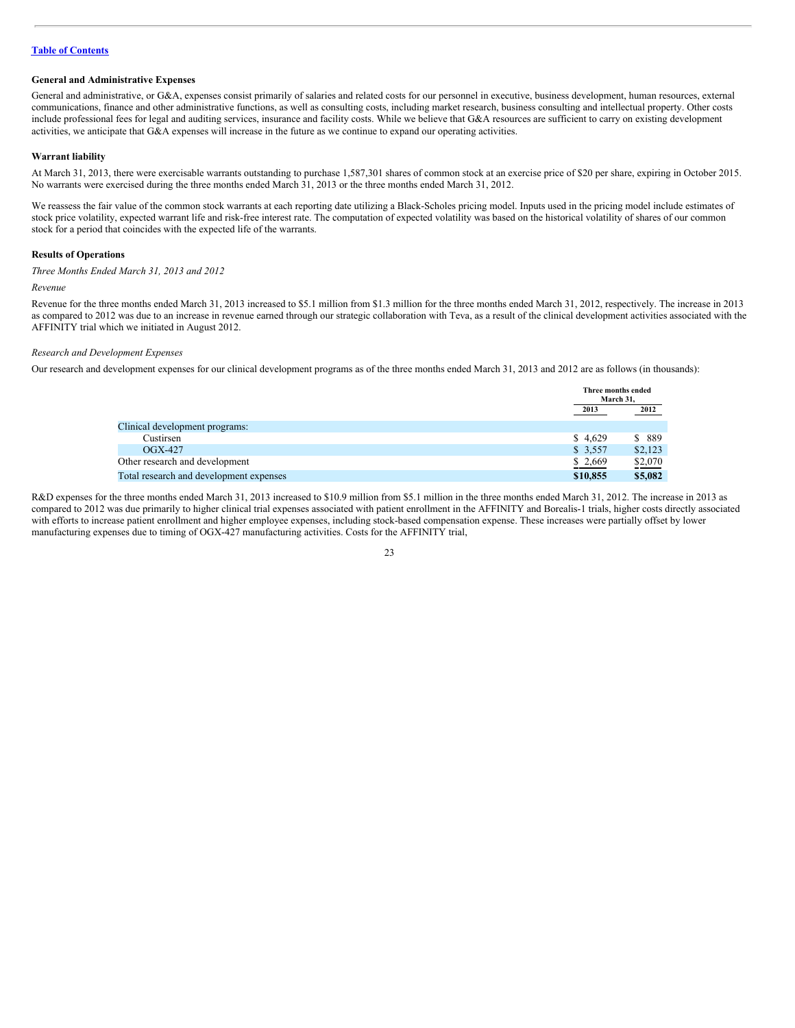#### **General and Administrative Expenses**

General and administrative, or G&A, expenses consist primarily of salaries and related costs for our personnel in executive, business development, human resources, external communications, finance and other administrative functions, as well as consulting costs, including market research, business consulting and intellectual property. Other costs include professional fees for legal and auditing services, insurance and facility costs. While we believe that G&A resources are sufficient to carry on existing development activities, we anticipate that G&A expenses will increase in the future as we continue to expand our operating activities.

#### **Warrant liability**

At March 31, 2013, there were exercisable warrants outstanding to purchase 1,587,301 shares of common stock at an exercise price of \$20 per share, expiring in October 2015. No warrants were exercised during the three months ended March 31, 2013 or the three months ended March 31, 2012.

We reassess the fair value of the common stock warrants at each reporting date utilizing a Black-Scholes pricing model. Inputs used in the pricing model include estimates of stock price volatility, expected warrant life and risk-free interest rate. The computation of expected volatility was based on the historical volatility of shares of our common stock for a period that coincides with the expected life of the warrants.

#### **Results of Operations**

*Three Months Ended March 31, 2013 and 2012*

#### *Revenue*

Revenue for the three months ended March 31, 2013 increased to \$5.1 million from \$1.3 million for the three months ended March 31, 2012, respectively. The increase in 2013 as compared to 2012 was due to an increase in revenue earned through our strategic collaboration with Teva, as a result of the clinical development activities associated with the AFFINITY trial which we initiated in August 2012.

#### *Research and Development Expenses*

Our research and development expenses for our clinical development programs as of the three months ended March 31, 2013 and 2012 are as follows (in thousands):

|                                         |          | Three months ended<br>March 31. |  |
|-----------------------------------------|----------|---------------------------------|--|
|                                         | 2013     | 2012                            |  |
| Clinical development programs:          |          |                                 |  |
| Custirsen                               | \$4.629  | \$ 889                          |  |
| $OGX-427$                               | \$3,557  | \$2,123                         |  |
| Other research and development          | \$2,669  | \$2,070                         |  |
| Total research and development expenses | \$10,855 | \$5,082                         |  |

R&D expenses for the three months ended March 31, 2013 increased to \$10.9 million from \$5.1 million in the three months ended March 31, 2012. The increase in 2013 as compared to 2012 was due primarily to higher clinical trial expenses associated with patient enrollment in the AFFINITY and Borealis-1 trials, higher costs directly associated with efforts to increase patient enrollment and higher employee expenses, including stock-based compensation expense. These increases were partially offset by lower manufacturing expenses due to timing of OGX-427 manufacturing activities. Costs for the AFFINITY trial,

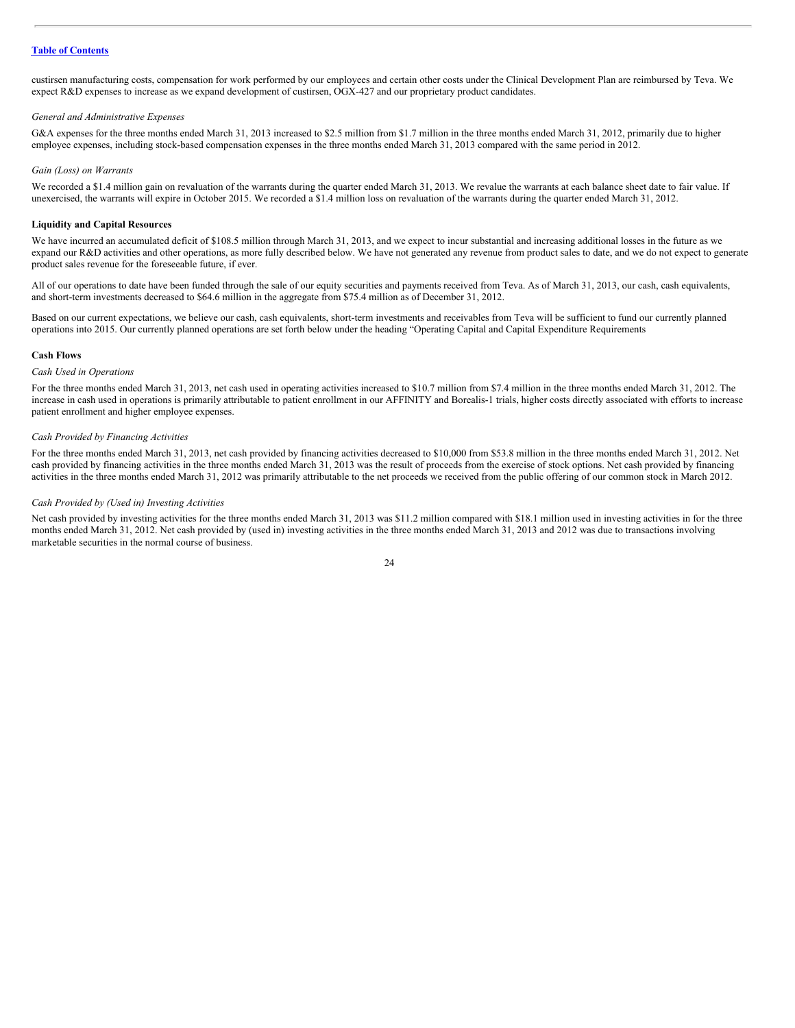custirsen manufacturing costs, compensation for work performed by our employees and certain other costs under the Clinical Development Plan are reimbursed by Teva. We expect R&D expenses to increase as we expand development of custirsen, OGX-427 and our proprietary product candidates.

#### *General and Administrative Expenses*

G&A expenses for the three months ended March 31, 2013 increased to \$2.5 million from \$1.7 million in the three months ended March 31, 2012, primarily due to higher employee expenses, including stock-based compensation expenses in the three months ended March 31, 2013 compared with the same period in 2012.

#### *Gain (Loss) on Warrants*

We recorded a \$1.4 million gain on revaluation of the warrants during the quarter ended March 31, 2013. We revalue the warrants at each balance sheet date to fair value. If unexercised, the warrants will expire in October 2015. We recorded a \$1.4 million loss on revaluation of the warrants during the quarter ended March 31, 2012.

#### **Liquidity and Capital Resources**

We have incurred an accumulated deficit of \$108.5 million through March 31, 2013, and we expect to incur substantial and increasing additional losses in the future as we expand our R&D activities and other operations, as more fully described below. We have not generated any revenue from product sales to date, and we do not expect to generate product sales revenue for the foreseeable future, if ever.

All of our operations to date have been funded through the sale of our equity securities and payments received from Teva. As of March 31, 2013, our cash, cash equivalents, and short-term investments decreased to \$64.6 million in the aggregate from \$75.4 million as of December 31, 2012.

Based on our current expectations, we believe our cash, cash equivalents, short-term investments and receivables from Teva will be sufficient to fund our currently planned operations into 2015. Our currently planned operations are set forth below under the heading "Operating Capital and Capital Expenditure Requirements

#### **Cash Flows**

#### *Cash Used in Operations*

For the three months ended March 31, 2013, net cash used in operating activities increased to \$10.7 million from \$7.4 million in the three months ended March 31, 2012. The increase in cash used in operations is primarily attributable to patient enrollment in our AFFINITY and Borealis-1 trials, higher costs directly associated with efforts to increase patient enrollment and higher employee expenses.

#### *Cash Provided by Financing Activities*

For the three months ended March 31, 2013, net cash provided by financing activities decreased to \$10,000 from \$53.8 million in the three months ended March 31, 2012. Net cash provided by financing activities in the three months ended March 31, 2013 was the result of proceeds from the exercise of stock options. Net cash provided by financing activities in the three months ended March 31, 2012 was primarily attributable to the net proceeds we received from the public offering of our common stock in March 2012.

#### *Cash Provided by (Used in) Investing Activities*

Net cash provided by investing activities for the three months ended March 31, 2013 was \$11.2 million compared with \$18.1 million used in investing activities in for the three months ended March 31, 2012. Net cash provided by (used in) investing activities in the three months ended March 31, 2013 and 2012 was due to transactions involving marketable securities in the normal course of business.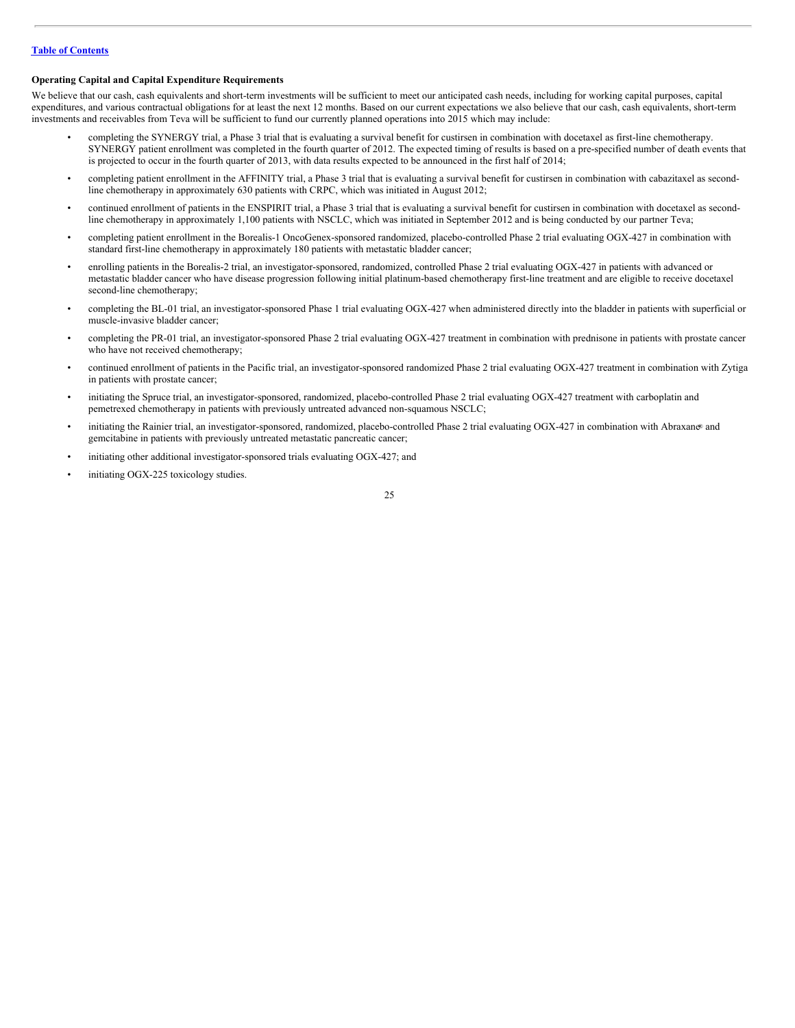# **Operating Capital and Capital Expenditure Requirements**

We believe that our cash, cash equivalents and short-term investments will be sufficient to meet our anticipated cash needs, including for working capital purposes, capital expenditures, and various contractual obligations for at least the next 12 months. Based on our current expectations we also believe that our cash, cash equivalents, short-term investments and receivables from Teva will be sufficient to fund our currently planned operations into 2015 which may include:

- completing the SYNERGY trial, a Phase 3 trial that is evaluating a survival benefit for custirsen in combination with docetaxel as first-line chemotherapy. SYNERGY patient enrollment was completed in the fourth quarter of 2012. The expected timing of results is based on a pre-specified number of death events that is projected to occur in the fourth quarter of 2013, with data results expected to be announced in the first half of 2014;
- completing patient enrollment in the AFFINITY trial, a Phase 3 trial that is evaluating a survival benefit for custirsen in combination with cabazitaxel as secondline chemotherapy in approximately 630 patients with CRPC, which was initiated in August 2012;
- continued enrollment of patients in the ENSPIRIT trial, a Phase 3 trial that is evaluating a survival benefit for custirsen in combination with docetaxel as secondline chemotherapy in approximately 1,100 patients with NSCLC, which was initiated in September 2012 and is being conducted by our partner Teva;
- completing patient enrollment in the Borealis-1 OncoGenex-sponsored randomized, placebo-controlled Phase 2 trial evaluating OGX-427 in combination with standard first-line chemotherapy in approximately 180 patients with metastatic bladder cancer;
- enrolling patients in the Borealis-2 trial, an investigator-sponsored, randomized, controlled Phase 2 trial evaluating OGX-427 in patients with advanced or metastatic bladder cancer who have disease progression following initial platinum-based chemotherapy first-line treatment and are eligible to receive docetaxel second-line chemotherapy;
- completing the BL-01 trial, an investigator-sponsored Phase 1 trial evaluating OGX-427 when administered directly into the bladder in patients with superficial or muscle-invasive bladder cancer;
- completing the PR-01 trial, an investigator-sponsored Phase 2 trial evaluating OGX-427 treatment in combination with prednisone in patients with prostate cancer who have not received chemotherapy;
- continued enrollment of patients in the Pacific trial, an investigator-sponsored randomized Phase 2 trial evaluating OGX-427 treatment in combination with Zytiga in patients with prostate cancer;
- initiating the Spruce trial, an investigator-sponsored, randomized, placebo-controlled Phase 2 trial evaluating OGX-427 treatment with carboplatin and pemetrexed chemotherapy in patients with previously untreated advanced non-squamous NSCLC;
- initiating the Rainier trial, an investigator-sponsored, randomized, placebo-controlled Phase 2 trial evaluating OGX-427 in combination with Abraxan® and gemcitabine in patients with previously untreated metastatic pancreatic cancer;
- initiating other additional investigator-sponsored trials evaluating OGX-427; and
- initiating OGX-225 toxicology studies.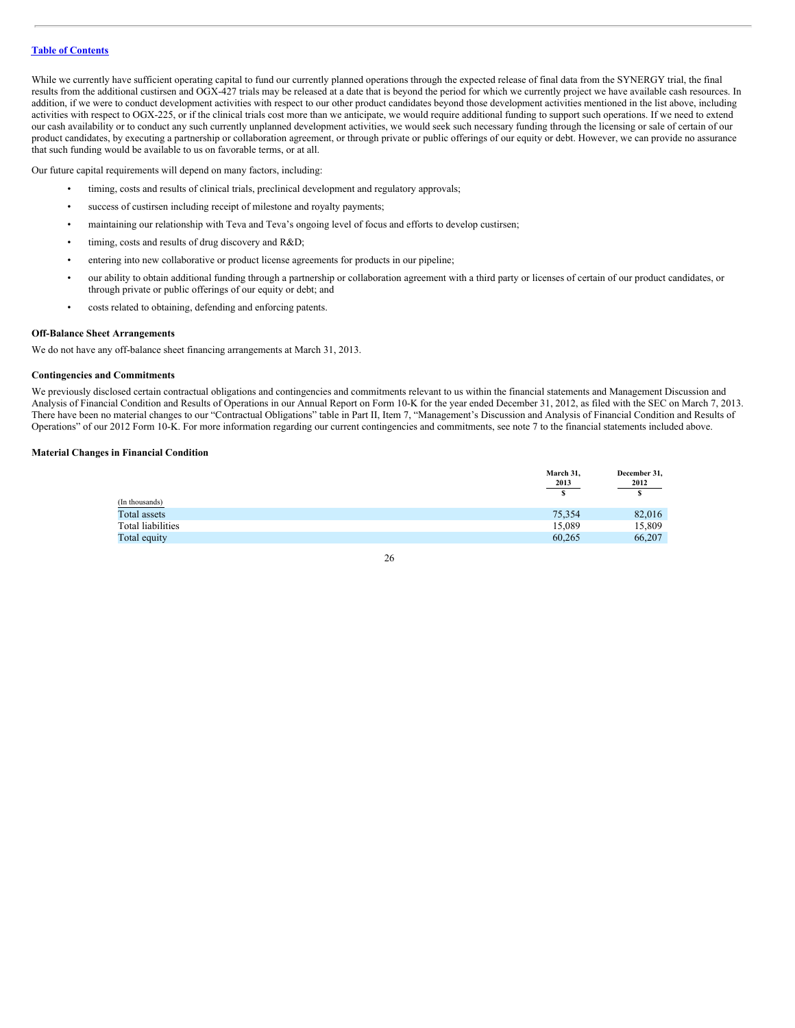While we currently have sufficient operating capital to fund our currently planned operations through the expected release of final data from the SYNERGY trial, the final results from the additional custirsen and OGX-427 trials may be released at a date that is beyond the period for which we currently project we have available cash resources. In addition, if we were to conduct development activities with respect to our other product candidates beyond those development activities mentioned in the list above, including activities with respect to OGX-225, or if the clinical trials cost more than we anticipate, we would require additional funding to support such operations. If we need to extend our cash availability or to conduct any such currently unplanned development activities, we would seek such necessary funding through the licensing or sale of certain of our product candidates, by executing a partnership or collaboration agreement, or through private or public offerings of our equity or debt. However, we can provide no assurance that such funding would be available to us on favorable terms, or at all.

Our future capital requirements will depend on many factors, including:

- timing, costs and results of clinical trials, preclinical development and regulatory approvals;
- success of custirsen including receipt of milestone and royalty payments;
- maintaining our relationship with Teva and Teva's ongoing level of focus and efforts to develop custirsen;
- timing, costs and results of drug discovery and R&D;
- entering into new collaborative or product license agreements for products in our pipeline;
- our ability to obtain additional funding through a partnership or collaboration agreement with a third party or licenses of certain of our product candidates, or through private or public offerings of our equity or debt; and
- costs related to obtaining, defending and enforcing patents.

#### **Off-Balance Sheet Arrangements**

We do not have any off-balance sheet financing arrangements at March 31, 2013.

#### **Contingencies and Commitments**

We previously disclosed certain contractual obligations and contingencies and commitments relevant to us within the financial statements and Management Discussion and Analysis of Financial Condition and Results of Operations in our Annual Report on Form 10-K for the year ended December 31, 2012, as filed with the SEC on March 7, 2013. There have been no material changes to our "Contractual Obligations" table in Part II, Item 7, "Management's Discussion and Analysis of Financial Condition and Results of Operations" of our 2012 Form 10-K. For more information regarding our current contingencies and commitments, see note 7 to the financial statements included above.

# **Material Changes in Financial Condition**

| March 31,<br>2013 | December 31,<br>2012 |
|-------------------|----------------------|
|                   |                      |
| 75,354            | 82,016               |
| 15,089            | 15,809               |
| 60,265            | 66,207               |
|                   |                      |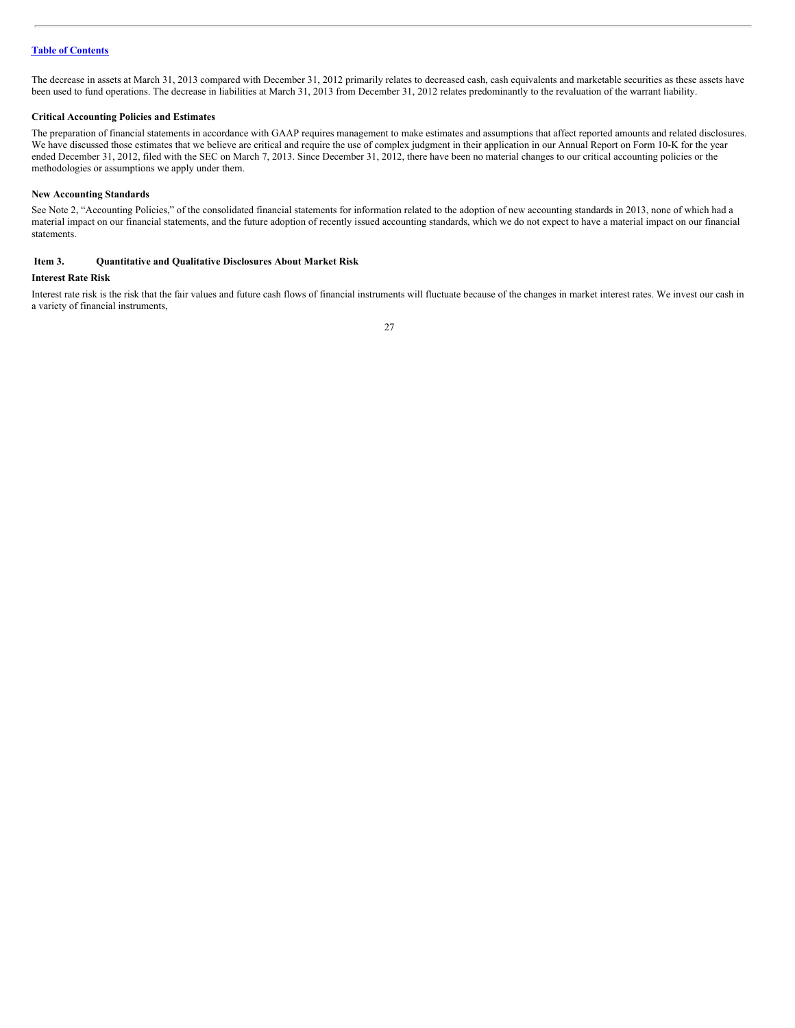The decrease in assets at March 31, 2013 compared with December 31, 2012 primarily relates to decreased cash, cash equivalents and marketable securities as these assets have been used to fund operations. The decrease in liabilities at March 31, 2013 from December 31, 2012 relates predominantly to the revaluation of the warrant liability.

# **Critical Accounting Policies and Estimates**

The preparation of financial statements in accordance with GAAP requires management to make estimates and assumptions that affect reported amounts and related disclosures. We have discussed those estimates that we believe are critical and require the use of complex judgment in their application in our Annual Report on Form 10-K for the year ended December 31, 2012, filed with the SEC on March 7, 2013. Since December 31, 2012, there have been no material changes to our critical accounting policies or the methodologies or assumptions we apply under them.

#### **New Accounting Standards**

See Note 2, "Accounting Policies," of the consolidated financial statements for information related to the adoption of new accounting standards in 2013, none of which had a material impact on our financial statements, and the future adoption of recently issued accounting standards, which we do not expect to have a material impact on our financial statements.

# <span id="page-26-0"></span>**Item 3. Quantitative and Qualitative Disclosures About Market Risk**

#### **Interest Rate Risk**

Interest rate risk is the risk that the fair values and future cash flows of financial instruments will fluctuate because of the changes in market interest rates. We invest our cash in a variety of financial instruments,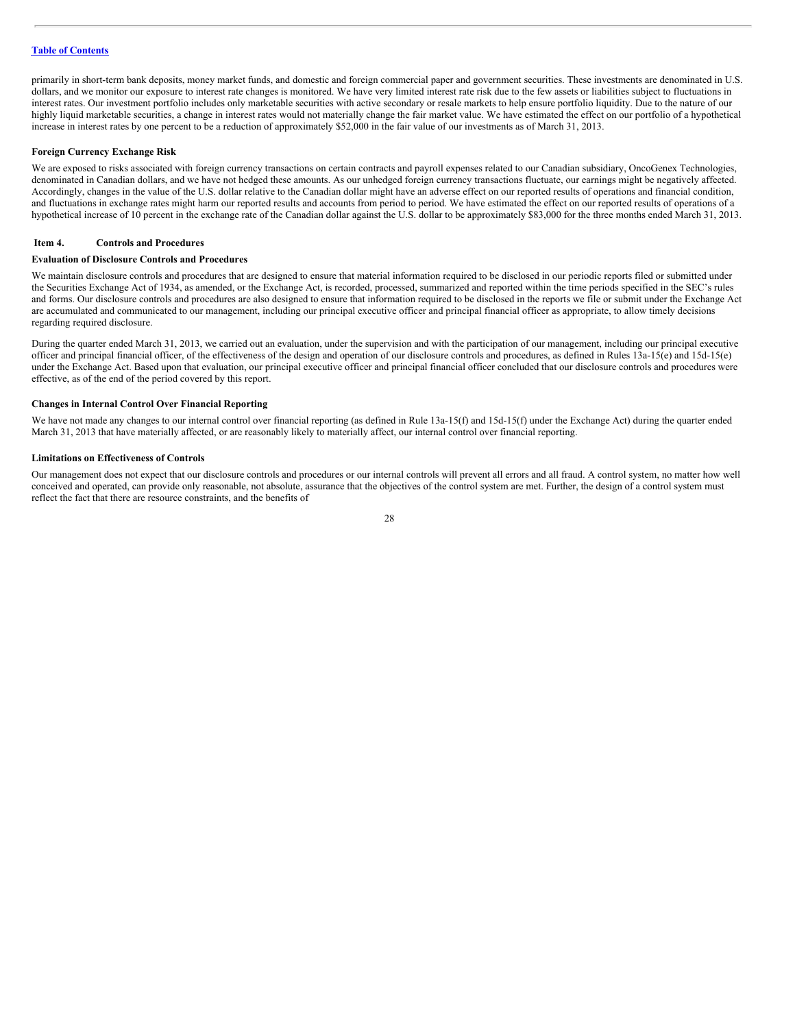primarily in short-term bank deposits, money market funds, and domestic and foreign commercial paper and government securities. These investments are denominated in U.S. dollars, and we monitor our exposure to interest rate changes is monitored. We have very limited interest rate risk due to the few assets or liabilities subject to fluctuations in interest rates. Our investment portfolio includes only marketable securities with active secondary or resale markets to help ensure portfolio liquidity. Due to the nature of our highly liquid marketable securities, a change in interest rates would not materially change the fair market value. We have estimated the effect on our portfolio of a hypothetical increase in interest rates by one percent to be a reduction of approximately \$52,000 in the fair value of our investments as of March 31, 2013.

#### **Foreign Currency Exchange Risk**

We are exposed to risks associated with foreign currency transactions on certain contracts and payroll expenses related to our Canadian subsidiary, OncoGenex Technologies, denominated in Canadian dollars, and we have not hedged these amounts. As our unhedged foreign currency transactions fluctuate, our earnings might be negatively affected. Accordingly, changes in the value of the U.S. dollar relative to the Canadian dollar might have an adverse effect on our reported results of operations and financial condition, and fluctuations in exchange rates might harm our reported results and accounts from period to period. We have estimated the effect on our reported results of operations of a hypothetical increase of 10 percent in the exchange rate of the Canadian dollar against the U.S. dollar to be approximately \$83,000 for the three months ended March 31, 2013.

#### <span id="page-27-0"></span>**Item 4. Controls and Procedures**

#### **Evaluation of Disclosure Controls and Procedures**

We maintain disclosure controls and procedures that are designed to ensure that material information required to be disclosed in our periodic reports filed or submitted under the Securities Exchange Act of 1934, as amended, or the Exchange Act, is recorded, processed, summarized and reported within the time periods specified in the SEC's rules and forms. Our disclosure controls and procedures are also designed to ensure that information required to be disclosed in the reports we file or submit under the Exchange Act are accumulated and communicated to our management, including our principal executive officer and principal financial officer as appropriate, to allow timely decisions regarding required disclosure.

During the quarter ended March 31, 2013, we carried out an evaluation, under the supervision and with the participation of our management, including our principal executive officer and principal financial officer, of the effectiveness of the design and operation of our disclosure controls and procedures, as defined in Rules 13a-15(e) and 15d-15(e) under the Exchange Act. Based upon that evaluation, our principal executive officer and principal financial officer concluded that our disclosure controls and procedures were effective, as of the end of the period covered by this report.

#### **Changes in Internal Control Over Financial Reporting**

We have not made any changes to our internal control over financial reporting (as defined in Rule 13a-15(f) and 15d-15(f) under the Exchange Act) during the quarter ended March 31, 2013 that have materially affected, or are reasonably likely to materially affect, our internal control over financial reporting.

#### **Limitations on Effectiveness of Controls**

Our management does not expect that our disclosure controls and procedures or our internal controls will prevent all errors and all fraud. A control system, no matter how well conceived and operated, can provide only reasonable, not absolute, assurance that the objectives of the control system are met. Further, the design of a control system must reflect the fact that there are resource constraints, and the benefits of

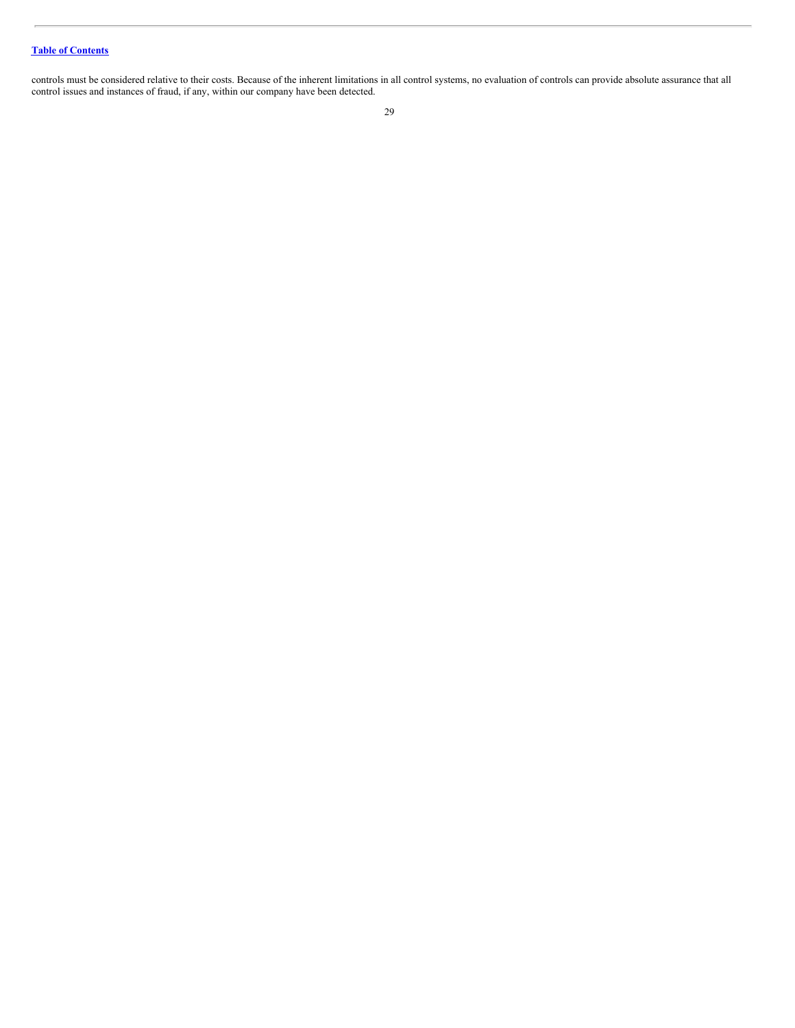controls must be considered relative to their costs. Because of the inherent limitations in all control systems, no evaluation of controls can provide absolute assurance that all control issues and instances of fraud, if any, within our company have been detected.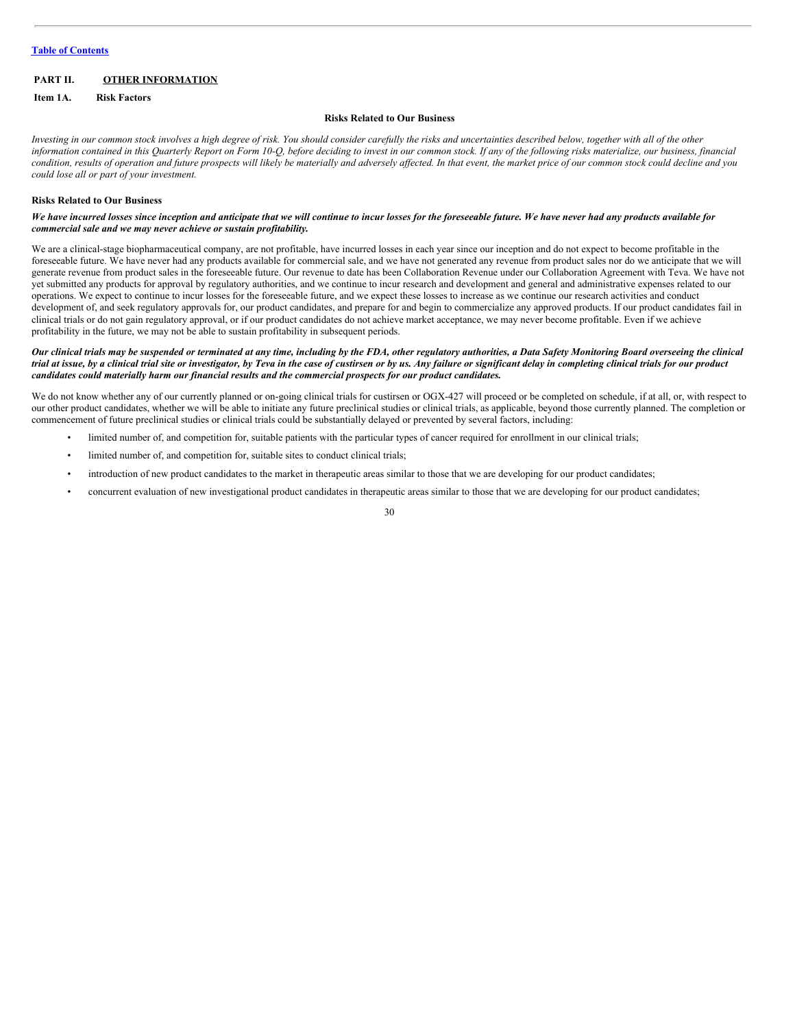# <span id="page-29-0"></span>**PART II. OTHER INFORMATION**

<span id="page-29-1"></span>**Item 1A. Risk Factors**

#### **Risks Related to Our Business**

Investing in our common stock involves a high degree of risk. You should consider carefully the risks and uncertainties described below, together with all of the other information contained in this Quarterly Report on Form 10-Q, before deciding to invest in our common stock. If any of the following risks materialize, our business, financial condition, results of operation and future prospects will likely be materially and adversely affected. In that event, the market price of our common stock could decline and you *could lose all or part of your investment.*

#### **Risks Related to Our Business**

We have incurred losses since inception and anticipate that we will continue to incur losses for the foreseeable future. We have never had any products available for *commercial sale and we may never achieve or sustain profitability.*

We are a clinical-stage biopharmaceutical company, are not profitable, have incurred losses in each year since our inception and do not expect to become profitable in the foreseeable future. We have never had any products available for commercial sale, and we have not generated any revenue from product sales nor do we anticipate that we will generate revenue from product sales in the foreseeable future. Our revenue to date has been Collaboration Revenue under our Collaboration Agreement with Teva. We have not yet submitted any products for approval by regulatory authorities, and we continue to incur research and development and general and administrative expenses related to our operations. We expect to continue to incur losses for the foreseeable future, and we expect these losses to increase as we continue our research activities and conduct development of, and seek regulatory approvals for, our product candidates, and prepare for and begin to commercialize any approved products. If our product candidates fail in clinical trials or do not gain regulatory approval, or if our product candidates do not achieve market acceptance, we may never become profitable. Even if we achieve profitability in the future, we may not be able to sustain profitability in subsequent periods.

#### Our clinical trials may be suspended or terminated at any time, including by the FDA, other regulatory authorities, a Data Safety Monitoring Board overseeing the clinical trial at issue, by a clinical trial site or investigator, by Teva in the case of custirsen or by us. Any failure or significant delay in completing clinical trials for our product *candidates could materially harm our financial results and the commercial prospects for our product candidates.*

We do not know whether any of our currently planned or on-going clinical trials for custirsen or OGX-427 will proceed or be completed on schedule, if at all, or, with respect to our other product candidates, whether we will be able to initiate any future preclinical studies or clinical trials, as applicable, beyond those currently planned. The completion or commencement of future preclinical studies or clinical trials could be substantially delayed or prevented by several factors, including:

- limited number of, and competition for, suitable patients with the particular types of cancer required for enrollment in our clinical trials;
- limited number of, and competition for, suitable sites to conduct clinical trials;
- introduction of new product candidates to the market in therapeutic areas similar to those that we are developing for our product candidates;
- concurrent evaluation of new investigational product candidates in therapeutic areas similar to those that we are developing for our product candidates;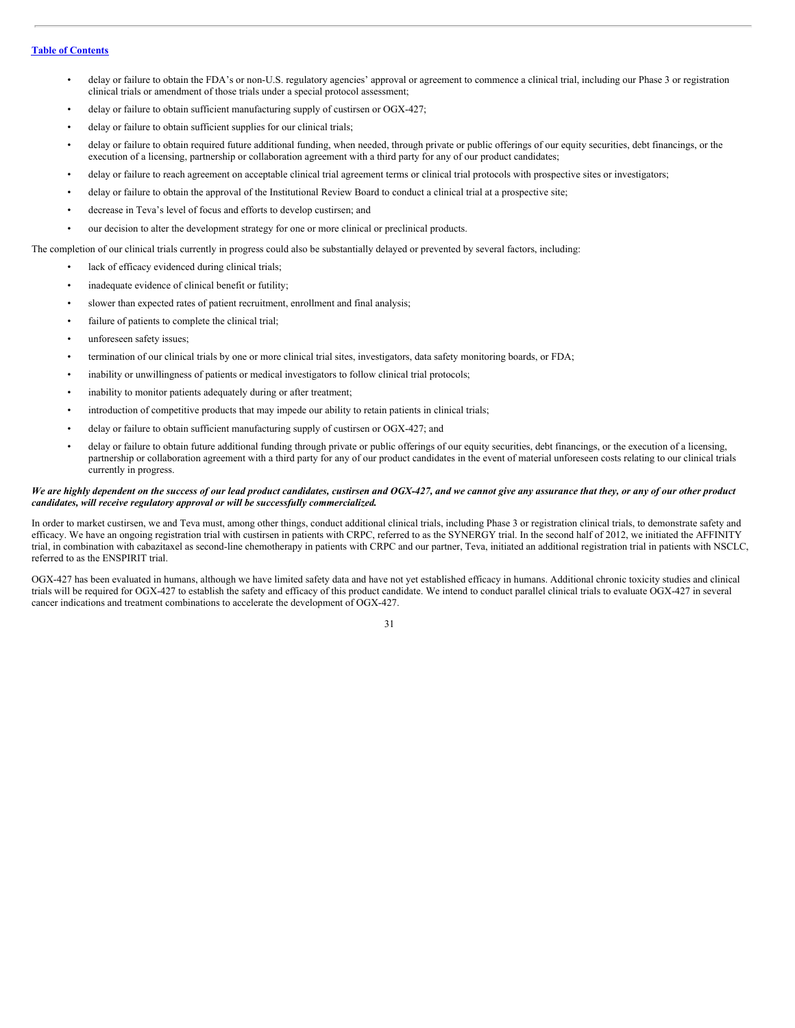- delay or failure to obtain the FDA's or non-U.S. regulatory agencies' approval or agreement to commence a clinical trial, including our Phase 3 or registration clinical trials or amendment of those trials under a special protocol assessment;
- delay or failure to obtain sufficient manufacturing supply of custirsen or OGX-427;
- delay or failure to obtain sufficient supplies for our clinical trials;
- delay or failure to obtain required future additional funding, when needed, through private or public offerings of our equity securities, debt financings, or the execution of a licensing, partnership or collaboration agreement with a third party for any of our product candidates;
- delay or failure to reach agreement on acceptable clinical trial agreement terms or clinical trial protocols with prospective sites or investigators;
- delay or failure to obtain the approval of the Institutional Review Board to conduct a clinical trial at a prospective site;
- decrease in Teva's level of focus and efforts to develop custirsen; and
- our decision to alter the development strategy for one or more clinical or preclinical products.

The completion of our clinical trials currently in progress could also be substantially delayed or prevented by several factors, including:

- lack of efficacy evidenced during clinical trials;
- inadequate evidence of clinical benefit or futility;
- slower than expected rates of patient recruitment, enrollment and final analysis;
- failure of patients to complete the clinical trial;
- unforeseen safety issues;
- termination of our clinical trials by one or more clinical trial sites, investigators, data safety monitoring boards, or FDA;
- inability or unwillingness of patients or medical investigators to follow clinical trial protocols;
- inability to monitor patients adequately during or after treatment;
- introduction of competitive products that may impede our ability to retain patients in clinical trials;
- delay or failure to obtain sufficient manufacturing supply of custirsen or OGX-427; and
- delay or failure to obtain future additional funding through private or public offerings of our equity securities, debt financings, or the execution of a licensing, partnership or collaboration agreement with a third party for any of our product candidates in the event of material unforeseen costs relating to our clinical trials currently in progress.

# We are highly dependent on the success of our lead product candidates, custirsen and OGX-427, and we cannot give any assurance that they, or any of our other product *candidates, will receive regulatory approval or will be successfully commercialized.*

In order to market custirsen, we and Teva must, among other things, conduct additional clinical trials, including Phase 3 or registration clinical trials, to demonstrate safety and efficacy. We have an ongoing registration trial with custirsen in patients with CRPC, referred to as the SYNERGY trial. In the second half of 2012, we initiated the AFFINITY trial, in combination with cabazitaxel as second-line chemotherapy in patients with CRPC and our partner, Teva, initiated an additional registration trial in patients with NSCLC, referred to as the ENSPIRIT trial.

OGX-427 has been evaluated in humans, although we have limited safety data and have not yet established efficacy in humans. Additional chronic toxicity studies and clinical trials will be required for OGX-427 to establish the safety and efficacy of this product candidate. We intend to conduct parallel clinical trials to evaluate OGX-427 in several cancer indications and treatment combinations to accelerate the development of OGX-427.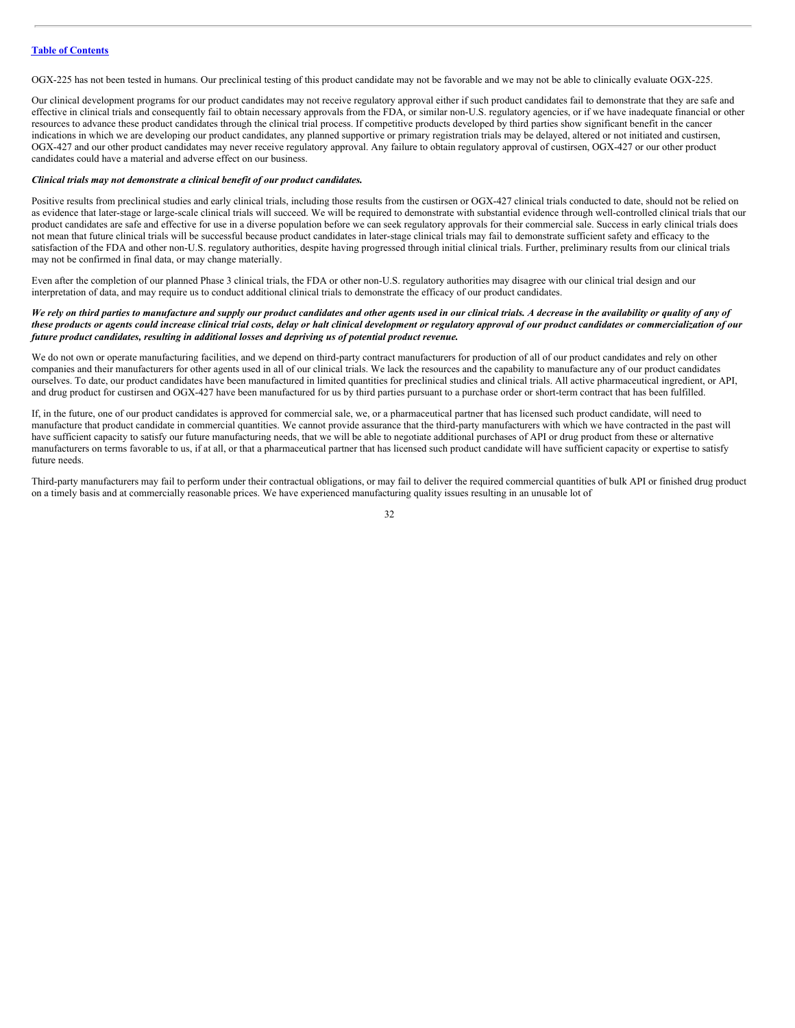OGX-225 has not been tested in humans. Our preclinical testing of this product candidate may not be favorable and we may not be able to clinically evaluate OGX-225.

Our clinical development programs for our product candidates may not receive regulatory approval either if such product candidates fail to demonstrate that they are safe and effective in clinical trials and consequently fail to obtain necessary approvals from the FDA, or similar non-U.S. regulatory agencies, or if we have inadequate financial or other resources to advance these product candidates through the clinical trial process. If competitive products developed by third parties show significant benefit in the cancer indications in which we are developing our product candidates, any planned supportive or primary registration trials may be delayed, altered or not initiated and custirsen, OGX-427 and our other product candidates may never receive regulatory approval. Any failure to obtain regulatory approval of custirsen, OGX-427 or our other product candidates could have a material and adverse effect on our business.

#### *Clinical trials may not demonstrate a clinical benefit of our product candidates.*

Positive results from preclinical studies and early clinical trials, including those results from the custirsen or OGX-427 clinical trials conducted to date, should not be relied on as evidence that later-stage or large-scale clinical trials will succeed. We will be required to demonstrate with substantial evidence through well-controlled clinical trials that our product candidates are safe and effective for use in a diverse population before we can seek regulatory approvals for their commercial sale. Success in early clinical trials does not mean that future clinical trials will be successful because product candidates in later-stage clinical trials may fail to demonstrate sufficient safety and efficacy to the satisfaction of the FDA and other non-U.S. regulatory authorities, despite having progressed through initial clinical trials. Further, preliminary results from our clinical trials may not be confirmed in final data, or may change materially.

Even after the completion of our planned Phase 3 clinical trials, the FDA or other non-U.S. regulatory authorities may disagree with our clinical trial design and our interpretation of data, and may require us to conduct additional clinical trials to demonstrate the efficacy of our product candidates.

# We rely on third parties to manufacture and supply our product candidates and other agents used in our clinical trials. A decrease in the availability or quality of any of these products or agents could increase clinical trial costs, delay or halt clinical development or regulatory approval of our product candidates or commercialization of our *future product candidates, resulting in additional losses and depriving us of potential product revenue.*

We do not own or operate manufacturing facilities, and we depend on third-party contract manufacturers for production of all of our product candidates and rely on other companies and their manufacturers for other agents used in all of our clinical trials. We lack the resources and the capability to manufacture any of our product candidates ourselves. To date, our product candidates have been manufactured in limited quantities for preclinical studies and clinical trials. All active pharmaceutical ingredient, or API, and drug product for custirsen and OGX-427 have been manufactured for us by third parties pursuant to a purchase order or short-term contract that has been fulfilled.

If, in the future, one of our product candidates is approved for commercial sale, we, or a pharmaceutical partner that has licensed such product candidate, will need to manufacture that product candidate in commercial quantities. We cannot provide assurance that the third-party manufacturers with which we have contracted in the past will have sufficient capacity to satisfy our future manufacturing needs, that we will be able to negotiate additional purchases of API or drug product from these or alternative manufacturers on terms favorable to us, if at all, or that a pharmaceutical partner that has licensed such product candidate will have sufficient capacity or expertise to satisfy future needs.

Third-party manufacturers may fail to perform under their contractual obligations, or may fail to deliver the required commercial quantities of bulk API or finished drug product on a timely basis and at commercially reasonable prices. We have experienced manufacturing quality issues resulting in an unusable lot of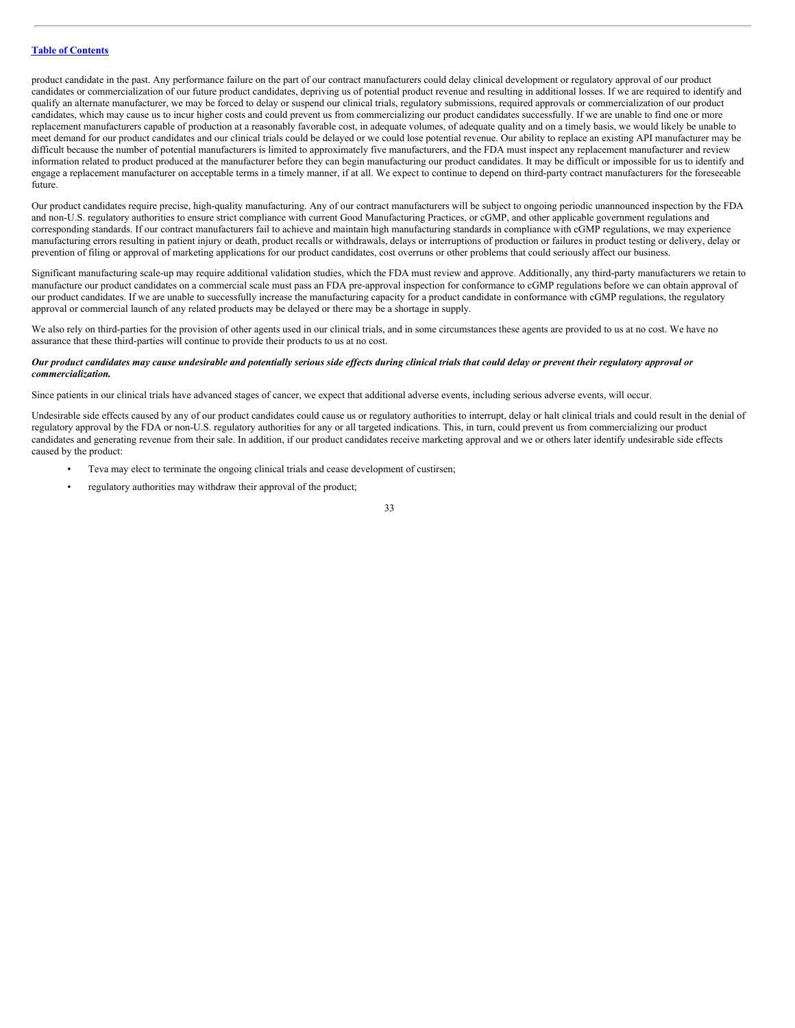product candidate in the past. Any performance failure on the part of our contract manufacturers could delay clinical development or regulatory approval of our product candidates or commercialization of our future product candidates, depriving us of potential product revenue and resulting in additional losses. If we are required to identify and qualify an alternate manufacturer, we may be forced to delay or suspend our clinical trials, regulatory submissions, required approvals or commercialization of our product candidates, which may cause us to incur higher costs and could prevent us from commercializing our product candidates successfully. If we are unable to find one or more replacement manufacturers capable of production at a reasonably favorable cost, in adequate volumes, of adequate quality and on a timely basis, we would likely be unable to meet demand for our product candidates and our clinical trials could be delayed or we could lose potential revenue. Our ability to replace an existing API manufacturer may be difficult because the number of potential manufacturers is limited to approximately five manufacturers, and the FDA must inspect any replacement manufacturer and review information related to product produced at the manufacturer before they can begin manufacturing our product candidates. It may be difficult or impossible for us to identify and engage a replacement manufacturer on acceptable terms in a timely manner, if at all. We expect to continue to depend on third-party contract manufacturers for the foreseeable future.

Our product candidates require precise, high-quality manufacturing. Any of our contract manufacturers will be subject to ongoing periodic unannounced inspection by the FDA and non-U.S. regulatory authorities to ensure strict compliance with current Good Manufacturing Practices, or cGMP, and other applicable government regulations and corresponding standards. If our contract manufacturers fail to achieve and maintain high manufacturing standards in compliance with cGMP regulations, we may experience manufacturing errors resulting in patient injury or death, product recalls or withdrawals, delays or interruptions of production or failures in product testing or delivery, delay or prevention of filing or approval of marketing applications for our product candidates, cost overruns or other problems that could seriously affect our business.

Significant manufacturing scale-up may require additional validation studies, which the FDA must review and approve. Additionally, any third-party manufacturers we retain to manufacture our product candidates on a commercial scale must pass an FDA pre-approval inspection for conformance to cGMP regulations before we can obtain approval of our product candidates. If we are unable to successfully increase the manufacturing capacity for a product candidate in conformance with cGMP regulations, the regulatory approval or commercial launch of any related products may be delayed or there may be a shortage in supply.

We also rely on third-parties for the provision of other agents used in our clinical trials, and in some circumstances these agents are provided to us at no cost. We have no assurance that these third-parties will continue to provide their products to us at no cost.

#### Our product candidates may cause undesirable and potentially serious side effects during clinical trials that could delay or prevent their regulatory approval or *commercialization.*

Since patients in our clinical trials have advanced stages of cancer, we expect that additional adverse events, including serious adverse events, will occur.

Undesirable side effects caused by any of our product candidates could cause us or regulatory authorities to interrupt, delay or halt clinical trials and could result in the denial of regulatory approval by the FDA or non-U.S. regulatory authorities for any or all targeted indications. This, in turn, could prevent us from commercializing our product candidates and generating revenue from their sale. In addition, if our product candidates receive marketing approval and we or others later identify undesirable side effects caused by the product:

- Teva may elect to terminate the ongoing clinical trials and cease development of custirsen;
	- regulatory authorities may withdraw their approval of the product;
- 33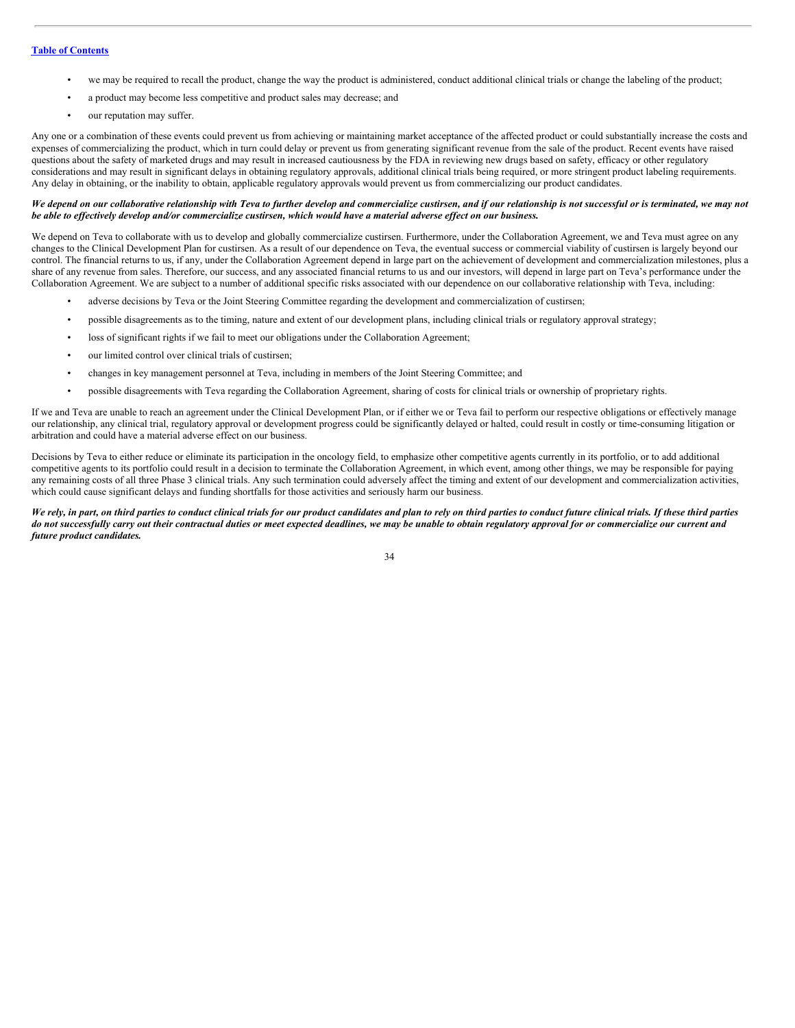- we may be required to recall the product, change the way the product is administered, conduct additional clinical trials or change the labeling of the product;
- a product may become less competitive and product sales may decrease; and
- our reputation may suffer.

Any one or a combination of these events could prevent us from achieving or maintaining market acceptance of the affected product or could substantially increase the costs and expenses of commercializing the product, which in turn could delay or prevent us from generating significant revenue from the sale of the product. Recent events have raised questions about the safety of marketed drugs and may result in increased cautiousness by the FDA in reviewing new drugs based on safety, efficacy or other regulatory considerations and may result in significant delays in obtaining regulatory approvals, additional clinical trials being required, or more stringent product labeling requirements. Any delay in obtaining, or the inability to obtain, applicable regulatory approvals would prevent us from commercializing our product candidates.

#### We depend on our collaborative relationship with Teva to further develop and commercialize custirsen, and if our relationship is not successful or is terminated, we may not be able to effectively develop and/or commercialize custirsen, which would have a material adverse effect on our business.

We depend on Teva to collaborate with us to develop and globally commercialize custirsen. Furthermore, under the Collaboration Agreement, we and Teva must agree on any changes to the Clinical Development Plan for custirsen. As a result of our dependence on Teva, the eventual success or commercial viability of custirsen is largely beyond our control. The financial returns to us, if any, under the Collaboration Agreement depend in large part on the achievement of development and commercialization milestones, plus a share of any revenue from sales. Therefore, our success, and any associated financial returns to us and our investors, will depend in large part on Teva's performance under the Collaboration Agreement. We are subject to a number of additional specific risks associated with our dependence on our collaborative relationship with Teva, including:

- adverse decisions by Teva or the Joint Steering Committee regarding the development and commercialization of custirsen;
- possible disagreements as to the timing, nature and extent of our development plans, including clinical trials or regulatory approval strategy;
- loss of significant rights if we fail to meet our obligations under the Collaboration Agreement;
- our limited control over clinical trials of custirsen;
- changes in key management personnel at Teva, including in members of the Joint Steering Committee; and
- possible disagreements with Teva regarding the Collaboration Agreement, sharing of costs for clinical trials or ownership of proprietary rights.

If we and Teva are unable to reach an agreement under the Clinical Development Plan, or if either we or Teva fail to perform our respective obligations or effectively manage our relationship, any clinical trial, regulatory approval or development progress could be significantly delayed or halted, could result in costly or time-consuming litigation or arbitration and could have a material adverse effect on our business.

Decisions by Teva to either reduce or eliminate its participation in the oncology field, to emphasize other competitive agents currently in its portfolio, or to add additional competitive agents to its portfolio could result in a decision to terminate the Collaboration Agreement, in which event, among other things, we may be responsible for paying any remaining costs of all three Phase 3 clinical trials. Any such termination could adversely affect the timing and extent of our development and commercialization activities, which could cause significant delays and funding shortfalls for those activities and seriously harm our business.

We rely, in part, on third parties to conduct clinical trials for our product candidates and plan to rely on third parties to conduct future clinical trials. If these third parties do not successfully carry out their contractual duties or meet expected deadlines, we may be unable to obtain regulatory approval for or commercialize our current and *future product candidates.*

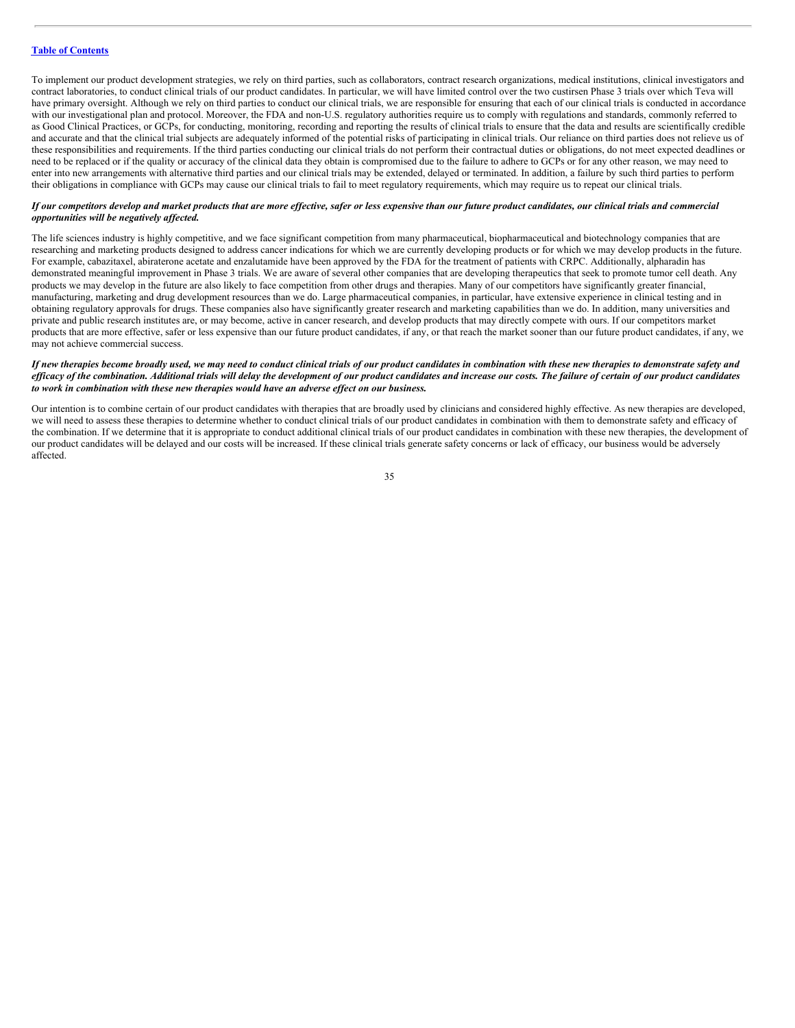To implement our product development strategies, we rely on third parties, such as collaborators, contract research organizations, medical institutions, clinical investigators and contract laboratories, to conduct clinical trials of our product candidates. In particular, we will have limited control over the two custirsen Phase 3 trials over which Teva will have primary oversight. Although we rely on third parties to conduct our clinical trials, we are responsible for ensuring that each of our clinical trials is conducted in accordance with our investigational plan and protocol. Moreover, the FDA and non-U.S. regulatory authorities require us to comply with regulations and standards, commonly referred to as Good Clinical Practices, or GCPs, for conducting, monitoring, recording and reporting the results of clinical trials to ensure that the data and results are scientifically credible and accurate and that the clinical trial subjects are adequately informed of the potential risks of participating in clinical trials. Our reliance on third parties does not relieve us of these responsibilities and requirements. If the third parties conducting our clinical trials do not perform their contractual duties or obligations, do not meet expected deadlines or need to be replaced or if the quality or accuracy of the clinical data they obtain is compromised due to the failure to adhere to GCPs or for any other reason, we may need to enter into new arrangements with alternative third parties and our clinical trials may be extended, delayed or terminated. In addition, a failure by such third parties to perform their obligations in compliance with GCPs may cause our clinical trials to fail to meet regulatory requirements, which may require us to repeat our clinical trials.

# If our competitors develop and market products that are more effective, safer or less expensive than our future product candidates, our clinical trials and commercial *opportunities will be negatively af ected.*

The life sciences industry is highly competitive, and we face significant competition from many pharmaceutical, biopharmaceutical and biotechnology companies that are researching and marketing products designed to address cancer indications for which we are currently developing products or for which we may develop products in the future. For example, cabazitaxel, abiraterone acetate and enzalutamide have been approved by the FDA for the treatment of patients with CRPC. Additionally, alpharadin has demonstrated meaningful improvement in Phase 3 trials. We are aware of several other companies that are developing therapeutics that seek to promote tumor cell death. Any products we may develop in the future are also likely to face competition from other drugs and therapies. Many of our competitors have significantly greater financial, manufacturing, marketing and drug development resources than we do. Large pharmaceutical companies, in particular, have extensive experience in clinical testing and in obtaining regulatory approvals for drugs. These companies also have significantly greater research and marketing capabilities than we do. In addition, many universities and private and public research institutes are, or may become, active in cancer research, and develop products that may directly compete with ours. If our competitors market products that are more effective, safer or less expensive than our future product candidates, if any, or that reach the market sooner than our future product candidates, if any, we may not achieve commercial success.

#### If new therapies become broadly used, we may need to conduct clinical trials of our product candidates in combination with these new therapies to demonstrate safety and efficacy of the combination. Additional trials will delay the development of our product candidates and increase our costs. The failure of certain of our product candidates *to work in combination with these new therapies would have an adverse ef ect on our business.*

Our intention is to combine certain of our product candidates with therapies that are broadly used by clinicians and considered highly effective. As new therapies are developed, we will need to assess these therapies to determine whether to conduct clinical trials of our product candidates in combination with them to demonstrate safety and efficacy of the combination. If we determine that it is appropriate to conduct additional clinical trials of our product candidates in combination with these new therapies, the development of our product candidates will be delayed and our costs will be increased. If these clinical trials generate safety concerns or lack of efficacy, our business would be adversely affected.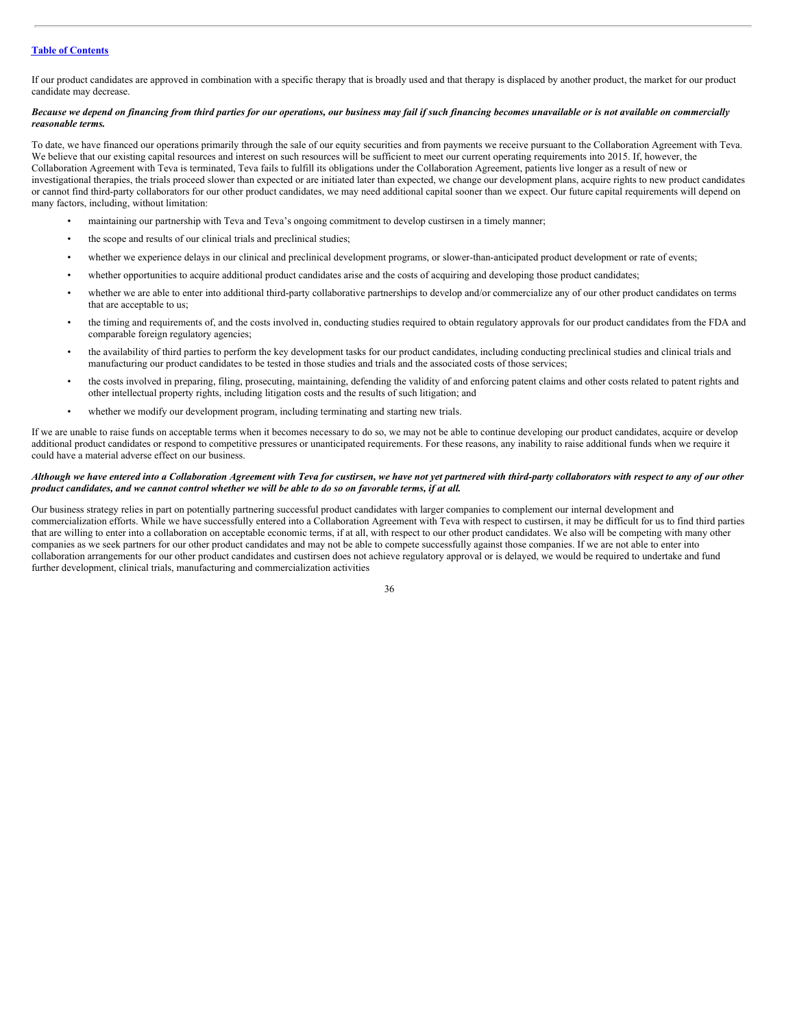If our product candidates are approved in combination with a specific therapy that is broadly used and that therapy is displaced by another product, the market for our product candidate may decrease.

#### Because we depend on financing from third parties for our operations, our business may fail if such financing becomes unavailable or is not available on commercially *reasonable terms.*

To date, we have financed our operations primarily through the sale of our equity securities and from payments we receive pursuant to the Collaboration Agreement with Teva. We believe that our existing capital resources and interest on such resources will be sufficient to meet our current operating requirements into 2015. If, however, the Collaboration Agreement with Teva is terminated, Teva fails to fulfill its obligations under the Collaboration Agreement, patients live longer as a result of new or investigational therapies, the trials proceed slower than expected or are initiated later than expected, we change our development plans, acquire rights to new product candidates or cannot find third-party collaborators for our other product candidates, we may need additional capital sooner than we expect. Our future capital requirements will depend on many factors, including, without limitation:

- maintaining our partnership with Teva and Teva's ongoing commitment to develop custirsen in a timely manner;
- the scope and results of our clinical trials and preclinical studies;
- whether we experience delays in our clinical and preclinical development programs, or slower-than-anticipated product development or rate of events;
- whether opportunities to acquire additional product candidates arise and the costs of acquiring and developing those product candidates;
- whether we are able to enter into additional third-party collaborative partnerships to develop and/or commercialize any of our other product candidates on terms that are acceptable to us;
- the timing and requirements of, and the costs involved in, conducting studies required to obtain regulatory approvals for our product candidates from the FDA and comparable foreign regulatory agencies;
- the availability of third parties to perform the key development tasks for our product candidates, including conducting preclinical studies and clinical trials and manufacturing our product candidates to be tested in those studies and trials and the associated costs of those services;
- the costs involved in preparing, filing, prosecuting, maintaining, defending the validity of and enforcing patent claims and other costs related to patent rights and other intellectual property rights, including litigation costs and the results of such litigation; and
- whether we modify our development program, including terminating and starting new trials.

If we are unable to raise funds on acceptable terms when it becomes necessary to do so, we may not be able to continue developing our product candidates, acquire or develop additional product candidates or respond to competitive pressures or unanticipated requirements. For these reasons, any inability to raise additional funds when we require it could have a material adverse effect on our business.

# Although we have entered into a Collaboration Agreement with Teva for custirsen, we have not yet partnered with third-party collaborators with respect to any of our other product candidates, and we cannot control whether we will be able to do so on favorable terms, if at all.

Our business strategy relies in part on potentially partnering successful product candidates with larger companies to complement our internal development and commercialization efforts. While we have successfully entered into a Collaboration Agreement with Teva with respect to custirsen, it may be difficult for us to find third parties that are willing to enter into a collaboration on acceptable economic terms, if at all, with respect to our other product candidates. We also will be competing with many other companies as we seek partners for our other product candidates and may not be able to compete successfully against those companies. If we are not able to enter into collaboration arrangements for our other product candidates and custirsen does not achieve regulatory approval or is delayed, we would be required to undertake and fund further development, clinical trials, manufacturing and commercialization activities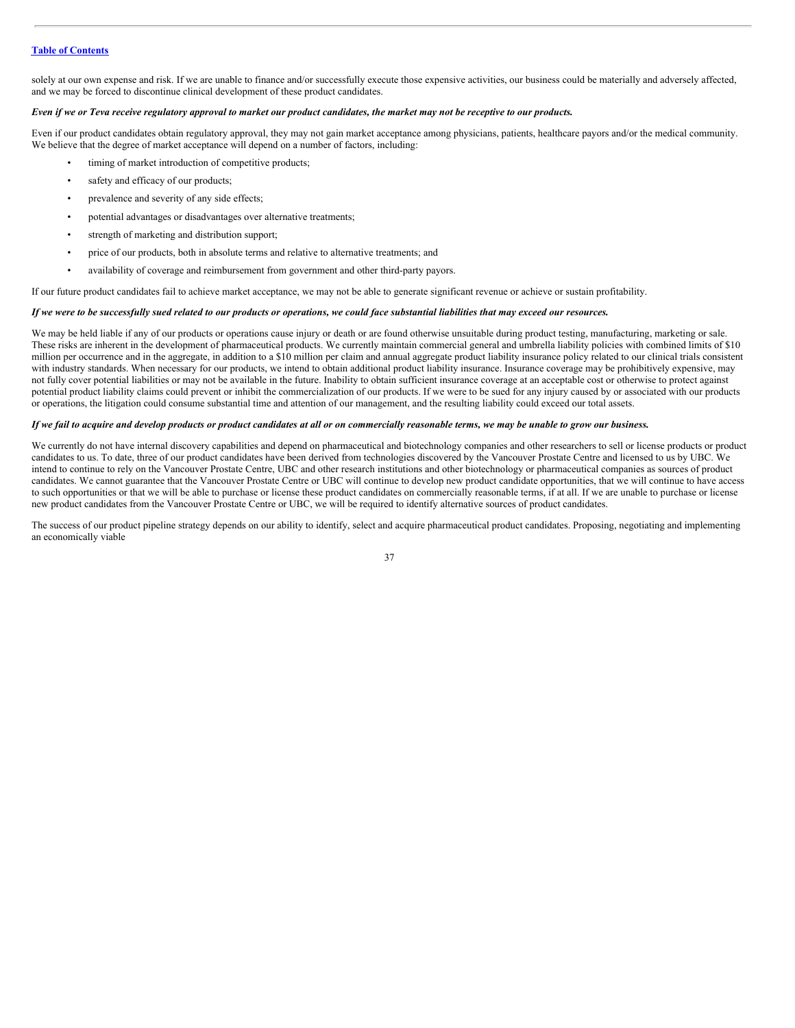solely at our own expense and risk. If we are unable to finance and/or successfully execute those expensive activities, our business could be materially and adversely affected, and we may be forced to discontinue clinical development of these product candidates.

# Even if we or Teva receive regulatory approval to market our product candidates, the market may not be receptive to our products.

Even if our product candidates obtain regulatory approval, they may not gain market acceptance among physicians, patients, healthcare payors and/or the medical community. We believe that the degree of market acceptance will depend on a number of factors, including:

- timing of market introduction of competitive products;
- safety and efficacy of our products;
- prevalence and severity of any side effects;
- potential advantages or disadvantages over alternative treatments;
- strength of marketing and distribution support;
- price of our products, both in absolute terms and relative to alternative treatments; and
- availability of coverage and reimbursement from government and other third-party payors.

If our future product candidates fail to achieve market acceptance, we may not be able to generate significant revenue or achieve or sustain profitability.

#### If we were to be successfully sued related to our products or operations, we could face substantial liabilities that may exceed our resources.

We may be held liable if any of our products or operations cause injury or death or are found otherwise unsuitable during product testing, manufacturing, marketing or sale. These risks are inherent in the development of pharmaceutical products. We currently maintain commercial general and umbrella liability policies with combined limits of \$10 million per occurrence and in the aggregate, in addition to a \$10 million per claim and annual aggregate product liability insurance policy related to our clinical trials consistent with industry standards. When necessary for our products, we intend to obtain additional product liability insurance. Insurance coverage may be prohibitively expensive, may not fully cover potential liabilities or may not be available in the future. Inability to obtain sufficient insurance coverage at an acceptable cost or otherwise to protect against potential product liability claims could prevent or inhibit the commercialization of our products. If we were to be sued for any injury caused by or associated with our products or operations, the litigation could consume substantial time and attention of our management, and the resulting liability could exceed our total assets.

#### If we fail to acquire and develop products or product candidates at all or on commercially reasonable terms, we may be unable to grow our business.

We currently do not have internal discovery capabilities and depend on pharmaceutical and biotechnology companies and other researchers to sell or license products or product candidates to us. To date, three of our product candidates have been derived from technologies discovered by the Vancouver Prostate Centre and licensed to us by UBC. We intend to continue to rely on the Vancouver Prostate Centre, UBC and other research institutions and other biotechnology or pharmaceutical companies as sources of product candidates. We cannot guarantee that the Vancouver Prostate Centre or UBC will continue to develop new product candidate opportunities, that we will continue to have access to such opportunities or that we will be able to purchase or license these product candidates on commercially reasonable terms, if at all. If we are unable to purchase or license new product candidates from the Vancouver Prostate Centre or UBC, we will be required to identify alternative sources of product candidates.

The success of our product pipeline strategy depends on our ability to identify, select and acquire pharmaceutical product candidates. Proposing, negotiating and implementing an economically viable

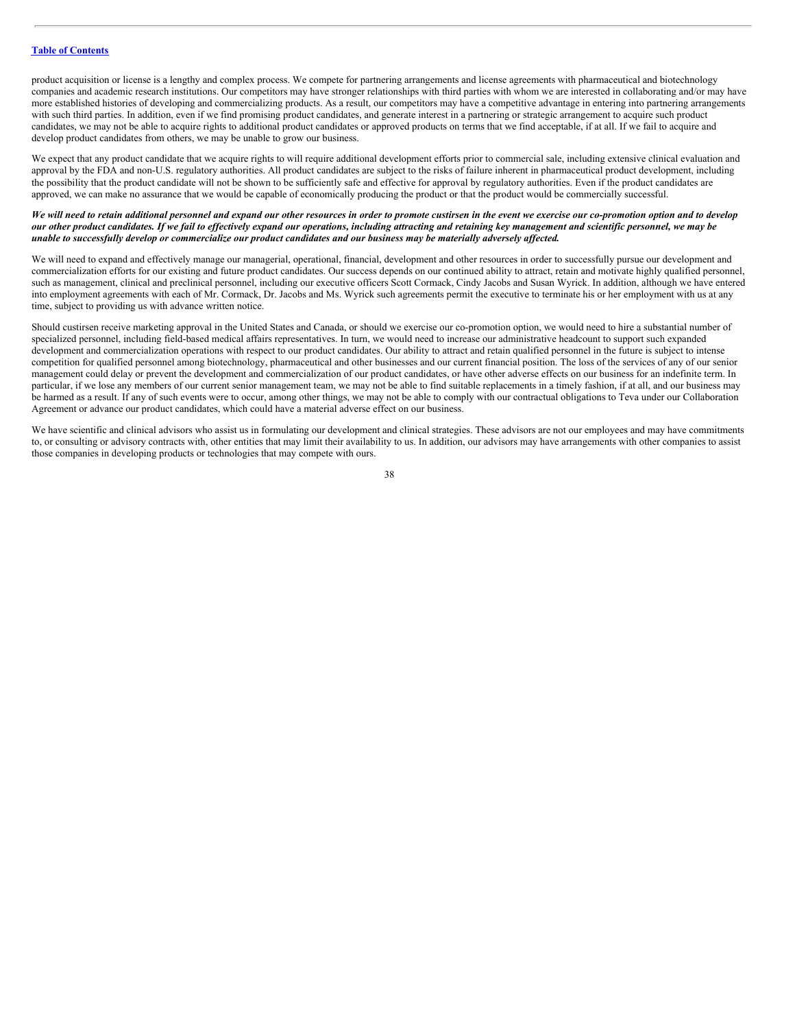product acquisition or license is a lengthy and complex process. We compete for partnering arrangements and license agreements with pharmaceutical and biotechnology companies and academic research institutions. Our competitors may have stronger relationships with third parties with whom we are interested in collaborating and/or may have more established histories of developing and commercializing products. As a result, our competitors may have a competitive advantage in entering into partnering arrangements with such third parties. In addition, even if we find promising product candidates, and generate interest in a partnering or strategic arrangement to acquire such product candidates, we may not be able to acquire rights to additional product candidates or approved products on terms that we find acceptable, if at all. If we fail to acquire and develop product candidates from others, we may be unable to grow our business.

We expect that any product candidate that we acquire rights to will require additional development efforts prior to commercial sale, including extensive clinical evaluation and approval by the FDA and non-U.S. regulatory authorities. All product candidates are subject to the risks of failure inherent in pharmaceutical product development, including the possibility that the product candidate will not be shown to be sufficiently safe and effective for approval by regulatory authorities. Even if the product candidates are approved, we can make no assurance that we would be capable of economically producing the product or that the product would be commercially successful.

#### We will need to retain additional personnel and expand our other resources in order to promote custirsen in the event we exercise our co-promotion option and to develop our other product candidates. If we fail to effectively expand our operations, including attracting and retaining key management and scientific personnel, we may be unable to successfully develop or commercialize our product candidates and our business may be materially adversely affected.

We will need to expand and effectively manage our managerial, operational, financial, development and other resources in order to successfully pursue our development and commercialization efforts for our existing and future product candidates. Our success depends on our continued ability to attract, retain and motivate highly qualified personnel, such as management, clinical and preclinical personnel, including our executive officers Scott Cormack, Cindy Jacobs and Susan Wyrick. In addition, although we have entered into employment agreements with each of Mr. Cormack, Dr. Jacobs and Ms. Wyrick such agreements permit the executive to terminate his or her employment with us at any time, subject to providing us with advance written notice.

Should custirsen receive marketing approval in the United States and Canada, or should we exercise our co-promotion option, we would need to hire a substantial number of specialized personnel, including field-based medical affairs representatives. In turn, we would need to increase our administrative headcount to support such expanded development and commercialization operations with respect to our product candidates. Our ability to attract and retain qualified personnel in the future is subject to intense competition for qualified personnel among biotechnology, pharmaceutical and other businesses and our current financial position. The loss of the services of any of our senior management could delay or prevent the development and commercialization of our product candidates, or have other adverse effects on our business for an indefinite term. In particular, if we lose any members of our current senior management team, we may not be able to find suitable replacements in a timely fashion, if at all, and our business may be harmed as a result. If any of such events were to occur, among other things, we may not be able to comply with our contractual obligations to Teva under our Collaboration Agreement or advance our product candidates, which could have a material adverse effect on our business.

We have scientific and clinical advisors who assist us in formulating our development and clinical strategies. These advisors are not our employees and may have commitments to, or consulting or advisory contracts with, other entities that may limit their availability to us. In addition, our advisors may have arrangements with other companies to assist those companies in developing products or technologies that may compete with ours.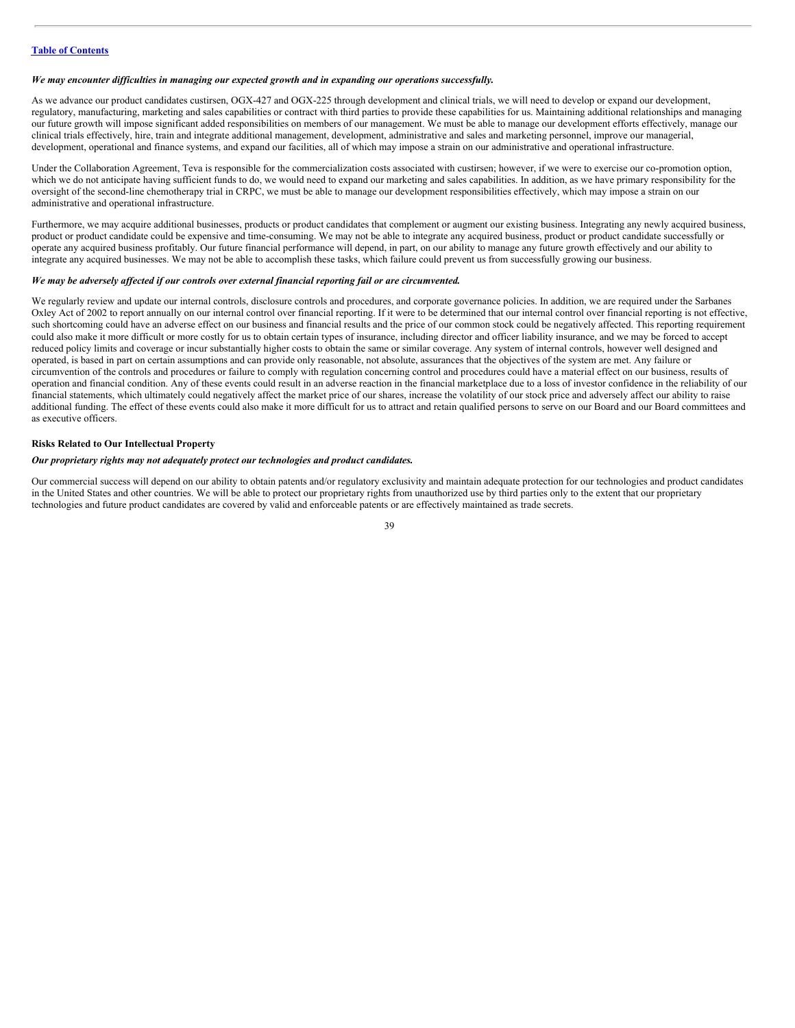#### *We may encounter dif iculties in managing our expected growth and in expanding our operations successfully.*

As we advance our product candidates custirsen, OGX-427 and OGX-225 through development and clinical trials, we will need to develop or expand our development, regulatory, manufacturing, marketing and sales capabilities or contract with third parties to provide these capabilities for us. Maintaining additional relationships and managing our future growth will impose significant added responsibilities on members of our management. We must be able to manage our development efforts effectively, manage our clinical trials effectively, hire, train and integrate additional management, development, administrative and sales and marketing personnel, improve our managerial, development, operational and finance systems, and expand our facilities, all of which may impose a strain on our administrative and operational infrastructure.

Under the Collaboration Agreement, Teva is responsible for the commercialization costs associated with custirsen; however, if we were to exercise our co-promotion option, which we do not anticipate having sufficient funds to do, we would need to expand our marketing and sales capabilities. In addition, as we have primary responsibility for the oversight of the second-line chemotherapy trial in CRPC, we must be able to manage our development responsibilities effectively, which may impose a strain on our administrative and operational infrastructure.

Furthermore, we may acquire additional businesses, products or product candidates that complement or augment our existing business. Integrating any newly acquired business, product or product candidate could be expensive and time-consuming. We may not be able to integrate any acquired business, product or product candidate successfully or operate any acquired business profitably. Our future financial performance will depend, in part, on our ability to manage any future growth effectively and our ability to integrate any acquired businesses. We may not be able to accomplish these tasks, which failure could prevent us from successfully growing our business.

#### *We may be adversely af ected if our controls over external financial reporting fail or are circumvented.*

We regularly review and update our internal controls, disclosure controls and procedures, and corporate governance policies. In addition, we are required under the Sarbanes Oxley Act of 2002 to report annually on our internal control over financial reporting. If it were to be determined that our internal control over financial reporting is not effective, such shortcoming could have an adverse effect on our business and financial results and the price of our common stock could be negatively affected. This reporting requirement could also make it more difficult or more costly for us to obtain certain types of insurance, including director and officer liability insurance, and we may be forced to accept reduced policy limits and coverage or incur substantially higher costs to obtain the same or similar coverage. Any system of internal controls, however well designed and operated, is based in part on certain assumptions and can provide only reasonable, not absolute, assurances that the objectives of the system are met. Any failure or circumvention of the controls and procedures or failure to comply with regulation concerning control and procedures could have a material effect on our business, results of operation and financial condition. Any of these events could result in an adverse reaction in the financial marketplace due to a loss of investor confidence in the reliability of our financial statements, which ultimately could negatively affect the market price of our shares, increase the volatility of our stock price and adversely affect our ability to raise additional funding. The effect of these events could also make it more difficult for us to attract and retain qualified persons to serve on our Board and our Board committees and as executive officers.

#### **Risks Related to Our Intellectual Property**

## *Our proprietary rights may not adequately protect our technologies and product candidates.*

Our commercial success will depend on our ability to obtain patents and/or regulatory exclusivity and maintain adequate protection for our technologies and product candidates in the United States and other countries. We will be able to protect our proprietary rights from unauthorized use by third parties only to the extent that our proprietary technologies and future product candidates are covered by valid and enforceable patents or are effectively maintained as trade secrets.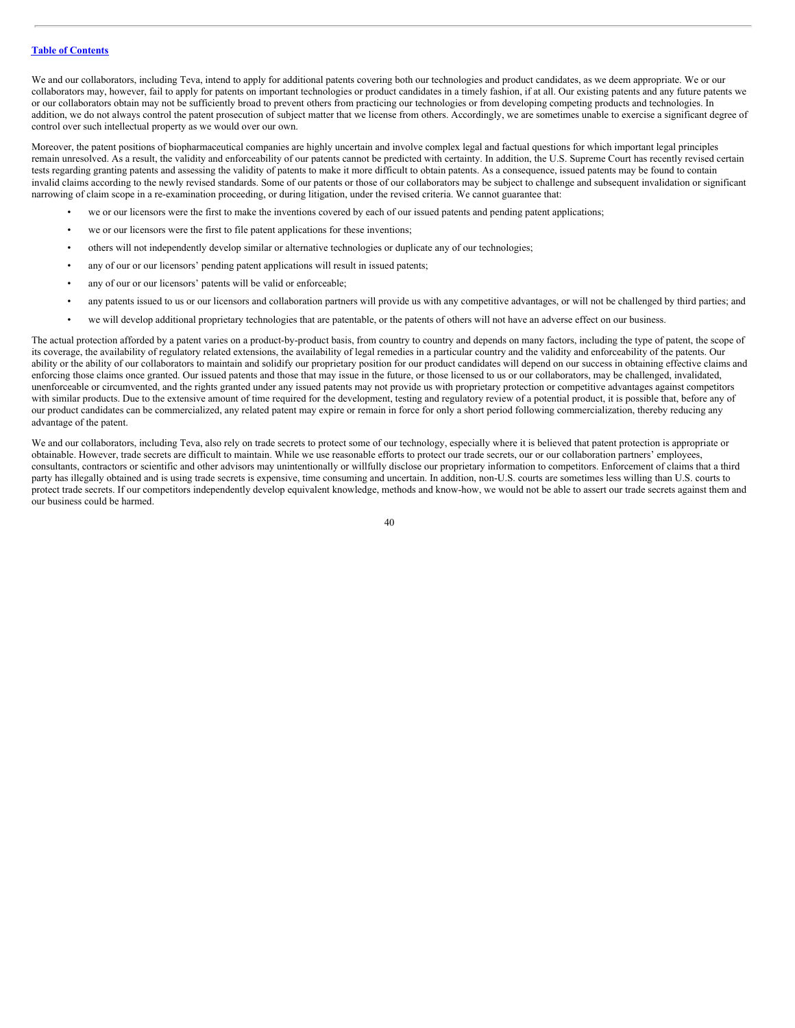We and our collaborators, including Teva, intend to apply for additional patents covering both our technologies and product candidates, as we deem appropriate. We or our collaborators may, however, fail to apply for patents on important technologies or product candidates in a timely fashion, if at all. Our existing patents and any future patents we or our collaborators obtain may not be sufficiently broad to prevent others from practicing our technologies or from developing competing products and technologies. In addition, we do not always control the patent prosecution of subject matter that we license from others. Accordingly, we are sometimes unable to exercise a significant degree of control over such intellectual property as we would over our own.

Moreover, the patent positions of biopharmaceutical companies are highly uncertain and involve complex legal and factual questions for which important legal principles remain unresolved. As a result, the validity and enforceability of our patents cannot be predicted with certainty. In addition, the U.S. Supreme Court has recently revised certain tests regarding granting patents and assessing the validity of patents to make it more difficult to obtain patents. As a consequence, issued patents may be found to contain invalid claims according to the newly revised standards. Some of our patents or those of our collaborators may be subject to challenge and subsequent invalidation or significant narrowing of claim scope in a re-examination proceeding, or during litigation, under the revised criteria. We cannot guarantee that:

- we or our licensors were the first to make the inventions covered by each of our issued patents and pending patent applications;
- we or our licensors were the first to file patent applications for these inventions;
- others will not independently develop similar or alternative technologies or duplicate any of our technologies;
- any of our or our licensors' pending patent applications will result in issued patents;
- any of our or our licensors' patents will be valid or enforceable;
- any patents issued to us or our licensors and collaboration partners will provide us with any competitive advantages, or will not be challenged by third parties; and
- we will develop additional proprietary technologies that are patentable, or the patents of others will not have an adverse effect on our business.

The actual protection afforded by a patent varies on a product-by-product basis, from country to country and depends on many factors, including the type of patent, the scope of its coverage, the availability of regulatory related extensions, the availability of legal remedies in a particular country and the validity and enforceability of the patents. Our ability or the ability of our collaborators to maintain and solidify our proprietary position for our product candidates will depend on our success in obtaining effective claims and enforcing those claims once granted. Our issued patents and those that may issue in the future, or those licensed to us or our collaborators, may be challenged, invalidated, unenforceable or circumvented, and the rights granted under any issued patents may not provide us with proprietary protection or competitive advantages against competitors with similar products. Due to the extensive amount of time required for the development, testing and regulatory review of a potential product, it is possible that, before any of our product candidates can be commercialized, any related patent may expire or remain in force for only a short period following commercialization, thereby reducing any advantage of the patent.

We and our collaborators, including Teva, also rely on trade secrets to protect some of our technology, especially where it is believed that patent protection is appropriate or obtainable. However, trade secrets are difficult to maintain. While we use reasonable efforts to protect our trade secrets, our or our collaboration partners' employees, consultants, contractors or scientific and other advisors may unintentionally or willfully disclose our proprietary information to competitors. Enforcement of claims that a third party has illegally obtained and is using trade secrets is expensive, time consuming and uncertain. In addition, non-U.S. courts are sometimes less willing than U.S. courts to protect trade secrets. If our competitors independently develop equivalent knowledge, methods and know-how, we would not be able to assert our trade secrets against them and our business could be harmed.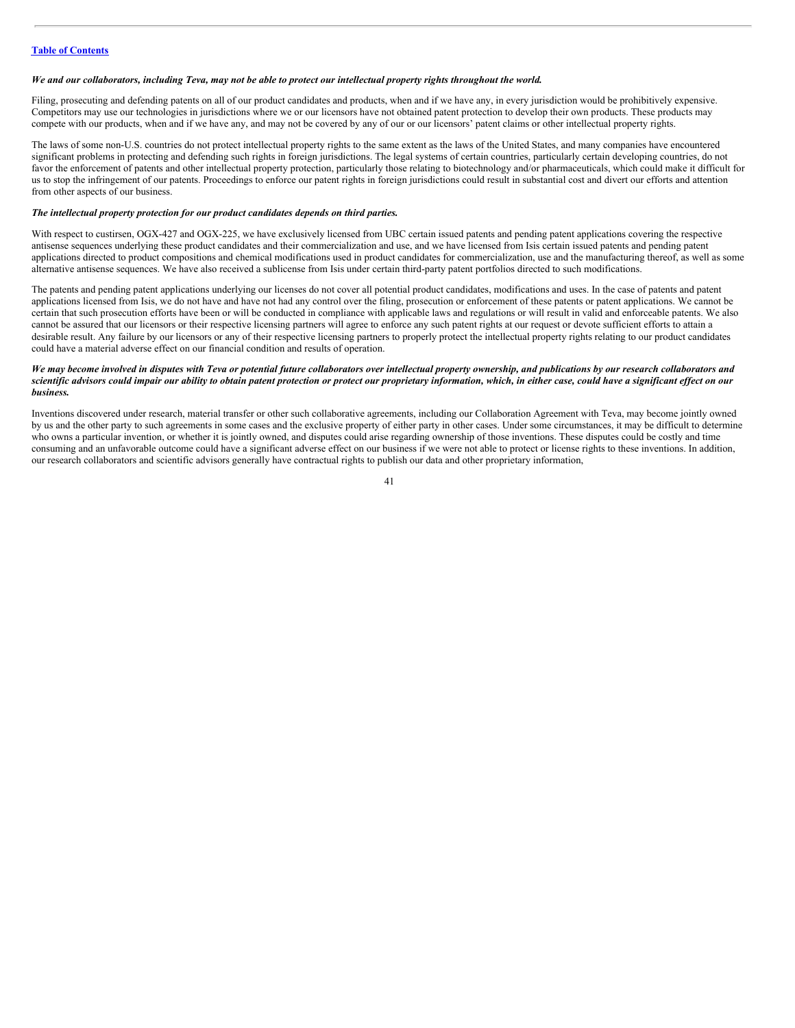#### We and our collaborators, including Teva, may not be able to protect our intellectual property rights throughout the world.

Filing, prosecuting and defending patents on all of our product candidates and products, when and if we have any, in every jurisdiction would be prohibitively expensive. Competitors may use our technologies in jurisdictions where we or our licensors have not obtained patent protection to develop their own products. These products may compete with our products, when and if we have any, and may not be covered by any of our or our licensors' patent claims or other intellectual property rights.

The laws of some non-U.S. countries do not protect intellectual property rights to the same extent as the laws of the United States, and many companies have encountered significant problems in protecting and defending such rights in foreign jurisdictions. The legal systems of certain countries, particularly certain developing countries, do not favor the enforcement of patents and other intellectual property protection, particularly those relating to biotechnology and/or pharmaceuticals, which could make it difficult for us to stop the infringement of our patents. Proceedings to enforce our patent rights in foreign jurisdictions could result in substantial cost and divert our efforts and attention from other aspects of our business.

# *The intellectual property protection for our product candidates depends on third parties.*

With respect to custirsen, OGX-427 and OGX-225, we have exclusively licensed from UBC certain issued patents and pending patent applications covering the respective antisense sequences underlying these product candidates and their commercialization and use, and we have licensed from Isis certain issued patents and pending patent applications directed to product compositions and chemical modifications used in product candidates for commercialization, use and the manufacturing thereof, as well as some alternative antisense sequences. We have also received a sublicense from Isis under certain third-party patent portfolios directed to such modifications.

The patents and pending patent applications underlying our licenses do not cover all potential product candidates, modifications and uses. In the case of patents and patent applications licensed from Isis, we do not have and have not had any control over the filing, prosecution or enforcement of these patents or patent applications. We cannot be certain that such prosecution efforts have been or will be conducted in compliance with applicable laws and regulations or will result in valid and enforceable patents. We also cannot be assured that our licensors or their respective licensing partners will agree to enforce any such patent rights at our request or devote sufficient efforts to attain a desirable result. Any failure by our licensors or any of their respective licensing partners to properly protect the intellectual property rights relating to our product candidates could have a material adverse effect on our financial condition and results of operation.

#### We may become involved in disputes with Teva or potential future collaborators over intellectual property ownership, and publications by our research collaborators and scientific advisors could impair our ability to obtain patent protection or protect our proprietary information, which, in either case, could have a significant effect on our *business.*

Inventions discovered under research, material transfer or other such collaborative agreements, including our Collaboration Agreement with Teva, may become jointly owned by us and the other party to such agreements in some cases and the exclusive property of either party in other cases. Under some circumstances, it may be difficult to determine who owns a particular invention, or whether it is jointly owned, and disputes could arise regarding ownership of those inventions. These disputes could be costly and time consuming and an unfavorable outcome could have a significant adverse effect on our business if we were not able to protect or license rights to these inventions. In addition, our research collaborators and scientific advisors generally have contractual rights to publish our data and other proprietary information,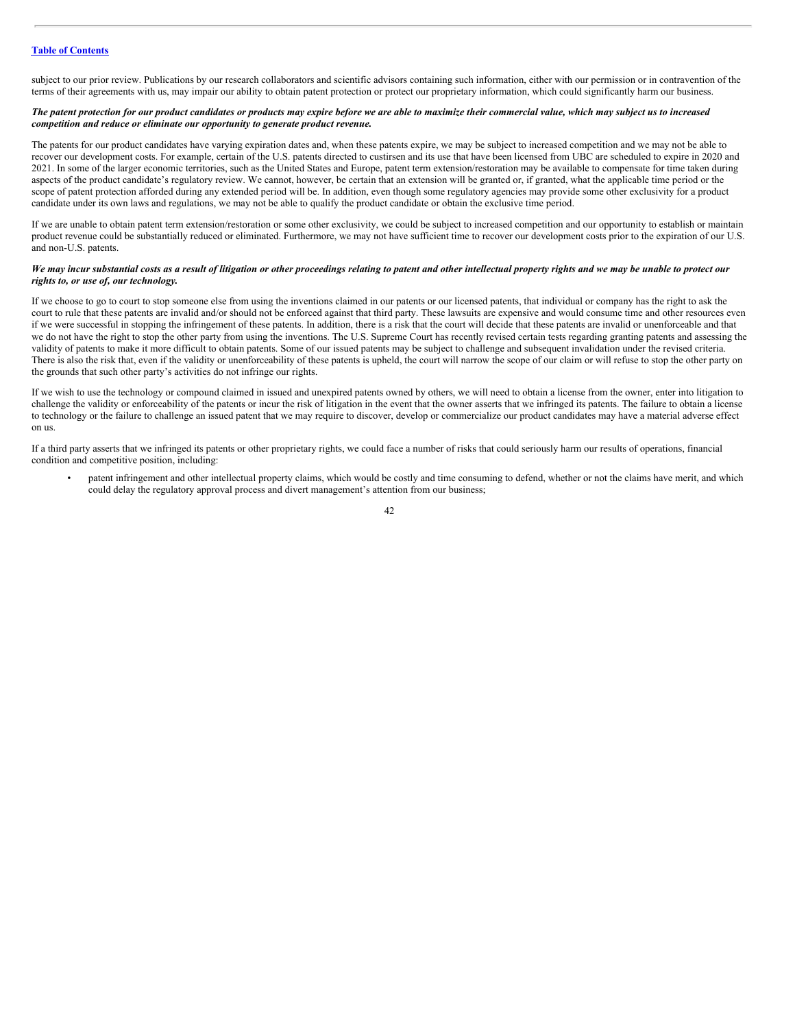subject to our prior review. Publications by our research collaborators and scientific advisors containing such information, either with our permission or in contravention of the terms of their agreements with us, may impair our ability to obtain patent protection or protect our proprietary information, which could significantly harm our business.

#### The patent protection for our product candidates or products may expire before we are able to maximize their commercial value, which may subject us to increased *competition and reduce or eliminate our opportunity to generate product revenue.*

The patents for our product candidates have varying expiration dates and, when these patents expire, we may be subject to increased competition and we may not be able to recover our development costs. For example, certain of the U.S. patents directed to custirsen and its use that have been licensed from UBC are scheduled to expire in 2020 and 2021. In some of the larger economic territories, such as the United States and Europe, patent term extension/restoration may be available to compensate for time taken during aspects of the product candidate's regulatory review. We cannot, however, be certain that an extension will be granted or, if granted, what the applicable time period or the scope of patent protection afforded during any extended period will be. In addition, even though some regulatory agencies may provide some other exclusivity for a product candidate under its own laws and regulations, we may not be able to qualify the product candidate or obtain the exclusive time period.

If we are unable to obtain patent term extension/restoration or some other exclusivity, we could be subject to increased competition and our opportunity to establish or maintain product revenue could be substantially reduced or eliminated. Furthermore, we may not have sufficient time to recover our development costs prior to the expiration of our U.S. and non-U.S. patents.

#### We may incur substantial costs as a result of litigation or other proceedings relating to patent and other intellectual property rights and we may be unable to protect our *rights to, or use of, our technology.*

If we choose to go to court to stop someone else from using the inventions claimed in our patents or our licensed patents, that individual or company has the right to ask the court to rule that these patents are invalid and/or should not be enforced against that third party. These lawsuits are expensive and would consume time and other resources even if we were successful in stopping the infringement of these patents. In addition, there is a risk that the court will decide that these patents are invalid or unenforceable and that we do not have the right to stop the other party from using the inventions. The U.S. Supreme Court has recently revised certain tests regarding granting patents and assessing the validity of patents to make it more difficult to obtain patents. Some of our issued patents may be subject to challenge and subsequent invalidation under the revised criteria. There is also the risk that, even if the validity or unenforceability of these patents is upheld, the court will narrow the scope of our claim or will refuse to stop the other party on the grounds that such other party's activities do not infringe our rights.

If we wish to use the technology or compound claimed in issued and unexpired patents owned by others, we will need to obtain a license from the owner, enter into litigation to challenge the validity or enforceability of the patents or incur the risk of litigation in the event that the owner asserts that we infringed its patents. The failure to obtain a license to technology or the failure to challenge an issued patent that we may require to discover, develop or commercialize our product candidates may have a material adverse effect on us.

If a third party asserts that we infringed its patents or other proprietary rights, we could face a number of risks that could seriously harm our results of operations, financial condition and competitive position, including:

• patent infringement and other intellectual property claims, which would be costly and time consuming to defend, whether or not the claims have merit, and which could delay the regulatory approval process and divert management's attention from our business;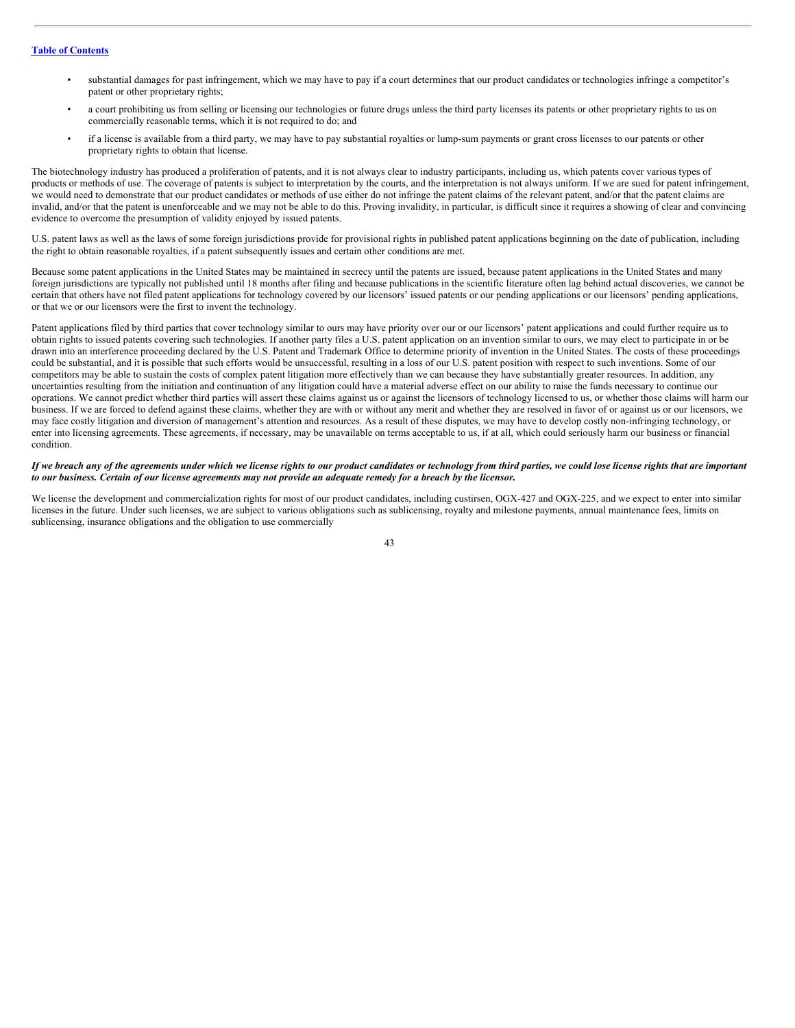- substantial damages for past infringement, which we may have to pay if a court determines that our product candidates or technologies infringe a competitor's patent or other proprietary rights;
- a court prohibiting us from selling or licensing our technologies or future drugs unless the third party licenses its patents or other proprietary rights to us on commercially reasonable terms, which it is not required to do; and
- if a license is available from a third party, we may have to pay substantial royalties or lump-sum payments or grant cross licenses to our patents or other proprietary rights to obtain that license.

The biotechnology industry has produced a proliferation of patents, and it is not always clear to industry participants, including us, which patents cover various types of products or methods of use. The coverage of patents is subject to interpretation by the courts, and the interpretation is not always uniform. If we are sued for patent infringement, we would need to demonstrate that our product candidates or methods of use either do not infringe the patent claims of the relevant patent, and/or that the patent claims are invalid, and/or that the patent is unenforceable and we may not be able to do this. Proving invalidity, in particular, is difficult since it requires a showing of clear and convincing evidence to overcome the presumption of validity enjoyed by issued patents.

U.S. patent laws as well as the laws of some foreign jurisdictions provide for provisional rights in published patent applications beginning on the date of publication, including the right to obtain reasonable royalties, if a patent subsequently issues and certain other conditions are met.

Because some patent applications in the United States may be maintained in secrecy until the patents are issued, because patent applications in the United States and many foreign jurisdictions are typically not published until 18 months after filing and because publications in the scientific literature often lag behind actual discoveries, we cannot be certain that others have not filed patent applications for technology covered by our licensors' issued patents or our pending applications or our licensors' pending applications, or that we or our licensors were the first to invent the technology.

Patent applications filed by third parties that cover technology similar to ours may have priority over our or our licensors' patent applications and could further require us to obtain rights to issued patents covering such technologies. If another party files a U.S. patent application on an invention similar to ours, we may elect to participate in or be drawn into an interference proceeding declared by the U.S. Patent and Trademark Office to determine priority of invention in the United States. The costs of these proceedings could be substantial, and it is possible that such efforts would be unsuccessful, resulting in a loss of our U.S. patent position with respect to such inventions. Some of our competitors may be able to sustain the costs of complex patent litigation more effectively than we can because they have substantially greater resources. In addition, any uncertainties resulting from the initiation and continuation of any litigation could have a material adverse effect on our ability to raise the funds necessary to continue our operations. We cannot predict whether third parties will assert these claims against us or against the licensors of technology licensed to us, or whether those claims will harm our business. If we are forced to defend against these claims, whether they are with or without any merit and whether they are resolved in favor of or against us or our licensors, we may face costly litigation and diversion of management's attention and resources. As a result of these disputes, we may have to develop costly non-infringing technology, or enter into licensing agreements. These agreements, if necessary, may be unavailable on terms acceptable to us, if at all, which could seriously harm our business or financial condition.

#### If we breach any of the agreements under which we license rights to our product candidates or technology from third parties, we could lose license rights that are important to our business. Certain of our license agreements may not provide an adequate remedy for a breach by the licensor.

We license the development and commercialization rights for most of our product candidates, including custirsen, OGX-427 and OGX-225, and we expect to enter into similar licenses in the future. Under such licenses, we are subject to various obligations such as sublicensing, royalty and milestone payments, annual maintenance fees, limits on sublicensing, insurance obligations and the obligation to use commercially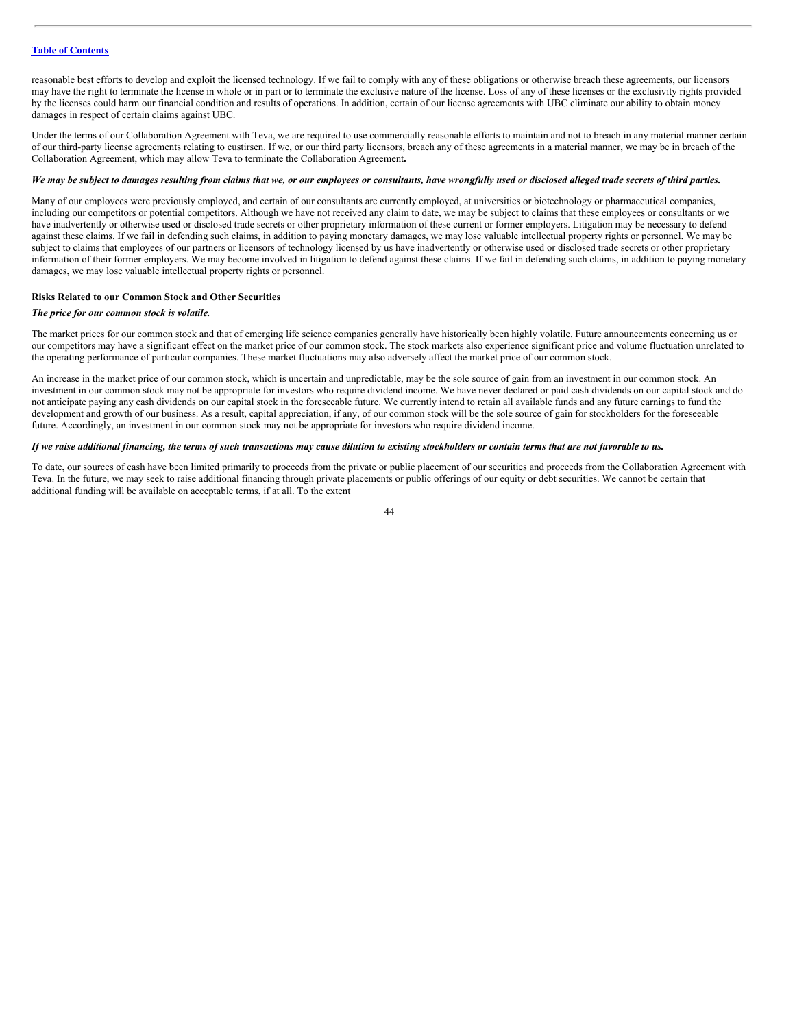reasonable best efforts to develop and exploit the licensed technology. If we fail to comply with any of these obligations or otherwise breach these agreements, our licensors may have the right to terminate the license in whole or in part or to terminate the exclusive nature of the license. Loss of any of these licenses or the exclusivity rights provided by the licenses could harm our financial condition and results of operations. In addition, certain of our license agreements with UBC eliminate our ability to obtain money damages in respect of certain claims against UBC.

Under the terms of our Collaboration Agreement with Teva, we are required to use commercially reasonable efforts to maintain and not to breach in any material manner certain of our third-party license agreements relating to custirsen. If we, or our third party licensors, breach any of these agreements in a material manner, we may be in breach of the Collaboration Agreement, which may allow Teva to terminate the Collaboration Agreement**.**

# We may be subject to damages resulting from claims that we, or our employees or consultants, have wrongfully used or disclosed alleged trade secrets of third parties.

Many of our employees were previously employed, and certain of our consultants are currently employed, at universities or biotechnology or pharmaceutical companies, including our competitors or potential competitors. Although we have not received any claim to date, we may be subject to claims that these employees or consultants or we have inadvertently or otherwise used or disclosed trade secrets or other proprietary information of these current or former employers. Litigation may be necessary to defend against these claims. If we fail in defending such claims, in addition to paying monetary damages, we may lose valuable intellectual property rights or personnel. We may be subject to claims that employees of our partners or licensors of technology licensed by us have inadvertently or otherwise used or disclosed trade secrets or other proprietary information of their former employers. We may become involved in litigation to defend against these claims. If we fail in defending such claims, in addition to paying monetary damages, we may lose valuable intellectual property rights or personnel.

#### **Risks Related to our Common Stock and Other Securities**

#### *The price for our common stock is volatile.*

The market prices for our common stock and that of emerging life science companies generally have historically been highly volatile. Future announcements concerning us or our competitors may have a significant effect on the market price of our common stock. The stock markets also experience significant price and volume fluctuation unrelated to the operating performance of particular companies. These market fluctuations may also adversely affect the market price of our common stock.

An increase in the market price of our common stock, which is uncertain and unpredictable, may be the sole source of gain from an investment in our common stock. An investment in our common stock may not be appropriate for investors who require dividend income. We have never declared or paid cash dividends on our capital stock and do not anticipate paying any cash dividends on our capital stock in the foreseeable future. We currently intend to retain all available funds and any future earnings to fund the development and growth of our business. As a result, capital appreciation, if any, of our common stock will be the sole source of gain for stockholders for the foreseeable future. Accordingly, an investment in our common stock may not be appropriate for investors who require dividend income.

# If we raise additional financing, the terms of such transactions may cause dilution to existing stockholders or contain terms that are not favorable to us.

To date, our sources of cash have been limited primarily to proceeds from the private or public placement of our securities and proceeds from the Collaboration Agreement with Teva. In the future, we may seek to raise additional financing through private placements or public offerings of our equity or debt securities. We cannot be certain that additional funding will be available on acceptable terms, if at all. To the extent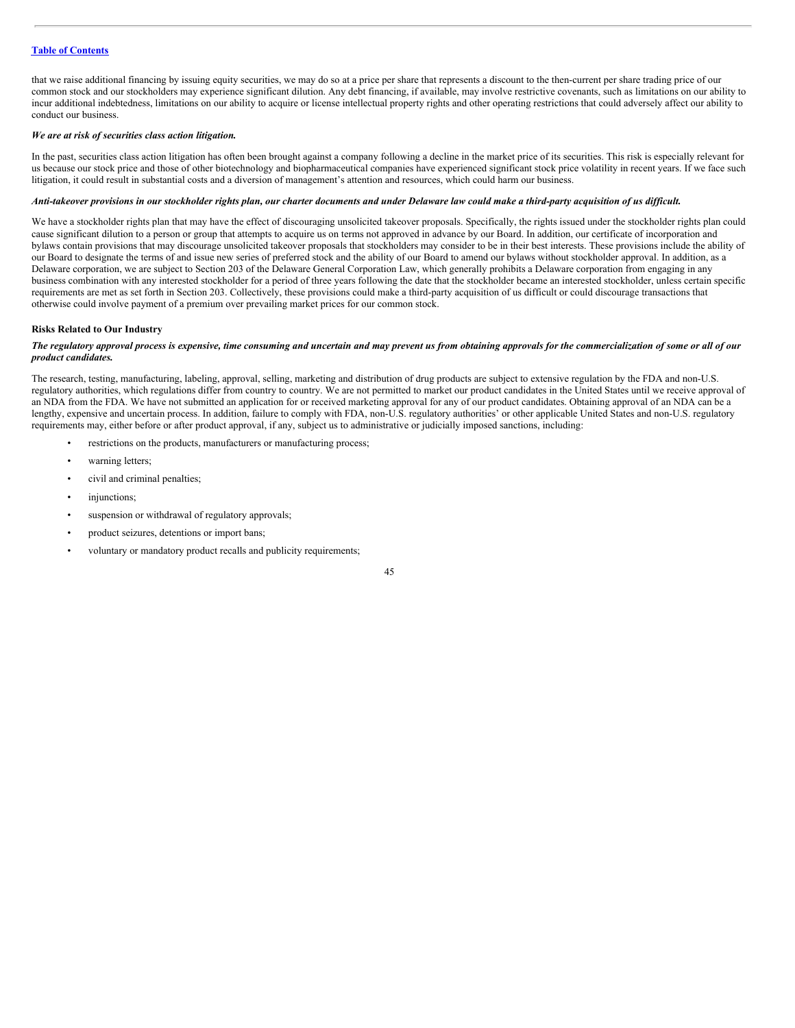that we raise additional financing by issuing equity securities, we may do so at a price per share that represents a discount to the then-current per share trading price of our common stock and our stockholders may experience significant dilution. Any debt financing, if available, may involve restrictive covenants, such as limitations on our ability to incur additional indebtedness, limitations on our ability to acquire or license intellectual property rights and other operating restrictions that could adversely affect our ability to conduct our business.

#### *We are at risk of securities class action litigation.*

In the past, securities class action litigation has often been brought against a company following a decline in the market price of its securities. This risk is especially relevant for us because our stock price and those of other biotechnology and biopharmaceutical companies have experienced significant stock price volatility in recent years. If we face such litigation, it could result in substantial costs and a diversion of management's attention and resources, which could harm our business.

#### Anti-takeover provisions in our stockholder rights plan, our charter documents and under Delaware law could make a third-party acquisition of us difficult.

We have a stockholder rights plan that may have the effect of discouraging unsolicited takeover proposals. Specifically, the rights issued under the stockholder rights plan could cause significant dilution to a person or group that attempts to acquire us on terms not approved in advance by our Board. In addition, our certificate of incorporation and bylaws contain provisions that may discourage unsolicited takeover proposals that stockholders may consider to be in their best interests. These provisions include the ability of our Board to designate the terms of and issue new series of preferred stock and the ability of our Board to amend our bylaws without stockholder approval. In addition, as a Delaware corporation, we are subject to Section 203 of the Delaware General Corporation Law, which generally prohibits a Delaware corporation from engaging in any business combination with any interested stockholder for a period of three years following the date that the stockholder became an interested stockholder, unless certain specific requirements are met as set forth in Section 203. Collectively, these provisions could make a third-party acquisition of us difficult or could discourage transactions that otherwise could involve payment of a premium over prevailing market prices for our common stock.

#### **Risks Related to Our Industry**

# The regulatory approval process is expensive, time consuming and uncertain and may prevent us from obtaining approvals for the commercialization of some or all of our *product candidates.*

The research, testing, manufacturing, labeling, approval, selling, marketing and distribution of drug products are subject to extensive regulation by the FDA and non-U.S. regulatory authorities, which regulations differ from country to country. We are not permitted to market our product candidates in the United States until we receive approval of an NDA from the FDA. We have not submitted an application for or received marketing approval for any of our product candidates. Obtaining approval of an NDA can be a lengthy, expensive and uncertain process. In addition, failure to comply with FDA, non-U.S. regulatory authorities' or other applicable United States and non-U.S. regulatory requirements may, either before or after product approval, if any, subject us to administrative or judicially imposed sanctions, including:

- restrictions on the products, manufacturers or manufacturing process;
- warning letters;
- civil and criminal penalties;
- injunctions;
- suspension or withdrawal of regulatory approvals;
- product seizures, detentions or import bans;
- voluntary or mandatory product recalls and publicity requirements;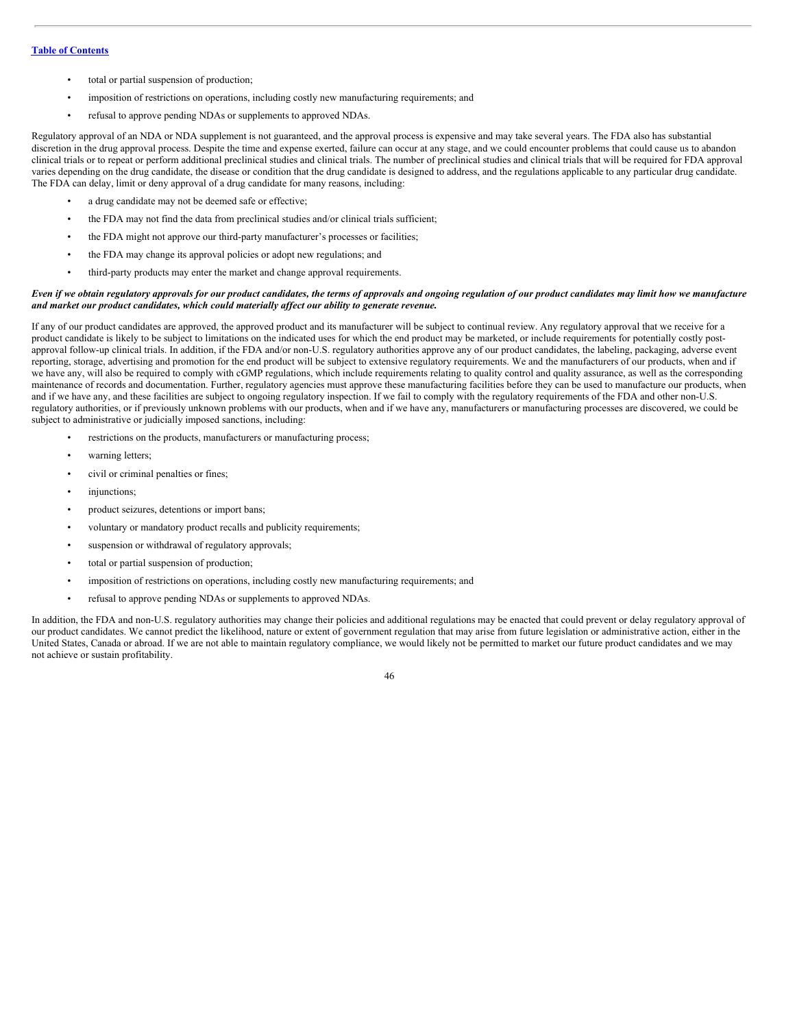- total or partial suspension of production;
- imposition of restrictions on operations, including costly new manufacturing requirements; and
- refusal to approve pending NDAs or supplements to approved NDAs.

Regulatory approval of an NDA or NDA supplement is not guaranteed, and the approval process is expensive and may take several years. The FDA also has substantial discretion in the drug approval process. Despite the time and expense exerted, failure can occur at any stage, and we could encounter problems that could cause us to abandon clinical trials or to repeat or perform additional preclinical studies and clinical trials. The number of preclinical studies and clinical trials that will be required for FDA approval varies depending on the drug candidate, the disease or condition that the drug candidate is designed to address, and the regulations applicable to any particular drug candidate. The FDA can delay, limit or deny approval of a drug candidate for many reasons, including:

- a drug candidate may not be deemed safe or effective;
- the FDA may not find the data from preclinical studies and/or clinical trials sufficient;
- the FDA might not approve our third-party manufacturer's processes or facilities;
- the FDA may change its approval policies or adopt new regulations; and
- third-party products may enter the market and change approval requirements.

#### Even if we obtain regulatory approvals for our product candidates, the terms of approvals and ongoing regulation of our product candidates may limit how we manufacture *and market our product candidates, which could materially af ect our ability to generate revenue.*

If any of our product candidates are approved, the approved product and its manufacturer will be subject to continual review. Any regulatory approval that we receive for a product candidate is likely to be subject to limitations on the indicated uses for which the end product may be marketed, or include requirements for potentially costly postapproval follow-up clinical trials. In addition, if the FDA and/or non-U.S. regulatory authorities approve any of our product candidates, the labeling, packaging, adverse event reporting, storage, advertising and promotion for the end product will be subject to extensive regulatory requirements. We and the manufacturers of our products, when and if we have any, will also be required to comply with cGMP regulations, which include requirements relating to quality control and quality assurance, as well as the corresponding maintenance of records and documentation. Further, regulatory agencies must approve these manufacturing facilities before they can be used to manufacture our products, when and if we have any, and these facilities are subject to ongoing regulatory inspection. If we fail to comply with the regulatory requirements of the FDA and other non-U.S. regulatory authorities, or if previously unknown problems with our products, when and if we have any, manufacturers or manufacturing processes are discovered, we could be subject to administrative or judicially imposed sanctions, including:

- restrictions on the products, manufacturers or manufacturing process;
- warning letters;
- civil or criminal penalties or fines;
- injunctions;
- product seizures, detentions or import bans;
- voluntary or mandatory product recalls and publicity requirements;
- suspension or withdrawal of regulatory approvals;
- total or partial suspension of production;
- imposition of restrictions on operations, including costly new manufacturing requirements; and
- refusal to approve pending NDAs or supplements to approved NDAs.

In addition, the FDA and non-U.S. regulatory authorities may change their policies and additional regulations may be enacted that could prevent or delay regulatory approval of our product candidates. We cannot predict the likelihood, nature or extent of government regulation that may arise from future legislation or administrative action, either in the United States, Canada or abroad. If we are not able to maintain regulatory compliance, we would likely not be permitted to market our future product candidates and we may not achieve or sustain profitability.

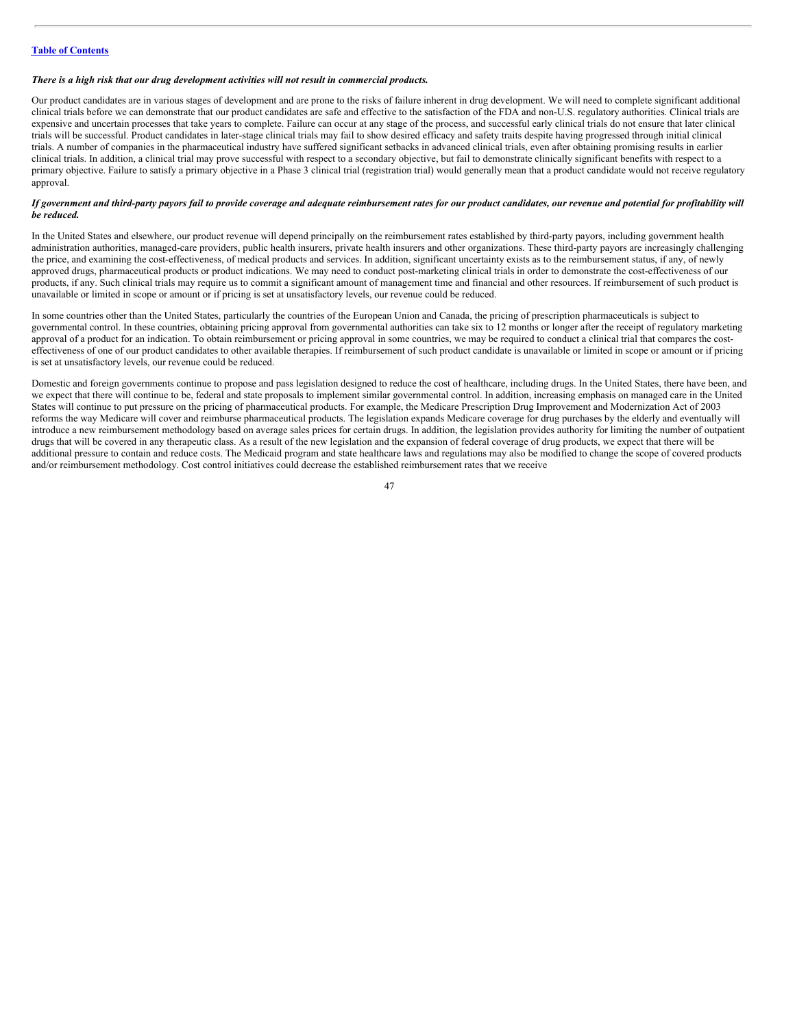#### *There is a high risk that our drug development activities will not result in commercial products.*

Our product candidates are in various stages of development and are prone to the risks of failure inherent in drug development. We will need to complete significant additional clinical trials before we can demonstrate that our product candidates are safe and effective to the satisfaction of the FDA and non-U.S. regulatory authorities. Clinical trials are expensive and uncertain processes that take years to complete. Failure can occur at any stage of the process, and successful early clinical trials do not ensure that later clinical trials will be successful. Product candidates in later-stage clinical trials may fail to show desired efficacy and safety traits despite having progressed through initial clinical trials. A number of companies in the pharmaceutical industry have suffered significant setbacks in advanced clinical trials, even after obtaining promising results in earlier clinical trials. In addition, a clinical trial may prove successful with respect to a secondary objective, but fail to demonstrate clinically significant benefits with respect to a primary objective. Failure to satisfy a primary objective in a Phase 3 clinical trial (registration trial) would generally mean that a product candidate would not receive regulatory approval.

# If government and third-party payors fail to provide coverage and adequate reimbursement rates for our product candidates, our revenue and potential for profitability will *be reduced.*

In the United States and elsewhere, our product revenue will depend principally on the reimbursement rates established by third-party payors, including government health administration authorities, managed-care providers, public health insurers, private health insurers and other organizations. These third-party payors are increasingly challenging the price, and examining the cost-effectiveness, of medical products and services. In addition, significant uncertainty exists as to the reimbursement status, if any, of newly approved drugs, pharmaceutical products or product indications. We may need to conduct post-marketing clinical trials in order to demonstrate the cost-effectiveness of our products, if any. Such clinical trials may require us to commit a significant amount of management time and financial and other resources. If reimbursement of such product is unavailable or limited in scope or amount or if pricing is set at unsatisfactory levels, our revenue could be reduced.

In some countries other than the United States, particularly the countries of the European Union and Canada, the pricing of prescription pharmaceuticals is subject to governmental control. In these countries, obtaining pricing approval from governmental authorities can take six to 12 months or longer after the receipt of regulatory marketing approval of a product for an indication. To obtain reimbursement or pricing approval in some countries, we may be required to conduct a clinical trial that compares the costeffectiveness of one of our product candidates to other available therapies. If reimbursement of such product candidate is unavailable or limited in scope or amount or if pricing is set at unsatisfactory levels, our revenue could be reduced.

Domestic and foreign governments continue to propose and pass legislation designed to reduce the cost of healthcare, including drugs. In the United States, there have been, and we expect that there will continue to be, federal and state proposals to implement similar governmental control. In addition, increasing emphasis on managed care in the United States will continue to put pressure on the pricing of pharmaceutical products. For example, the Medicare Prescription Drug Improvement and Modernization Act of 2003 reforms the way Medicare will cover and reimburse pharmaceutical products. The legislation expands Medicare coverage for drug purchases by the elderly and eventually will introduce a new reimbursement methodology based on average sales prices for certain drugs. In addition, the legislation provides authority for limiting the number of outpatient drugs that will be covered in any therapeutic class. As a result of the new legislation and the expansion of federal coverage of drug products, we expect that there will be additional pressure to contain and reduce costs. The Medicaid program and state healthcare laws and regulations may also be modified to change the scope of covered products and/or reimbursement methodology. Cost control initiatives could decrease the established reimbursement rates that we receive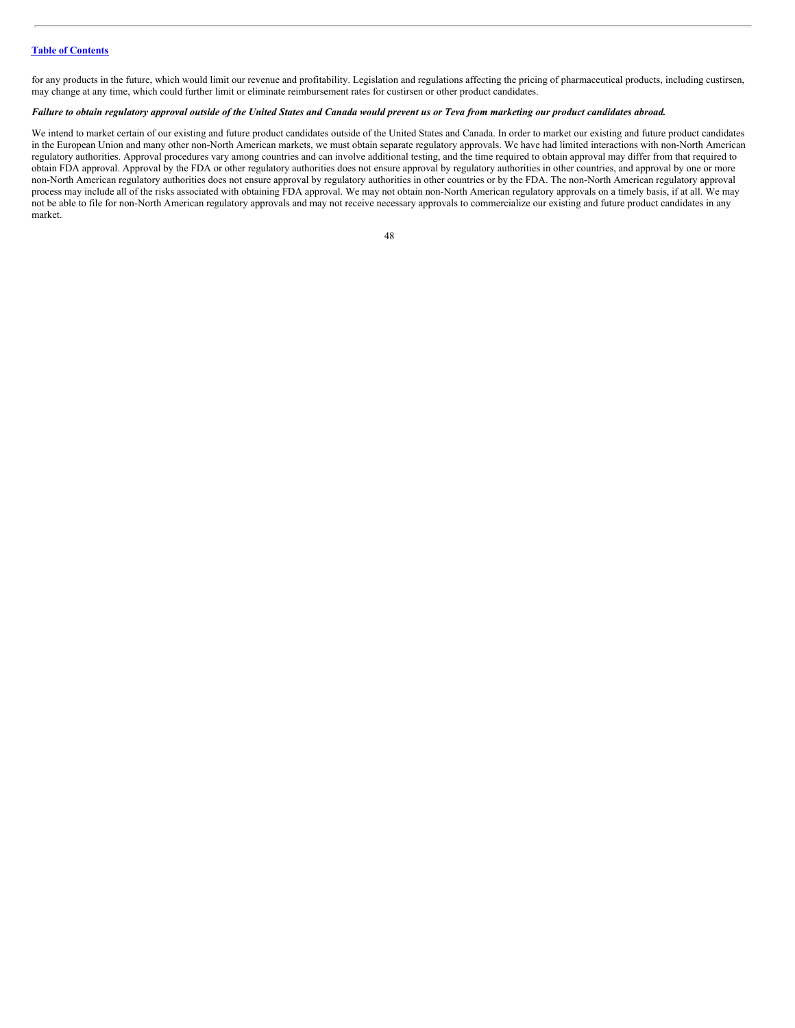for any products in the future, which would limit our revenue and profitability. Legislation and regulations affecting the pricing of pharmaceutical products, including custirsen, may change at any time, which could further limit or eliminate reimbursement rates for custirsen or other product candidates.

# Failure to obtain regulatory approval outside of the United States and Canada would prevent us or Teva from marketing our product candidates abroad.

We intend to market certain of our existing and future product candidates outside of the United States and Canada. In order to market our existing and future product candidates in the European Union and many other non-North American markets, we must obtain separate regulatory approvals. We have had limited interactions with non-North American regulatory authorities. Approval procedures vary among countries and can involve additional testing, and the time required to obtain approval may differ from that required to obtain FDA approval. Approval by the FDA or other regulatory authorities does not ensure approval by regulatory authorities in other countries, and approval by one or more non-North American regulatory authorities does not ensure approval by regulatory authorities in other countries or by the FDA. The non-North American regulatory approval process may include all of the risks associated with obtaining FDA approval. We may not obtain non-North American regulatory approvals on a timely basis, if at all. We may not be able to file for non-North American regulatory approvals and may not receive necessary approvals to commercialize our existing and future product candidates in any not be able to file for non-North American regulato market.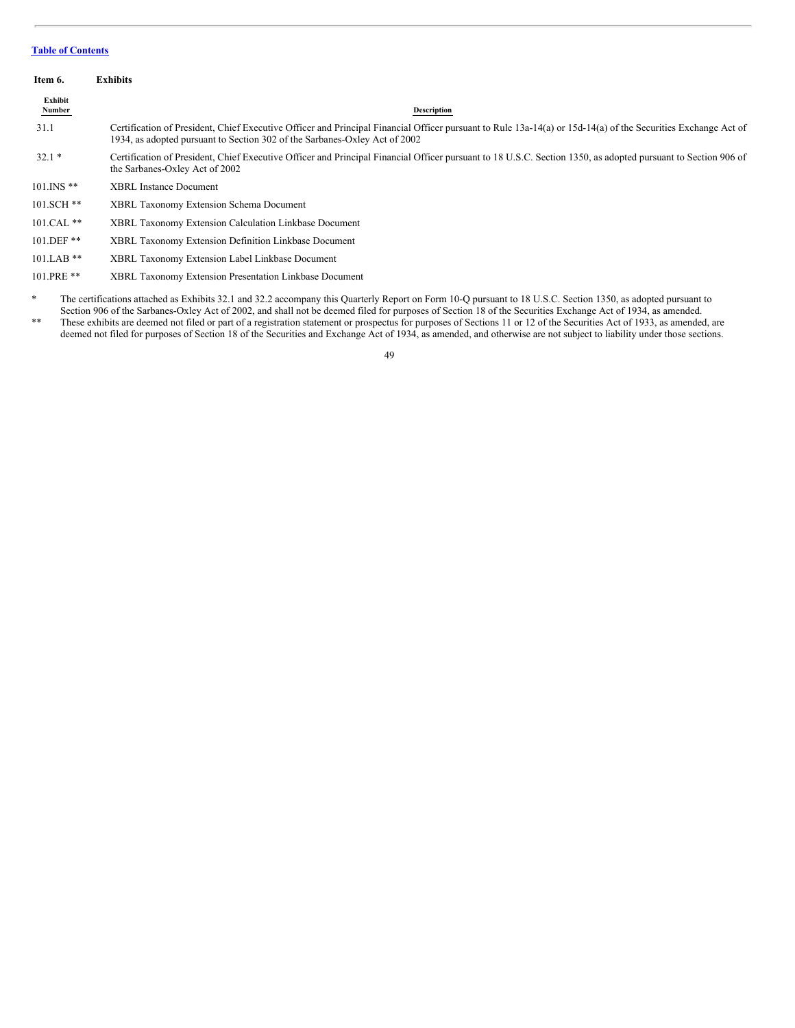<span id="page-48-0"></span>

| Item 6.           | <b>Exhibits</b>                                                                                                                                                                                                                                                                                                              |
|-------------------|------------------------------------------------------------------------------------------------------------------------------------------------------------------------------------------------------------------------------------------------------------------------------------------------------------------------------|
| Exhibit<br>Number | <b>Description</b>                                                                                                                                                                                                                                                                                                           |
| 31.1              | Certification of President, Chief Executive Officer and Principal Financial Officer pursuant to Rule 13a-14(a) or 15d-14(a) of the Securities Exchange Act of<br>1934, as adopted pursuant to Section 302 of the Sarbanes-Oxley Act of 2002                                                                                  |
| $32.1*$           | Certification of President, Chief Executive Officer and Principal Financial Officer pursuant to 18 U.S.C. Section 1350, as adopted pursuant to Section 906 of<br>the Sarbanes-Oxley Act of 2002                                                                                                                              |
| $101$ . INS $**$  | <b>XBRL</b> Instance Document                                                                                                                                                                                                                                                                                                |
| 101.SCH **        | <b>XBRL Taxonomy Extension Schema Document</b>                                                                                                                                                                                                                                                                               |
| 101.CAL **        | <b>XBRL Taxonomy Extension Calculation Linkbase Document</b>                                                                                                                                                                                                                                                                 |
| 101.DEF **        | XBRL Taxonomy Extension Definition Linkbase Document                                                                                                                                                                                                                                                                         |
| $101.LAB**$       | XBRL Taxonomy Extension Label Linkbase Document                                                                                                                                                                                                                                                                              |
| 101.PRE **        | XBRL Taxonomy Extension Presentation Linkbase Document                                                                                                                                                                                                                                                                       |
| *                 | The certifications attached as Exhibits 32.1 and 32.2 accompany this Quarterly Report on Form 10-Q pursuant to 18 U.S.C. Section 1350, as adopted pursuant to<br>Section 906 of the Sarbanes-Oxley Act of 2002, and shall not be deemed filed for purposes of Section 18 of the Securities Exchange Act of 1934, as amended. |

\*\* These exhibits are deemed not filed or part of a registration statement or prospectus for purposes of Sections 11 or 12 of the Securities Act of 1933, as amended, are deemed not filed for purposes of Section 18 of the Securities and Exchange Act of 1934, as amended, and otherwise are not subject to liability under those sections.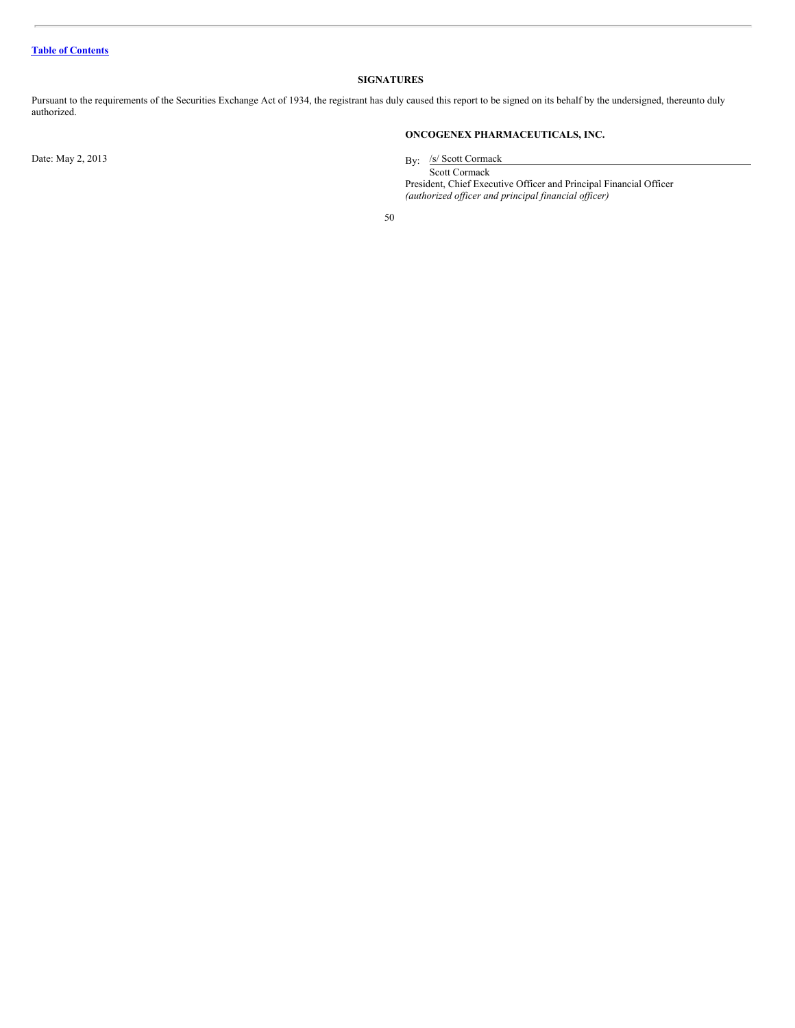# <span id="page-49-0"></span>**SIGNATURES**

Pursuant to the requirements of the Securities Exchange Act of 1934, the registrant has duly caused this report to be signed on its behalf by the undersigned, thereunto duly authorized.

Date: May 2, 2013

# **ONCOGENEX PHARMACEUTICALS, INC.**

By: /s/ Scott Cormack

Scott Cormack President, Chief Executive Officer and Principal Financial Officer *(authorized of icer and principal financial of icer)*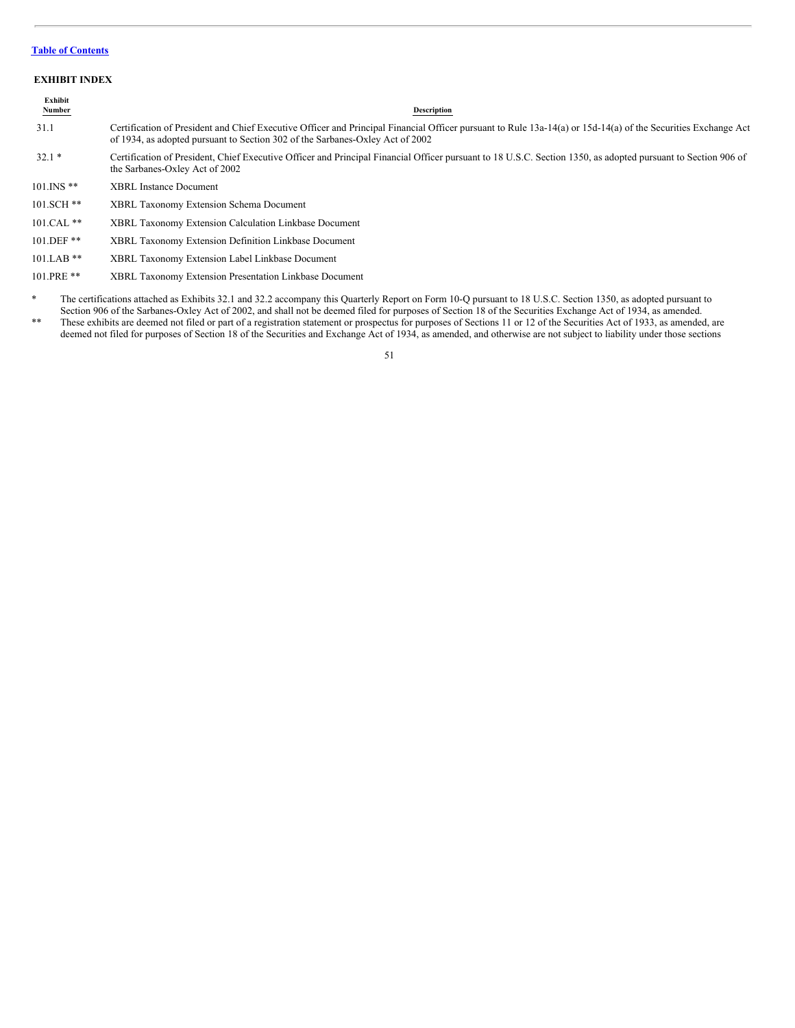#### <span id="page-50-0"></span>**EXHIBIT INDEX**

| Exhibit<br><b>Number</b> | Description                                                                                                                                                                                                                                    |
|--------------------------|------------------------------------------------------------------------------------------------------------------------------------------------------------------------------------------------------------------------------------------------|
| 31.1                     | Certification of President and Chief Executive Officer and Principal Financial Officer pursuant to Rule 13a-14(a) or 15d-14(a) of the Securities Exchange Act<br>of 1934, as adopted pursuant to Section 302 of the Sarbanes-Oxley Act of 2002 |
| $32.1*$                  | Certification of President, Chief Executive Officer and Principal Financial Officer pursuant to 18 U.S.C. Section 1350, as adopted pursuant to Section 906 of<br>the Sarbanes-Oxley Act of 2002                                                |
| $101$ INS $**$           | <b>XBRL</b> Instance Document                                                                                                                                                                                                                  |
| 101.SCH **               | <b>XBRL Taxonomy Extension Schema Document</b>                                                                                                                                                                                                 |

- 101.CAL \*\* XBRL Taxonomy Extension Calculation Linkbase Document
- 101.DEF \*\* XBRL Taxonomy Extension Definition Linkbase Document
- 101.LAB \*\* XBRL Taxonomy Extension Label Linkbase Document
- 101.PRE \*\* XBRL Taxonomy Extension Presentation Linkbase Document
- \* The certifications attached as Exhibits 32.1 and 32.2 accompany this Quarterly Report on Form 10-Q pursuant to 18 U.S.C. Section 1350, as adopted pursuant to Section 906 of the Sarbanes-Oxley Act of 2002, and shall not be deemed filed for purposes of Section 18 of the Securities Exchange Act of 1934, as amended.
- \*\* These exhibits are deemed not filed or part of a registration statement or prospectus for purposes of Sections 11 or 12 of the Securities Act of 1933, as amended, are deemed not filed for purposes of Section 18 of the Securities and Exchange Act of 1934, as amended, and otherwise are not subject to liability under those sections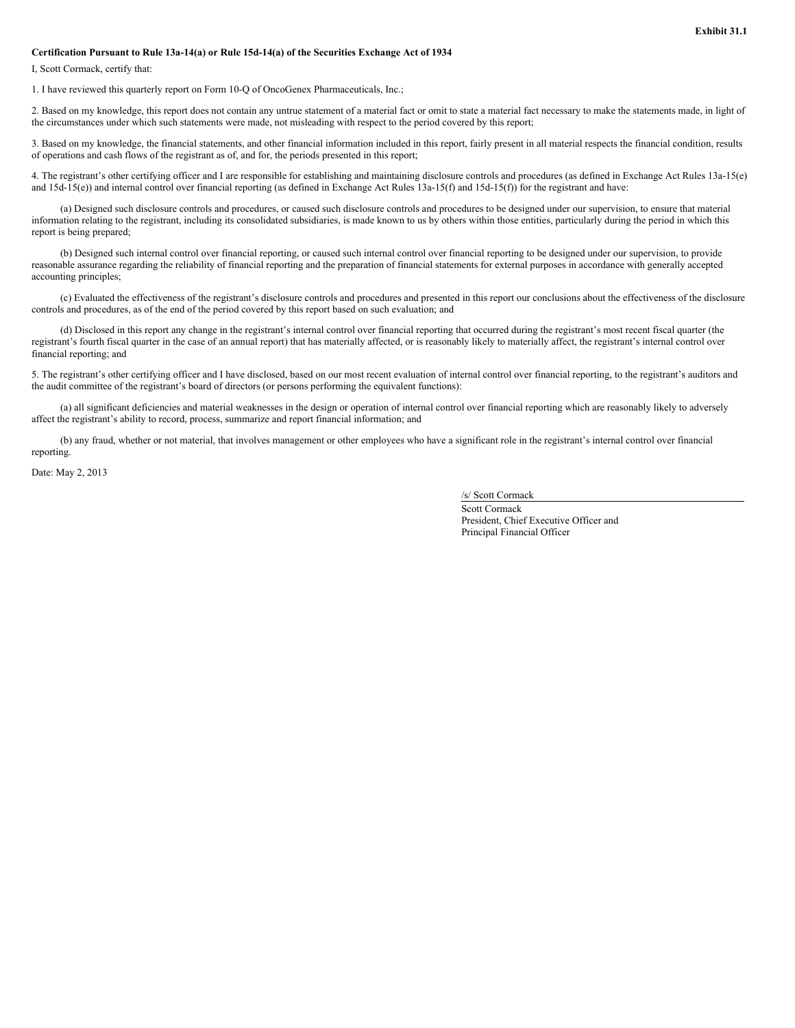#### **Certification Pursuant to Rule 13a-14(a) or Rule 15d-14(a) of the Securities Exchange Act of 1934**

I, Scott Cormack, certify that:

1. I have reviewed this quarterly report on Form 10-Q of OncoGenex Pharmaceuticals, Inc.;

2. Based on my knowledge, this report does not contain any untrue statement of a material fact or omit to state a material fact necessary to make the statements made, in light of the circumstances under which such statements were made, not misleading with respect to the period covered by this report;

3. Based on my knowledge, the financial statements, and other financial information included in this report, fairly present in all material respects the financial condition, results of operations and cash flows of the registrant as of, and for, the periods presented in this report;

4. The registrant's other certifying officer and I are responsible for establishing and maintaining disclosure controls and procedures (as defined in Exchange Act Rules 13a-15(e) and 15d-15(e)) and internal control over financial reporting (as defined in Exchange Act Rules 13a-15(f) and 15d-15(f)) for the registrant and have:

(a) Designed such disclosure controls and procedures, or caused such disclosure controls and procedures to be designed under our supervision, to ensure that material information relating to the registrant, including its consolidated subsidiaries, is made known to us by others within those entities, particularly during the period in which this report is being prepared;

(b) Designed such internal control over financial reporting, or caused such internal control over financial reporting to be designed under our supervision, to provide reasonable assurance regarding the reliability of financial reporting and the preparation of financial statements for external purposes in accordance with generally accepted accounting principles;

(c) Evaluated the effectiveness of the registrant's disclosure controls and procedures and presented in this report our conclusions about the effectiveness of the disclosure controls and procedures, as of the end of the period covered by this report based on such evaluation; and

(d) Disclosed in this report any change in the registrant's internal control over financial reporting that occurred during the registrant's most recent fiscal quarter (the registrant's fourth fiscal quarter in the case of an annual report) that has materially affected, or is reasonably likely to materially affect, the registrant's internal control over financial reporting; and

5. The registrant's other certifying officer and I have disclosed, based on our most recent evaluation of internal control over financial reporting, to the registrant's auditors and the audit committee of the registrant's board of directors (or persons performing the equivalent functions):

(a) all significant deficiencies and material weaknesses in the design or operation of internal control over financial reporting which are reasonably likely to adversely affect the registrant's ability to record, process, summarize and report financial information; and

(b) any fraud, whether or not material, that involves management or other employees who have a significant role in the registrant's internal control over financial reporting.

Date: May 2, 2013

/s/ Scott Cormack

Scott Cormack President, Chief Executive Officer and Principal Financial Officer